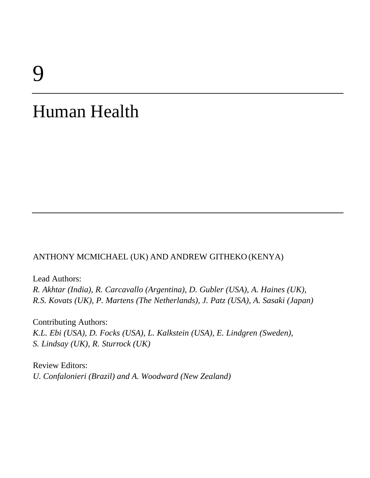# Human Health

### ANTHONY MCMICHAEL (UK) AND ANDREW GITHEKO (KENYA)

Lead Authors: *R. Akhtar (India), R. Carcavallo (Argentina), D. Gubler (USA), A. Haines (UK), R.S. Kovats (UK), P. Martens (The Netherlands), J. Patz (USA), A. Sasaki (Japan)* 

Contributing Authors: *K.L. Ebi (USA), D. Focks (USA), L. Kalkstein (USA), E. Lindgren (Sweden), S. Lindsay (UK), R. Sturrock (UK)*

Review Editors: *U. Confalonieri (Brazil) and A. Woodward (New Zealand)*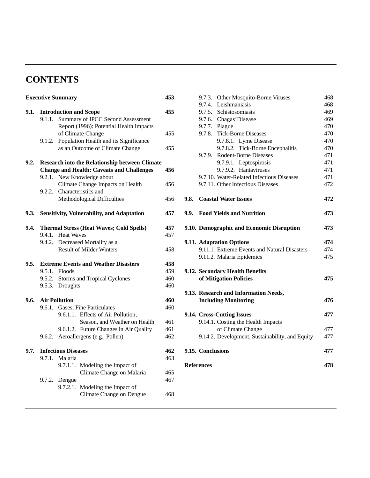# **CONTENTS**

|      | <b>Executive Summary</b> |                                                                                                           |            |  |  |
|------|--------------------------|-----------------------------------------------------------------------------------------------------------|------------|--|--|
| 9.1. | 9.1.1.                   | <b>Introduction and Scope</b><br>Summary of IPCC Second Assessment                                        | 455        |  |  |
|      | 9.1.2.                   | Report (1996): Potential Health Impacts<br>of Climate Change<br>Population Health and its Significance    | 455        |  |  |
|      |                          | as an Outcome of Climate Change                                                                           | 455        |  |  |
| 9.2. |                          | <b>Research into the Relationship between Climate</b><br><b>Change and Health: Caveats and Challenges</b> | 456        |  |  |
|      | 9.2.1.                   | New Knowledge about<br>Climate Change Impacts on Health                                                   | 456        |  |  |
|      | 9.2.2.                   | Characteristics and                                                                                       |            |  |  |
|      |                          | Methodological Difficulties                                                                               | 456        |  |  |
| 9.3. |                          | <b>Sensitivity, Vulnerability, and Adaptation</b>                                                         | 457        |  |  |
| 9.4. |                          | <b>Thermal Stress (Heat Waves; Cold Spells)</b>                                                           | 457        |  |  |
|      | 9.4.1.<br>9.4.2.         | <b>Heat Waves</b><br>Decreased Mortality as a                                                             | 457        |  |  |
|      |                          | <b>Result of Milder Winters</b>                                                                           | 458        |  |  |
| 9.5. |                          | <b>Extreme Events and Weather Disasters</b>                                                               | 458        |  |  |
|      |                          | $9.5.1.$ Floods                                                                                           | 459        |  |  |
|      | 9.5.2.                   | <b>Storms and Tropical Cyclones</b>                                                                       | 460        |  |  |
|      |                          | 9.5.3. Droughts                                                                                           | 460        |  |  |
| 9.6. |                          | <b>Air Pollution</b>                                                                                      | 460        |  |  |
|      |                          | 9.6.1. Gases, Fine Particulates<br>9.6.1.1. Effects of Air Pollution,                                     | 460        |  |  |
|      |                          | Season, and Weather on Health                                                                             | 461        |  |  |
|      |                          | 9.6.1.2. Future Changes in Air Quality                                                                    | 461<br>462 |  |  |
|      | 9.6.2.                   | Aeroallergens (e.g., Pollen)                                                                              |            |  |  |
| 9.7. |                          | <b>Infectious Diseases</b>                                                                                | 462        |  |  |
|      |                          | 9.7.1. Malaria                                                                                            | 463        |  |  |
|      |                          | 9.7.1.1. Modeling the Impact of<br>Climate Change on Malaria                                              | 465        |  |  |
|      | 9.7.2.                   | Dengue                                                                                                    | 467        |  |  |
|      |                          | 9.7.2.1.<br>Modeling the Impact of<br>Climate Change on Dengue                                            | 468        |  |  |
|      |                          |                                                                                                           |            |  |  |

|      |                   | 9.7.3. Other Mosquito-Borne Viruses             | 468 |
|------|-------------------|-------------------------------------------------|-----|
|      |                   | 9.7.4. Leishmaniasis                            | 468 |
|      |                   | 9.7.5. Schistosomiasis                          | 469 |
|      |                   | 9.7.6. Chagas'Disease                           | 469 |
|      | 9.7.7.            | Plague                                          | 470 |
|      | 9.7.8.            | <b>Tick-Borne Diseases</b>                      | 470 |
|      |                   | 9.7.8.1. Lyme Disease                           | 470 |
|      |                   | 9.7.8.2. Tick-Borne Encephalitis                | 470 |
|      | 9.7.9.            | <b>Rodent-Borne Diseases</b>                    | 471 |
|      |                   | 9.7.9.1. Leptospirosis                          | 471 |
|      |                   | 9.7.9.2. Hantaviruses                           | 471 |
|      |                   | 9.7.10. Water-Related Infectious Diseases       | 471 |
|      |                   | 9.7.11. Other Infectious Diseases               | 472 |
|      |                   | 9.8. Coastal Water Issues                       | 472 |
| 9.9. |                   | <b>Food Yields and Nutrition</b>                | 473 |
|      |                   | 9.10. Demographic and Economic Disruption       | 473 |
|      |                   | 9.11. Adaptation Options                        | 474 |
|      |                   | 9.11.1. Extreme Events and Natural Disasters    | 474 |
|      |                   | 9.11.2. Malaria Epidemics                       | 475 |
|      |                   | 9.12. Secondary Health Benefits                 |     |
|      |                   | of Mitigation Policies                          | 475 |
|      |                   | 9.13. Research and Information Needs,           |     |
|      |                   | <b>Including Monitoring</b>                     | 476 |
|      |                   | 9.14. Cross-Cutting Issues                      | 477 |
|      |                   | 9.14.1. Costing the Health Impacts              |     |
|      |                   | of Climate Change                               | 477 |
|      |                   | 9.14.2. Development, Sustainability, and Equity | 477 |
|      | 9.15. Conclusions |                                                 | 477 |
|      | <b>References</b> |                                                 | 478 |
|      |                   |                                                 |     |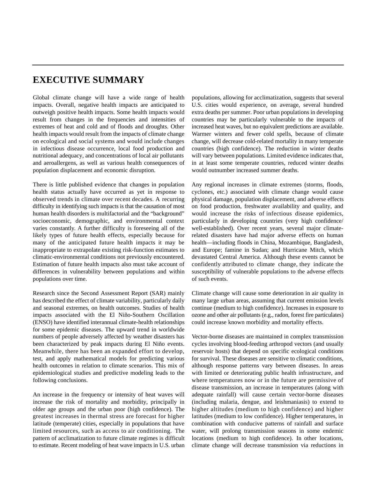## **EXECUTIVE SUMMARY**

Global climate change will have a wide range of health impacts. Overall, negative health impacts are anticipated to outweigh positive health impacts. Some health impacts would result from changes in the frequencies and intensities of extremes of heat and cold and of floods and droughts. Other health impacts would result from the impacts of climate change on ecological and social systems and would include changes in infectious disease occurrence, local food production and nutritional adequacy, and concentrations of local air pollutants and aeroallergens, as well as various health consequences of population displacement and economic disruption.

There is little published evidence that changes in population health status actually have occurred as yet in response to observed trends in climate over recent decades. A recurring difficulty in identifying such impacts is that the causation of most human health disorders is multifactorial and the "background" socioeconomic, demographic, and environmental context varies constantly. A further difficulty is foreseeing all of the likely types of future health effects, especially because for many of the anticipated future health impacts it may be in appropriate to extrapolate existing risk-function estimates to climatic-environmental conditions not previously encountered. Estimation of future health impacts also must take account of differences in vulnerability between populations and within populations over time.

Research since the Second Assessment Report (SAR) mainly has described the effect of climate variability, particularly daily and seasonal extremes, on health outcomes. Studies of health impacts associated with the El Niño-Southern Oscillation (ENSO) have identified interannual climate-health relationships for some epidemic diseases. The upward trend in worldwide numbers of people adversely affected by weather disasters has been characterized by peak impacts during El Niño events. Meanwhile, there has been an expanded effort to develop, test, and apply mathematical models for predicting various health outcomes in relation to climate scenarios. This mix of epidemiological studies and predictive modeling leads to the following conclusions.

An increase in the frequency or intensity of heat waves will increase the risk of mortality and morbidity, principally in older age groups and the urban poor (high confidence). The greatest increases in thermal stress are forecast for higher latitude (temperate) cities, especially in populations that have limited resources, such as access to air conditioning. The pattern of acclimatization to future climate regimes is difficult to estimate. Recent modeling of heat wave impacts in U.S. urban

populations, allowing for acclimatization, suggests that several U.S. cities would experience, on average, several hundred extra deaths per summer. Poor urban populations in developing countries may be particularly vulnerable to the impacts of increased heat waves, but no equivalent predictions are available. Warmer winters and fewer cold spells, because of climate change, will decrease cold-related mortality in many temperate countries (high confidence). The reduction in winter deaths will vary between populations. Limited evidence indicates that, in at least some temperate countries, reduced winter deaths would outnumber increased summer deaths.

Any regional increases in climate extremes (storms, floods, cyclones, etc.) associated with climate change would cause physical damage, population displacement, and adverse effects on food production, freshwater availability and quality, and would increase the risks of infectious disease epidemics, particularly in developing countries (very high confidence/ well-established). Over recent years, several major climaterelated disasters have had major adverse effects on human health—including floods in China, Mozambique, Bangladesh, and Europe; famine in Sudan; and Hurricane Mitch, which devastated Central America. Although these events cannot be confidently attributed to climate change, they indicate the susceptibility of vulnerable populations to the adverse effects of such events.

Climate change will cause some deterioration in air quality in many large urban areas, assuming that current emission levels continue (medium to high confidence). Increases in exposure to ozone and other air pollutants (e.g., radon, forest fire particulates) could increase known morbidity and mortality effects.

Vector-borne diseases are maintained in complex transmission cycles involving blood-feeding arthropod vectors (and usually reservoir hosts) that depend on specific ecological conditions for survival. These diseases are sensitive to climatic conditions, although response patterns vary between diseases. In areas with limited or deteriorating public health infrastructure, and where temperatures now or in the future are permissive of disease transmission, an increase in temperatures (along with adequate rainfall) will cause certain vector-borne diseases (including malaria, dengue, and leishmaniasis) to extend to higher altitudes (medium to high confidence) and higher latitudes (medium to low confidence). Higher temperatures, in combination with conducive patterns of rainfall and surface water, will prolong transmission seasons in some endemic locations (medium to high confidence). In other locations, climate change will decrease transmission via reductions in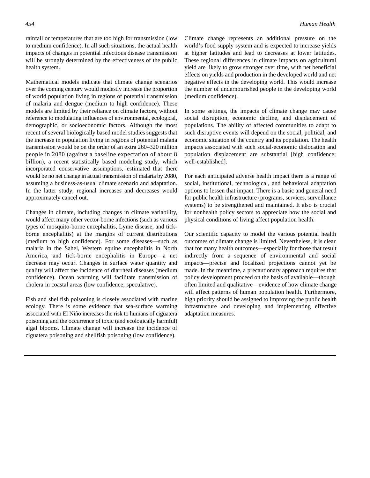rainfall or temperatures that are too high for transmission (low to medium confidence). In all such situations, the actual health impacts of changes in potential infectious disease transmission will be strongly determined by the effectiveness of the public health system.

Mathematical models indicate that climate change scenarios over the coming century would modestly increase the proportion of world population living in regions of potential transmission of malaria and dengue (medium to high confidence). These models are limited by their reliance on climate factors, without reference to modulating influences of environmental, ecological, demographic, or socioeconomic factors. Although the most recent of several biologically based model studies suggests that the increase in population living in regions of potential malaria transmission would be on the order of an extra 260–320 million people in 2080 (against a baseline expectation of about 8 billion), a recent statistically based modeling study, which incorporated conservative assumptions, estimated that there would be no net change in actual transmission of malaria by 2080, assuming a business-as-usual climate scenario and adaptation. In the latter study, regional increases and decreases would approximately cancel out.

Changes in climate, including changes in climate variability, would affect many other vector-borne infections (such as various types of mosquito-borne encephalitis, Lyme disease, and tickborne encephalitis) at the margins of current distributions (medium to high confidence). For some diseases—such as malaria in the Sahel, Western equine encephalitis in North America, and tick-borne encephalitis in Europe—a net decrease may occur. Changes in surface water quantity and quality will affect the incidence of diarrheal diseases (medium confidence). Ocean warming will facilitate transmission of cholera in coastal areas (low confidence; speculative).

Fish and shellfish poisoning is closely associated with marine ecology. There is some evidence that sea-surface warming associated with El Niño increases the risk to humans of ciguatera poisoning and the occurrence of toxic (and ecologically harmful) algal blooms. Climate change will increase the incidence of ciguatera poisoning and shellfish poisoning (low confidence).

Climate change represents an additional pressure on the world's food supply system and is expected to increase yields at higher latitudes and lead to decreases at lower latitudes. These regional differences in climate impacts on agricultural yield are likely to grow stronger over time, with net beneficial effects on yields and production in the developed world and net negative effects in the developing world. This would increase the number of undernourished people in the developing world (medium confidence).

In some settings, the impacts of climate change may cause social disruption, economic decline, and displacement of populations. The ability of affected communities to adapt to such disruptive events will depend on the social, political, and economic situation of the country and its population. The health impacts associated with such social-economic dislocation and population displacement are substantial [high confidence; well-established].

For each anticipated adverse health impact there is a range of social, institutional, technological, and behavioral adaptation options to lessen that impact. There is a basic and general need for public health infrastructure (programs, services, surveillance systems) to be strengthened and maintained. It also is crucial for nonhealth policy sectors to appreciate how the social and physical conditions of living affect population health.

Our scientific capacity to model the various potential health outcomes of climate change is limited. Nevertheless, it is clear that for many health outcomes—especially for those that result indirectly from a sequence of environmental and social impacts—precise and localized projections cannot yet be made. In the meantime, a precautionary approach requires that policy development proceed on the basis of available—though often limited and qualitative—evidence of how climate change will affect patterns of human population health. Furthermore, high priority should be assigned to improving the public health infrastructure and developing and implementing effective adaptation measures.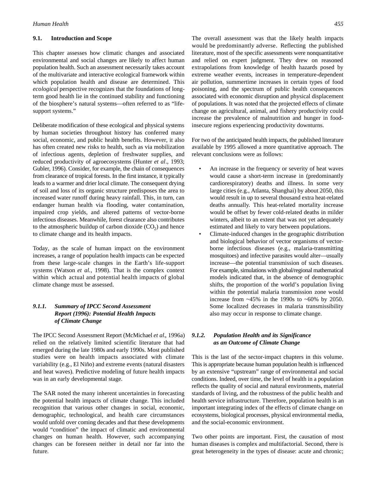#### **9.1. Introduction and Scope**

This chapter assesses how climatic changes and associated environmental and social changes are likely to affect human population health. Such an assessment necessarily takes account of the multivariate and interactive ecological framework within which population health and disease are determined. This *ecological* perspective recognizes that the foundations of longterm good health lie in the continued stability and functioning of the biosphere's natural systems—often referred to as "lifesupport systems."

Deliberate modification of these ecological and physical systems by human societies throughout history has conferred many social, economic, and public health benefits. However, it also has often created new risks to health, such as via mobilization of infectious agents, depletion of freshwater supplies, and reduced productivity of agroecosystems (Hunter *et al*., 1993; Gubler, 1996). Consider, for example, the chain of consequences from clearance of tropical forests. In the first instance, it typically leads to a warmer and drier local climate. The consequent drying of soil and loss of its organic structure predisposes the area to increased water runoff during heavy rainfall. This, in turn, can endanger human health via flooding, water contamination, impaired crop yields, and altered patterns of vector-borne infectious diseases. Meanwhile, forest clearance also contributes to the atmospheric buildup of carbon dioxide  $(CO_2)$  and hence to climate change and its health impacts.

Today, as the scale of human impact on the environment increases, a range of population health impacts can be expected from these large-scale changes in the Earth's life-support systems (Watson *et al.*, 1998). That is the complex context within which actual and potential health impacts of global climate change must be assessed.

#### *9.1.1. Summary of IPCC Second Assessment Report (1996): Potential Health Impacts of Climate Change*

The IPCC Second Assessment Report (McMichael *et al.*, 1996a) relied on the relatively limited scientific literature that had emerged during the late 1980s and early 1990s. Most published studies were on health impacts associated with climate variability (e.g., El Niño) and extreme events (natural disasters and heat waves). Predictive modeling of future health impacts was in an early developmental stage.

The SAR noted the many inherent uncertainties in forecasting the potential health impacts of climate change. This included recognition that various other changes in social, economic, demographic, technological, and health care circumstances would unfold over coming decades and that these developments would "condition" the impact of climatic and environmental changes on human health. However, such accompanying changes can be foreseen neither in detail nor far into the future.

The overall assessment was that the likely health impacts would be predominantly adverse. Reflecting the published literature, most of the specific assessments were nonquantitative and relied on expert judgment. They drew on reasoned extrapolations from knowledge of health hazards posed by extreme weather events, increases in temperature-dependent air pollution, summertime increases in certain types of food poisoning, and the spectrum of public health consequences associated with economic disruption and physical displacement of populations. It was noted that the projected effects of climate change on agricultural, animal, and fishery productivity could increase the prevalence of malnutrition and hunger in foodinsecure regions experiencing productivity downturns.

For two of the anticipated health impacts, the published literature available by 1995 allowed a more quantitative approach. The relevant conclusions were as follows:

- An increase in the frequency or severity of heat waves would cause a short-term increase in (predominantly cardiorespiratory) deaths and illness. In some very large cities (e.g., Atlanta, Shanghai) by about 2050, this would result in up to several thousand extra heat-related deaths annually. This heat-related mortality increase would be offset by fewer cold-related deaths in milder winters, albeit to an extent that was not yet adequately estimated and likely to vary between populations.
- Climate-induced changes in the geographic distribution and biological behavior of vector organisms of vectorborne infectious diseases (e.g., malaria-transmitting mosquitoes) and infective parasites would alter—usually increase—the potential transmission of such diseases. For example, simulations with global/regional mathematical models indicated that, in the absence of demographic shifts, the proportion of the world's population living within the potential malaria transmission zone would increase from  $~45\%$  in the 1990s to  $~60\%$  by 2050. Some localized decreases in malaria transmissibility also may occur in response to climate change.

#### *9.1.2. Population Health and its Significance as an Outcome of Climate Change*

This is the last of the sector-impact chapters in this volume. This is appropriate because human population health is influenced by an extensive "upstream" range of environmental and social conditions. Indeed, over time, the level of health in a population reflects the quality of social and natural environments, material standards of living, and the robustness of the public health and health service infrastructure. Therefore, population health is an important integrating index of the effects of climate change on ecosystems, biological processes, physical environmental media, and the social-economic environment.

Two other points are important. First, the causation of most human diseases is complex and multifactorial. Second, there is great heterogeneity in the types of disease: acute and chronic;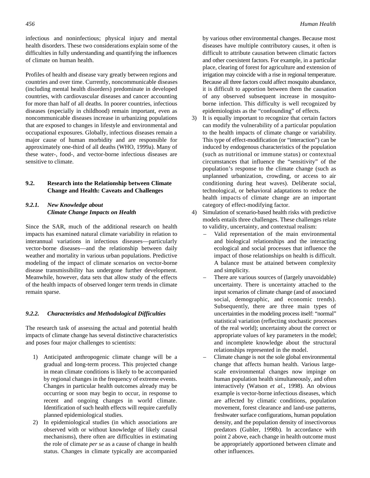infectious and noninfectious; physical injury and mental health disorders. These two considerations explain some of the difficulties in fully understanding and quantifying the influences of climate on human health.

Profiles of health and disease vary greatly between regions and countries and over time. Currently, noncommunicable diseases (including mental health disorders) predominate in developed countries, with cardiovascular diseases and cancer accounting for more than half of all deaths. In poorer countries, infectious diseases (especially in childhood) remain important, even as noncommunicable diseases increase in urbanizing populations that are exposed to changes in lifestyle and environmental and occupational exposures. Globally, infectious diseases remain a major cause of human morbidity and are responsible for approximately one-third of all deaths (WHO, 1999a). Many of these water-, food-, and vector-borne infectious diseases are sensitive to climate.

#### **9.2. Research into the Relationship between Climate Change and Health: Caveats and Challenges**

#### *9.2.1. New Knowledge about Climate Change Impacts on Health*

Since the SAR, much of the additional research on health impacts has examined natural climate variability in relation to interannual variations in infectious diseases—particularly vector-borne diseases—and the relationship between daily weather and mortality in various urban populations. Predictive modeling of the impact of climate scenarios on vector-borne disease transmissibility has undergone further development. Meanwhile, however, data sets that allow study of the effects of the health impacts of observed longer term trends in climate remain sparse.

#### *9.2.2. Characteristics and Methodological Difficulties*

The research task of assessing the actual and potential health impacts of climate change has several distinctive characteristics and poses four major challenges to scientists:

- 1) Anticipated anthropogenic climate change will be a gradual and long-term process. This projected change in mean climate conditions is likely to be accompanied by regional changes in the frequency of extreme events. Changes in particular health outcomes already may be occurring or soon may begin to occur, in response to recent and ongoing changes in world climate. Identification of such health effects will require carefully planned epidemiological studies.
- 2) In epidemiological studies (in which associations are observed with or without knowledge of likely causal mechanisms), there often are difficulties in estimating the role of climate *per se* as a cause of change in health status. Changes in climate typically are accompanied

by various other environmental changes. Because most diseases have multiple contributory causes, it often is difficult to attribute causation between climatic factors and other coexistent factors. For example, in a particular place, clearing of forest for agriculture and extension of irrigation may coincide with a rise in regional temperature. Because all three factors could affect mosquito abundance, it is difficult to apportion between them the causation of any observed subsequent increase in mosquitoborne infection. This difficulty is well recognized by epidemiologists as the "confounding" of effects.

- 3) It is equally important to recognize that certain factors can modify the vulnerability of a particular population to the health impacts of climate change or variability. This type of effect-modification (or "interaction") can be induced by endogenous characteristics of the population (such as nutritional or immune status) or contextual circumstances that influence the "sensitivity" of the population's response to the climate change (such as unplanned urbanization, crowding, or access to air conditioning during heat waves). Deliberate social, technological, or behavioral adaptations to reduce the health impacts of climate change are an important category of effect-modifying factor.
- 4) Simulation of scenario-based health risks with predictive models entails three challenges. These challenges relate to validity, uncertainty, and contextual realism:
	- Valid representation of the main environmental and biological relationships and the interacting ecological and social processes that influence the impact of those relationships on health is difficult. A balance must be attained between complexity and simplicity.
	- There are various sources of (largely unavoidable) uncertainty. There is uncertainty attached to the input scenarios of climate change (and of associated social, demographic, and economic trends). Subsequently, there are three main types of uncertainties in the modeling process itself: "normal" statistical variation (reflecting stochastic processes of the real world); uncertainty about the correct or appropriate values of key parameters in the model; and incomplete knowledge about the structural relationships represented in the model.
	- Climate change is not the sole global environmental change that affects human health. Various largescale environmental changes now impinge on human population health simultaneously, and often interactively (Watson *et al.*, 1998). An obvious example is vector-borne infectious diseases, which are affected by climatic conditions, population movement, forest clearance and land-use patterns, freshwater surface configurations, human population density, and the population density of insectivorous predators (Gubler, 1998b). In accordance with point 2 above, each change in health outcome must be appropriately apportioned between climate and other influences.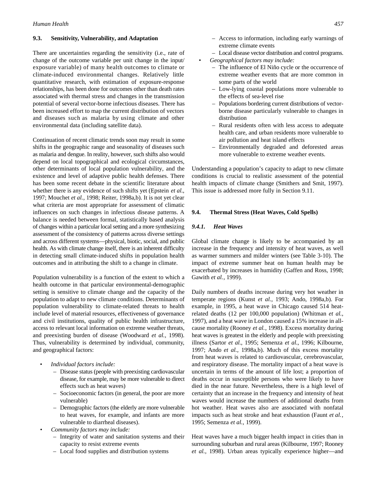#### **9.3. Sensitivity, Vulnerability, and Adaptation**

There are uncertainties regarding the sensitivity (i.e., rate of change of the outcome variable per unit change in the input/ exposure variable) of many health outcomes to climate or climate-induced environmental changes. Relatively little quantitative research, with estimation of exposure-response relationships, has been done for outcomes other than death rates associated with thermal stress and changes in the transmission potential of several vector-borne infectious diseases. There has been increased effort to map the current distribution of vectors and diseases such as malaria by using climate and other environmental data (including satellite data).

Continuation of recent climatic trends soon may result in some shifts in the geographic range and seasonality of diseases such as malaria and dengue. In reality, however, such shifts also would depend on local topographical and ecological circumstances, other determinants of local population vulnerability, and the existence and level of adaptive public health defenses. There has been some recent debate in the scientific literature about whether there is any evidence of such shifts yet (Epstein *et al.*, 1997; Mouchet *et al.*, 1998; Reiter, 1998a,b). It is not yet clear what criteria are most appropriate for assessment of climatic influences on such changes in infectious disease patterns. A balance is needed between formal, statistically based analysis of changes within a particular local setting and a more synthesizing assessment of the consistency of patterns across diverse settings and across different systems—physical, biotic, social, and public health. As with climate change itself, there is an inherent difficulty in detecting small climate-induced shifts in population health outcomes and in attributing the shift to a change in climate.

Population vulnerability is a function of the extent to which a health outcome in that particular environmental-demographic setting is sensitive to climate change and the capacity of the population to adapt to new climate conditions. Determinants of population vulnerability to climate-related threats to health include level of material resources, effectiveness of governance and civil institutions, quality of public health infrastructure, access to relevant local information on extreme weather threats, and preexisting burden of disease (Woodward *et al.,* 1998). Thus, vulnerability is determined by individual, community, and geographical factors:

- *Individual factors include:*
	- Disease status (people with preexisting cardiovascular disease, for example, may be more vulnerable to direct effects such as heat waves)
	- Socioeconomic factors (in general, the poor are more vulnerable)
	- Demographic factors (the elderly are more vulnerable to heat waves, for example, and infants are more vulnerable to diarrheal diseases).
- *Community factors may include:*
	- Integrity of water and sanitation systems and their capacity to resist extreme events
	- Local food supplies and distribution systems
- Access to information, including early warnings of extreme climate events
- Local disease vector distribution and control programs.
- *Geographical factors may include:*
	- The influence of El Niño cycle or the occurrence of extreme weather events that are more common in some parts of the world
	- Low-lying coastal populations more vulnerable to the effects of sea-level rise
	- Populations bordering current distributions of vectorborne disease particularly vulnerable to changes in distribution
	- Rural residents often with less access to adequate health care, and urban residents more vulnerable to air pollution and heat island effects
	- Environmentally degraded and deforested areas more vulnerable to extreme weather events.

Understanding a population's capacity to adapt to new climate conditions is crucial to realistic assessment of the potential health impacts of climate change (Smithers and Smit, 1997). This issue is addressed more fully in Section 9.11.

#### **9.4. Thermal Stress (Heat Waves, Cold Spells)**

#### *9.4.1. Heat Waves*

Global climate change is likely to be accompanied by an increase in the frequency and intensity of heat waves, as well as warmer summers and milder winters (see Table 3-10). The impact of extreme summer heat on human health may be exacerbated by increases in humidity (Gaffen and Ross, 1998; Gawith *et al.*, 1999).

Daily numbers of deaths increase during very hot weather in temperate regions (Kunst *et al.*, 1993; Ando, 1998a,b). For example, in 1995, a heat wave in Chicago caused 514 heatrelated deaths (12 per 100,000 population) (Whitman *et al.*, 1997), and a heat wave in London caused a 15% increase in allcause mortality (Rooney *et al.*, 1998). Excess mortality during heat waves is greatest in the elderly and people with preexisting illness (Sartor *et al.*, 1995; Semenza *et al.*, 1996; Kilbourne, 1997; Ando *et al.,* 1998a,b). Much of this excess mortality from heat waves is related to cardiovascular, cerebrovascular, and respiratory disease. The mortality impact of a heat wave is uncertain in terms of the amount of life lost; a proportion of deaths occur in susceptible persons who were likely to have died in the near future. Nevertheless, there is a high level of certainty that an increase in the frequency and intensity of heat waves would increase the numbers of additional deaths from hot weather. Heat waves also are associated with nonfatal impacts such as heat stroke and heat exhaustion (Faunt *et al.*, 1995; Semenza *et al.,* 1999).

Heat waves have a much bigger health impact in cities than in surrounding suburban and rural areas (Kilbourne, 1997; Rooney *et al.*, 1998). Urban areas typically experience higher—and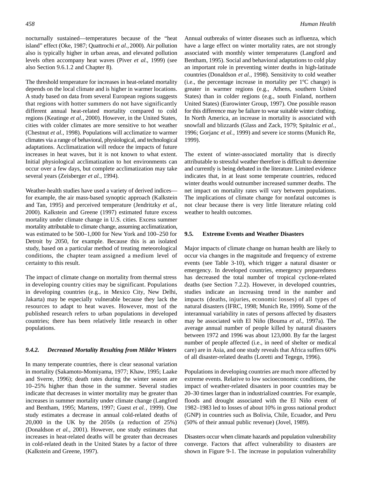nocturnally sustained—temperatures because of the "heat island" effect (Oke, 1987; Quattrochi *et al.,* 2000). Air pollution also is typically higher in urban areas, and elevated pollution levels often accompany heat waves (Piver *et al.*, 1999) (see also Section 9.6.1.2 and Chapter 8).

The threshold temperature for increases in heat-related mortality depends on the local climate and is higher in warmer locations. A study based on data from several European regions suggests that regions with hotter summers do not have significantly different annual heat-related mortality compared to cold regions (Keatinge *et al.*, 2000). However, in the United States, cities with colder climates are more sensitive to hot weather (Chestnut *et al.*, 1998). Populations will acclimatize to warmer climates via a range of behavioral, physiological, and technological adaptations. Acclimatization will reduce the impacts of future increases in heat waves, but it is not known to what extent. Initial physiological acclimatization to hot environments can occur over a few days, but complete acclimatization may take several years (Zeisberger *et al.*, 1994).

We a the r-health studies have used a variety of derived indices for example, the air mass-based synoptic approach (Kalkstein and Tan, 1995) and perceived temperature (Jendritzky *et al.,* 2000). Kalkstein and Greene (1997) estimated future excess mortality under climate change in U.S. cities. Excess summer mortality attributable to climate change, assuming acclimatization, was estimated to be 500–1,000 for New York and 100–250 for Detroit by 2050, for example. Because this is an isolated study, based on a particular method of treating meteorological conditions, the chapter team assigned a medium level of certainty to this result.

The impact of climate change on mortality from thermal stress in developing country cities may be significant. Populations in developing countries (e.g., in Mexico City, New Delhi, Jakarta) may be especially vulnerable because they lack the resources to adapt to heat waves. However, most of the published research refers to urban populations in developed countries; there has been relatively little research in other populations.

#### *9.4.2. Decreased Mortality Resulting from Milder Winters*

In many temperate countries, there is clear seasonal variation in mortality (Sakamoto-Momiyama, 1977; Khaw, 1995; Laake and Sverre, 1996); death rates during the winter season are 10–25% higher than those in the summer. Several studies indicate that decreases in winter mortality may be greater than increases in summer mortality under climate change (Langford and Bentham, 1995; Martens, 1997; Guest *et al.*, 1999). One study estimates a decrease in annual cold-related deaths of 20,000 in the UK by the 2050s (a reduction of 25%) (Donaldson *et al.*, 2001). However, one study estimates that increases in heat-related deaths will be greater than decreases in cold-related death in the United States by a factor of three (Kalkstein and Greene, 1997).

Annual outbreaks of winter diseases such as influenza, which have a large effect on winter mortality rates, are not strongly associated with monthly winter temperatures (Langford and Bentham, 1995). Social and behavioral adaptations to cold play an important role in preventing winter deaths in high-latitude countries (Donaldson *et al.*, 1998). Sensitivity to cold weather (i.e., the percentage increase in mortality per 1ºC change) is greater in warmer regions (e.g., Athens, southern United States) than in colder regions (e.g., south Finland, northern United States) (Eurowinter Group, 1997). One possible reason for this difference may be failure to wear suitable winter clothing. In North America, an increase in mortality is associated with snowfall and blizzards (Glass and Zack, 1979; Spitalnic *et al.*, 1996; Gorjanc *et al.*, 1999) and severe ice storms (Munich Re, 1999).

The extent of winter-associated mortality that is directly attributable to stressful weather therefore is difficult to determine and currently is being debated in the literature. Limited evidence indicates that, in at least some temperate countries, reduced winter deaths would outnumber increased summer deaths. The net impact on mortality rates will vary between populations. The implications of climate change for nonfatal outcomes is not clear because there is very little literature relating cold weather to health outcomes.

#### **9.5. Extreme Events and Weather Disasters**

Major impacts of climate change on human health are likely to occur via changes in the magnitude and frequency of extreme events (see Table 3-10), which trigger a natural disaster or emergency. In developed countries, emergency preparedness has decreased the total number of tropical cyclone-related deaths (see Section 7.2.2). However, in developed countries, studies indicate an increasing trend in the number and impacts (deaths, injuries, economic losses) of all types of natural disasters (IFRC, 1998; Munich Re, 1999). Some of the interannual variability in rates of persons affected by disasters may be associated with El Niño (Bouma *et al.*, 1997a). The average annual number of people killed by natural disasters between 1972 and 1996 was about 123,000. By far the largest number of people affected (i.e., in need of shelter or medical care) are in Asia, and one study reveals that Africa suffers 60% of all disaster-related deaths (Loretti and Tegegn, 1996).

Populations in developing countries are much more affected by extreme events. Relative to low socioeconomic conditions, the impact of weather-related disasters in poor countries may be 20–30 times larger than in industrialized countries. For example, floods and drought associated with the El Niño event of 1982–1983 led to losses of about 10% in gross national product (GNP) in countries such as Bolivia, Chile, Ecuador, and Peru (50% of their annual public revenue) (Jovel, 1989).

Disasters occur when climate hazards and population vulnerability converge. Factors that affect vulnerability to disasters are shown in Figure 9-1. The increase in population vulnerability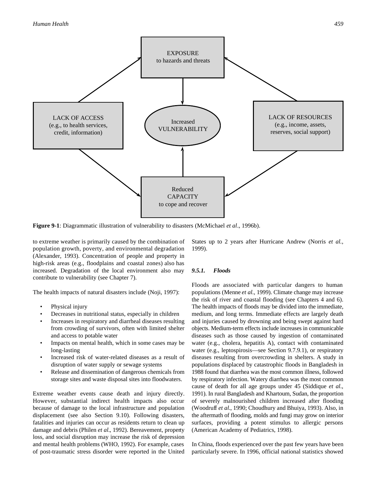

**Figure 9-1**: Diagrammatic illustration of vulnerability to disasters (McMichael *et al*., 1996b).

to extreme weather is primarily caused by the combination of population growth, poverty, and environmental degradation (Alexander, 1993). Concentration of people and property in high-risk areas (e.g., floodplains and coastal zones) also has increased. Degradation of the local environment also may contribute to vulnerability (see Chapter 7).

The health impacts of natural disasters include (Noji, 1997):

- Physical injury
- Decreases in nutritional status, especially in children
- Increases in respiratory and diarrheal diseases resulting from crowding of survivors, often with limited shelter and access to potable water
- Impacts on mental health, which in some cases may be long-lasting
- Increased risk of water-related diseases as a result of disruption of water supply or sewage systems
- Release and dissemination of dangerous chemicals from storage sites and waste disposal sites into floodwaters.

Extreme weather events cause death and injury directly. However, substantial indirect health impacts also occur because of damage to the local infrastructure and population displacement (see also Section 9.10). Following disasters, fatalities and injuries can occur as residents return to clean up damage and debris (Philen *et al.*, 1992). Bereavement, property loss, and social disruption may increase the risk of depression and mental health problems (WHO, 1992). For example, cases of post-traumatic stress disorder were reported in the United States up to 2 years after Hurricane Andrew (Norris *et al.*, 1999).

#### *9.5.1. Floods*

Floods are associated with particular dangers to human populations (Menne et al., 1999). Climate change may increase the risk of river and coastal flooding (see Chapters 4 and 6). The health impacts of floods may be divided into the immediate, medium, and long terms. Immediate effects are largely death and injuries caused by drowning and being swept against hard objects. Medium-term effects include increases in communicable diseases such as those caused by ingestion of contaminated water (e.g., cholera, hepatitis A), contact with contaminated water (e.g., leptospirosis—see Section 9.7.9.1), or respiratory diseases resulting from overcrowding in shelters. A study in populations displaced by catastrophic floods in Bangladesh in 1988 found that diarrhea was the most common illness, followed by respiratory infection. Watery diarrhea was the most common cause of death for all age groups under 45 (Siddique *et al.*, 1991). In rural Bangladesh and Khartoum, Sudan, the proportion of severely malnourished children increased after flooding (Woodruff *et al.*, 1990; Choudhury and Bhuiya, 1993). Also, in the aftermath of flooding, molds and fungi may grow on interior surfaces, providing a potent stimulus to allergic persons (American Academy of Pediatrics, 1998).

In China, floods experienced over the past few years have been particularly severe. In 1996, official national statistics showed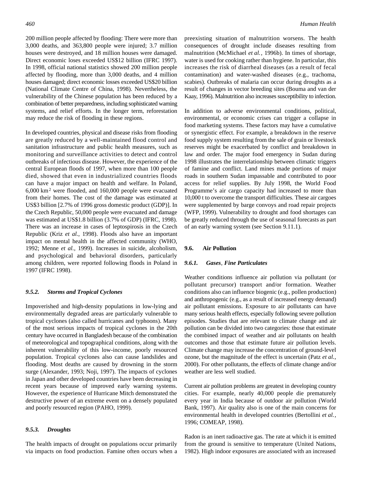200 million people affected by flooding: There were more than 3,000 deaths, and 363,800 people were injured; 3.7 million houses were destroyed, and 18 million houses were damaged. Direct economic loses exceeded US\$12 billion (IFRC 1997). In 1998, official national statistics showed 200 million people affected by flooding, more than 3,000 deaths, and 4 million houses damaged; direct economic losses exceeded US\$20 billion (National Climate Centre of China, 1998). Nevertheless, the vulnerability of the Chinese population has been reduced by a combination of better preparedness, including sophisticated warning systems, and relief efforts. In the longer term, reforestation may reduce the risk of flooding in these regions.

In developed countries, physical and disease risks from flooding are greatly reduced by a well-maintained flood control and sanitation infrastructure and public health measures, such as monitoring and surveillance activities to detect and control outbreaks of infectious disease. However, the experience of the central European floods of 1997, when more than 100 people died, showed that even in industrialized countries floods can have a major impact on health and welfare. In Poland, 6,000 km<sup>2</sup> were flooded, and 160,000 people were evacuated from their homes. The cost of the damage was estimated at US\$3 billion [2.7% of 1996 gross domestic product (GDP)]. In the Czech Republic, 50,000 people were evacuated and damage was estimated at US\$1.8 billion (3.7% of GDP) (IFRC, 1998). There was an increase in cases of leptospirosis in the Czech Republic (Kriz *et al.*, 1998). Floods also have an important impact on mental health in the affected community (WHO, 1992; Menne *et al.*, 1999). Increases in suicide, alcoholism, and psychological and behavioral disorders, particularly among children, were reported following floods in Poland in 1997 (IFRC 1998).

#### *9.5.2. Storms and Tropical Cyclones*

Impoverished and high-density populations in low-lying and environmentally degraded areas are particularly vulnerable to tropical cyclones (also called hurricanes and typhoons). Many of the most serious impacts of tropical cyclones in the 20th century have occurred in Bangladesh because of the combination of meteorological and topographical conditions, along with the inherent vulnerability of this low-income, poorly resourced population. Tropical cyclones also can cause landslides and flooding. Most deaths are caused by drowning in the storm surge (Alexander, 1993; Noji, 1997). The impacts of cyclones in Japan and other developed countries have been decreasing in recent years because of improved early warning systems. However, the experience of Hurricane Mitch demonstrated the destructive power of an extreme event on a densely populated and poorly resourced region (PAHO, 1999).

#### *9.5.3. Droughts*

The health impacts of drought on populations occur primarily via impacts on food production. Famine often occurs when a preexisting situation of malnutrition worsens. The health consequences of drought include diseases resulting from malnutrition (McMichael et al., 1996b). In times of shortage, water is used for cooking rather than hygiene. In particular, this increases the risk of diarrheal diseases (as a result of fecal contamination) and water-washed diseases (e.g., trachoma, scabies). Outbreaks of malaria can occur during droughts as a result of changes in vector breeding sites (Bouma and van der Kaay, 1996). Malnutrition also increases susceptibility to infection.

In addition to adverse environmental conditions, political, environmental, or economic crises can trigger a collapse in food marketing systems. These factors may have a cumulative or synergistic effect. For example, a breakdown in the reserve food supply system resulting from the sale of grain or livestock reserves might be exacerbated by conflict and breakdown in law and order. The major food emergency in Sudan during 1998 illustrates the interrelationship between climatic triggers of famine and conflict. Land mines made portions of major roads in southern Sudan impassable and contributed to poor access for relief supplies. By July 1998, the World Food Programme's air cargo capacity had increased to more than 10,000 t to overcome the transport difficulties. These air cargoes were supplemented by barge convoys and road repair projects (WFP, 1999). Vulnerability to drought and food shortages can be greatly reduced through the use of seasonal forecasts as part of an early warning system (see Section 9.11.1).

#### **9.6. Air Pollution**

#### *9.6.1. Gases*, *Fine Particulates*

Weather conditions influence air pollution via pollutant (or pollutant precursor) transport and/or formation. Weather conditions also can influence biogenic (e.g., pollen production) and anthropogenic (e.g., as a result of increased energy demand) air pollutant emissions. Exposure to air pollutants can have many serious health effects, especially following severe pollution episodes. Studies that are relevant to climate change and air pollution can be divided into two categories: those that estimate the combined impact of weather and air pollutants on health outcomes and those that estimate future air pollution levels. Climate change may increase the concentration of ground-level ozone, but the magnitude of the effect is uncertain (Patz *et al.*, 2000). For other pollutants, the effects of climate change and/or weather are less well studied.

Current air pollution problems are greatest in developing country cities. For example, nearly 40,000 people die prematurely every year in India because of outdoor air pollution (World Bank, 1997). Air quality also is one of the main concerns for environmental health in developed countries (Bertollini *et al.*, 1996; COMEAP, 1998).

Radon is an inert radioactive gas. The rate at which it is emitted from the ground is sensitive to temperature (United Nations, 1982). High indoor exposures are associated with an increased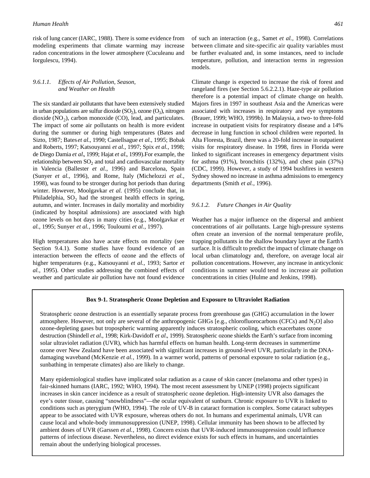risk of lung cancer (IARC, 1988). There is some evidence from modeling experiments that climate warming may increase radon concentrations in the lower atmosphere (Cuculeanu and Iorgulescu, 1994).

#### *9.6.1.1. Effects of Air Pollution, Season, and Weather on Health*

The six standard air pollutants that have been extensively studied in urban populations are sulfur dioxide  $(SO_2)$ , ozone  $(O_3)$ , nitrogen dioxide  $(NO<sub>2</sub>)$ , carbon monoxide  $(CO)$ , lead, and particulates. The impact of some air pollutants on health is more evident during the summer or during high temperatures (Bates and Sizto, 1987; Bates *et al.*, 1990; Castellsague *et al.*, 1995; Bobak and Roberts, 1997; Katsouyanni *et al.*, 1997; Spix *et al.*, 1998; de Diego Damia *et al.*, 1999; Hajat *et al.*, 1999).For example, the relationship between  ${SO_2}$  and total and cardiovascular mortality in Valencia (Ballester *et al.*, 1996) and Barcelona, Spain (Sunyer *et al.*, 1996), and Rome, Italy (Michelozzi *et al.,* 1998), was found to be stronger during hot periods than during winter. However, Moolgavkar *et al.* (1995) conclude that, in Philadelphia,  $SO<sub>2</sub>$  had the strongest health effects in spring, autumn, and winter. Increases in daily mortality and morbidity (indicated by hospital admissions) are associated with high ozone levels on hot days in many cities (e.g., Moolgavkar *et al.*, 1995; Sunyer *et al.*, 1996; Touloumi *et al.*, 1997).

High temperatures also have acute effects on mortality (see Section 9.4.1). Some studies have found evidence of an interaction between the effects of ozone and the effects of higher temperatures (e.g., Katsouyanni *et al.*, 1993; Sartor *et al.*, 1995). Other studies addressing the combined effects of weather and particulate air pollution have not found evidence of such an interaction (e.g., Samet *et al.,* 1998). Correlations between climate and site-specific air quality variables must be further evaluated and, in some instances, need to include temperature, pollution, and interaction terms in regression models.

Climate change is expected to increase the risk of forest and rangeland fires (see Section 5.6.2.2.1). Haze-type air pollution therefore is a potential impact of climate change on health. Majors fires in 1997 in southeast Asia and the Americas were associated with increases in respiratory and eye symptoms (Brauer, 1999; WHO, 1999b). In Malaysia, a two- to three-fold increase in outpatient visits for respiratory disease and a 14% decrease in lung function in school children were reported. In Alta Floresta, Brazil, there was a 20-fold increase in outpatient visits for respiratory disease. In 1998, fires in Florida were linked to significant increases in emergency department visits for asthma (91%), bronchitis (132%), and chest pain (37%) (CDC, 1999). However, a study of 1994 bushfires in western Sydney showed no increase in asthma admissions to emergency departments (Smith *et al.*, 1996).

#### *9.6.1.2. Future Changes in Air Quality*

Weather has a major influence on the dispersal and ambient concentrations of air pollutants. Large high-pressure systems often create an inversion of the normal temperature profile, trapping pollutants in the shallow boundary layer at the Earth's surface. It is difficult to predict the impact of climate change on local urban climatology and, therefore, on average local air pollution concentrations. However, any increase in anticyclonic conditions in summer would tend to increase air pollution concentrations in cities (Hulme and Jenkins, 1998).

#### **Box 9-1. Stratospheric Ozone Depletion and Exposure to Ultraviolet Radiation**

Stratospheric ozone destruction is an essentially separate process from greenhouse gas (GHG) accumulation in the lower atmosphere. However, not only are several of the anthropogenic GHGs [e.g., chlorofluorocarbons (CFCs) and  $N_2O$ ] also ozone-depleting gases but tropospheric warming apparently induces stratospheric cooling, which exacerbates ozone destruction (Shindell *et al.*, 1998; Kirk-Davidoff *et al.*, 1999). Stratospheric ozone shields the Earth's surface from incoming solar ultraviolet radiation (UVR), which has harmful effects on human health. Long-term decreases in summertime ozone over New Zealand have been associated with significant increases in ground-level UVR, particularly in the DNAdamaging waveband (McKenzie *et al.*, 1999). In a warmer world, patterns of personal exposure to solar radiation (e.g., sunbathing in temperate climates) also are likely to change.

Many epidemiological studies have implicated solar radiation as a cause of skin cancer (melanoma and other types) in fair-skinned humans (IARC, 1992; WHO, 1994). The most recent assessment by UNEP (1998) projects significant increases in skin cancer incidence as a result of stratospheric ozone depletion. High-intensity UVR also damages the eye's outer tissue, causing "snowblindness"—the ocular equivalent of sunburn. Chronic exposure to UVR is linked to conditions such as pterygium (WHO, 1994). The role of UV-B in cataract formation is complex. Some cataract subtypes appear to be associated with UVR exposure, whereas others do not. In humans and experimental animals, UVR can cause local and whole-body immunosuppression (UNEP, 1998). Cellular immunity has been shown to be affected by ambient doses of UVR (Garssen *et al.*, 1998). Concern exists that UVR-induced immunosuppression could influence patterns of infectious disease. Nevertheless, no direct evidence exists for such effects in humans, and uncertainties remain about the underlying biological processes.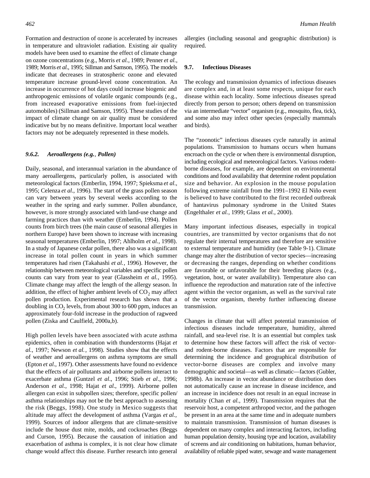Formation and destruction of ozone is accelerated by increases in temperature and ultraviolet radiation. Existing air quality models have been used to examine the effect of climate change on ozone concentrations (e.g., Morris *et al.,* 1989; Penner *et al.,* 1989; Morris *et al.*, 1995; Sillman and Samson, 1995). The models indicate that decreases in stratospheric ozone and elevated temperature increase ground-level ozone concentration. An increase in occurrence of hot days could increase biogenic and anthropogenic emissions of volatile organic compounds (e.g., from increased evaporative emissions from fuel-injected automobiles) (Sillman and Samson, 1995). These studies of the impact of climate change on air quality must be considered indicative but by no means definitive. Important local weather factors may not be adequately represented in these models.

#### *9.6.2. Aeroallergens (e.g.*, *Pollen)*

Daily, seasonal, and interannual variation in the abundance of many aeroallergens, particularly pollen, is associated with meteorological factors (Emberlin, 1994, 1997; Spieksma *et al*., 1995; Celenza *et al.*, 1996). The start of the grass pollen season can vary between years by several weeks according to the weather in the spring and early summer. Pollen abundance, however, is more strongly associated with land-use change and farming practices than with weather (Emberlin, 1994). Pollen counts from birch trees (the main cause of seasonal allergies in northern Europe) have been shown to increase with increasing seasonal temperatures (Emberlin, 1997; Ahlholm *et al.*, 1998). In a study of Japanese cedar pollen, there also was a significant increase in total pollen count in years in which summer temperatures had risen (Takahashi et al., 1996). However, the relationship between meteorological variables and specific pollen counts can vary from year to year (Glassheim *et al.*, 1995). Climate change may affect the length of the allergy season. In addition, the effect of higher ambient levels of  $CO<sub>2</sub>$  may affect pollen production. Experimental research has shown that a doubling in  $CO<sub>2</sub>$  levels, from about 300 to 600 ppm, induces an approximately four-fold increase in the production of ragweed pollen (Ziska and Caulfield, 2000a,b).

High pollen levels have been associated with acute asthma epidemics, often in combination with thunderstorms (Hajat *et al.*, 1997; Newson *et al.*, 1998). Studies show that the effects of weather and aeroallergens on asthma symptoms are small (Epton *et al*., 1997). Other assessments have found no evidence that the effects of air pollutants and airborne pollens interact to exacerbate asthma (Guntzel *et al*., 1996; Stieb *et al*., 1996; Anderson *et al.*, 1998; Hajat *et al.*, 1999). Airborne pollen allergen can exist in subpollen sizes; therefore, specific pollen/ asthma relationships may not be the best approach to assessing the risk (Beggs, 1998). One study in Mexico suggests that altitude may affect the development of asthma (Vargas et al., 1999). Sources of indoor allergens that are climate-sensitive include the house dust mite, molds, and cockroaches (Beggs and Curson, 1995). Because the causation of initiation and exacerbation of asthma is complex, it is not clear how climate change would affect this disease. Further research into general allergies (including seasonal and geographic distribution) is required.

#### **9.7. Infectious Diseases**

The ecology and transmission dynamics of infectious diseases are complex and, in at least some respects, unique for each disease within each locality. Some infectious diseases spread directly from person to person; others depend on transmission via an intermediate "vector" organism (e.g., mosquito, flea, tick), and some also may infect other species (especially mammals and birds).

The "zoonotic" infectious diseases cycle naturally in animal populations. Transmission to humans occurs when humans encroach on the cycle or when there is environmental disruption, including ecological and meteorological factors. Various rodentborne diseases, for example, are dependent on environmental conditions and food availability that determine rodent population size and behavior. An explosion in the mouse population following extreme rainfall from the 1991–1992 El Niño event is believed to have contributed to the first recorded outbreak of hantavirus pulmonary syndrome in the United States (Engelthaler *et al.*, 1999; Glass *et al.*, 2000).

Many important infectious diseases, especially in tropical countries, are transmitted by vector organisms that do not regulate their internal temperatures and therefore are sensitive to external temperature and humidity (see Table 9-1). Climate change may alter the distribution of vector species—increasing or decreasing the ranges, depending on whether conditions are favorable or unfavorable for their breeding places (e.g., vegetation, host, or water availability). Temperature also can influence the reproduction and maturation rate of the infective agent within the vector organism, as well as the survival rate of the vector organism, thereby further influencing disease transmission.

Changes in climate that will affect potential transmission of infectious diseases include temperature, humidity, altered rainfall, and sea-level rise. It is an essential but complex task to determine how these factors will affect the risk of vectorand rodent-borne diseases. Factors that are responsible for determining the incidence and geographical distribution of vector-borne diseases are complex and involve many demographic and societal—as well as climatic—factors (Gubler, 1998b). An increase in vector abundance or distribution does not automatically cause an increase in disease incidence, and an increase in incidence does not result in an equal increase in mortality (Chan *et al.*, 1999). Transmission requires that the reservoir host, a competent arthropod vector, and the pathogen be present in an area at the same time and in adequate numbers to maintain transmission. Transmission of human diseases is dependent on many complex and interacting factors, including human population density, housing type and location, availability of screens and air conditioning on habitations, human behavior, availability of reliable piped water, sewage and waste management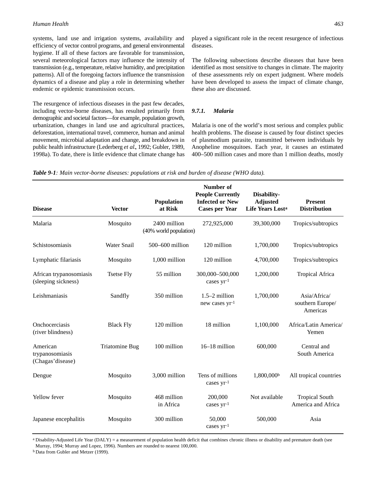systems, land use and irrigation systems, availability and efficiency of vector control programs, and general environmental hygiene. If all of these factors are favorable for transmission, several meteorological factors may influence the intensity of transmission (e.g., temperature, relative humidity, and precipitation patterns). All of the foregoing factors influence the transmission dynamics of a disease and play a role in determining whether endemic or epidemic transmission occurs.

The resurgence of infectious diseases in the past few decades, including vector-borne diseases, has resulted primarily from demographic and societal factors—for example, population growth, urbanization, changes in land use and agricultural practices, deforestation, international travel, commerce, human and animal movement, microbial adaptation and change, and breakdown in public health infrastructure (Lederberg *et al.*, 1992; Gubler, 1989, 1998a). To date, there is little evidence that climate change has played a significant role in the recent resurgence of infectious diseases.

The following subsections describe diseases that have been identified as most sensitive to changes in climate. The majority of these assessments rely on expert judgment. Where models have been developed to assess the impact of climate change, these also are discussed.

#### *9.7.1. Malaria*

Malaria is one of the world's most serious and complex public health problems. The disease is caused by four distinct species of plasmodium parasite, transmitted between individuals by Anopheline mosquitoes. Each year, it causes an estimated 400–500 million cases and more than 1 million deaths, mostly

*Table 9-1: Main vector-borne diseases: populations at risk and burden of disease (WHO data).*

| <b>Disease</b>                                  | <b>Vector</b>         | Population<br>at Risk                  | Number of<br><b>People Currently</b><br><b>Infected or New</b><br><b>Cases per Year</b> | Disability-<br><b>Adjusted</b><br><b>Life Years Losta</b> | <b>Present</b><br><b>Distribution</b>        |
|-------------------------------------------------|-----------------------|----------------------------------------|-----------------------------------------------------------------------------------------|-----------------------------------------------------------|----------------------------------------------|
| Malaria                                         | Mosquito              | 2400 million<br>(40% world population) | 272,925,000                                                                             | 39,300,000                                                | Tropics/subtropics                           |
| Schistosomiasis                                 | Water Snail           | 500-600 million                        | 120 million                                                                             | 1,700,000                                                 | Tropics/subtropics                           |
| Lymphatic filariasis                            | Mosquito              | 1,000 million                          | 120 million                                                                             | 4,700,000                                                 | Tropics/subtropics                           |
| African trypanosomiasis<br>(sleeping sickness)  | <b>Tsetse Fly</b>     | 55 million                             | 300,000-500,000<br>cases yr-1                                                           | 1,200,000                                                 | <b>Tropical Africa</b>                       |
| Leishmaniasis                                   | Sandfly               | 350 million                            | $1.5-2$ million<br>new cases yr-1                                                       | 1,700,000                                                 | Asia/Africa/<br>southern Europe/<br>Americas |
| Onchocerciasis<br>(river blindness)             | <b>Black Fly</b>      | 120 million                            | 18 million                                                                              | 1,100,000                                                 | Africa/Latin America/<br>Yemen               |
| American<br>trypanosomiasis<br>(Chagas'disease) | <b>Triatomine Bug</b> | 100 million                            | 16-18 million                                                                           | 600,000                                                   | Central and<br>South America                 |
| Dengue                                          | Mosquito              | 3,000 million                          | Tens of millions<br>cases yr-1                                                          | 1,800,000b                                                | All tropical countries                       |
| Yellow fever                                    | Mosquito              | 468 million<br>in Africa               | 200,000<br>cases yr-1                                                                   | Not available                                             | <b>Tropical South</b><br>America and Africa  |
| Japanese encephalitis                           | Mosquito              | 300 million                            | 50,000<br>cases yr-1                                                                    | 500,000                                                   | Asia                                         |

<sup>a</sup> Disability-Adjusted Life Year (DALY) = a measurement of population health deficit that combines chronic illness or disability and premature death (see Murray, 1994; Murray and Lopez, 1996). Numbers are rounded to nearest 100,000.

b Data from Gubler and Metzer (1999).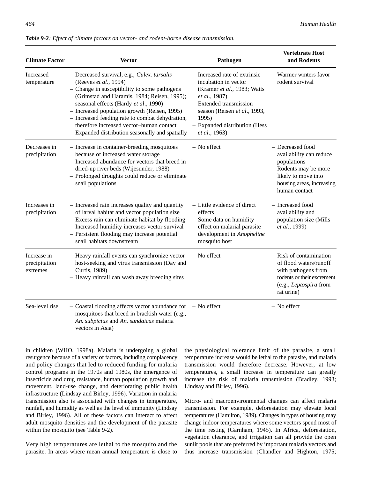| <b>Climate Factor</b>                    | Vector                                                                                                                                                                                                                                                                                                                                                                                                          | Pathogen                                                                                                                                                                                                                    | <b>Vertebrate Host</b><br>and Rodents                                                                                                                    |
|------------------------------------------|-----------------------------------------------------------------------------------------------------------------------------------------------------------------------------------------------------------------------------------------------------------------------------------------------------------------------------------------------------------------------------------------------------------------|-----------------------------------------------------------------------------------------------------------------------------------------------------------------------------------------------------------------------------|----------------------------------------------------------------------------------------------------------------------------------------------------------|
| Increased<br>temperature                 | - Decreased survival, e.g., Culex. tarsalis<br>(Reeves et al., 1994)<br>- Change in susceptibility to some pathogens<br>(Grimstad and Haramis, 1984; Reisen, 1995);<br>seasonal effects (Hardy et al., 1990)<br>- Increased population growth (Reisen, 1995)<br>- Increased feeding rate to combat dehydration,<br>therefore increased vector-human contact<br>- Expanded distribution seasonally and spatially | - Increased rate of extrinsic<br>incubation in vector<br>(Kramer et al., 1983; Watts<br>et al., 1987)<br>- Extended transmission<br>season (Reisen et al., 1993,<br>1995)<br>- Expanded distribution (Hess<br>et al., 1963) | - Warmer winters favor<br>rodent survival                                                                                                                |
| Decreases in<br>precipitation            | - Increase in container-breeding mosquitoes<br>because of increased water storage<br>- Increased abundance for vectors that breed in<br>dried-up river beds (Wijesunder, 1988)<br>- Prolonged droughts could reduce or eliminate<br>snail populations                                                                                                                                                           | - No effect                                                                                                                                                                                                                 | - Decreased food<br>availability can reduce<br>populations<br>- Rodents may be more<br>likely to move into<br>housing areas, increasing<br>human contact |
| Increases in<br>precipitation            | - Increased rain increases quality and quantity<br>of larval habitat and vector population size<br>- Excess rain can eliminate habitat by flooding<br>- Increased humidity increases vector survival<br>- Persistent flooding may increase potential<br>snail habitats downstream                                                                                                                               | - Little evidence of direct<br>effects<br>- Some data on humidity<br>effect on malarial parasite<br>development in Anopheline<br>mosquito host                                                                              | - Increased food<br>availability and<br>population size (Mills<br>et al., 1999)                                                                          |
| Increase in<br>precipitation<br>extremes | - Heavy rainfall events can synchronize vector<br>host-seeking and virus transmission (Day and<br>Curtis, 1989)<br>- Heavy rainfall can wash away breeding sites                                                                                                                                                                                                                                                | $-$ No effect                                                                                                                                                                                                               | - Risk of contamination<br>of flood waters/runoff<br>with pathogens from<br>rodents or their excrement<br>(e.g., Leptospira from<br>rat urine)           |
| Sea-level rise                           | $-$ Coastal flooding affects vector abundance for $-$ No effect<br>mosquitoes that breed in brackish water (e.g.,<br>An. subpictus and An. sundaicus malaria<br>vectors in Asia)                                                                                                                                                                                                                                |                                                                                                                                                                                                                             | - No effect                                                                                                                                              |

|  |  |  |  |  |  |  | Table 9-2: Effect of climate factors on vector- and rodent-borne disease transmission. |
|--|--|--|--|--|--|--|----------------------------------------------------------------------------------------|
|--|--|--|--|--|--|--|----------------------------------------------------------------------------------------|

in children (WHO, 1998a). Malaria is undergoing a global resurgence because of a variety of factors, including complacency and policy changes that led to reduced funding for malaria control programs in the 1970s and 1980s, the emergence of insecticide and drug resistance, human population growth and movement, land-use change, and deteriorating public health infrastructure (Lindsay and Birley, 1996). Variation in malaria transmission also is associated with changes in temperature, rainfall, and humidity as well as the level of immunity (Lindsay and Birley, 1996). All of these factors can interact to affect adult mosquito densities and the development of the parasite within the mosquito (see Table 9-2).

Very high temperatures are lethal to the mosquito and the parasite. In areas where mean annual temperature is close to the physiological tolerance limit of the parasite, a small temperature increase would be lethal to the parasite, and malaria transmission would therefore decrease. However, at low temperatures, a small increase in temperature can greatly increase the risk of malaria transmission (Bradley, 1993; Lindsay and Birley, 1996).

Micro- and macroenvironmental changes can affect malaria transmission. For example, deforestation may elevate local temperatures (Hamilton, 1989). Changes in types of housing may change indoor temperatures where some vectors spend most of the time resting (Garnham, 1945). In Africa, deforestation, vegetation clearance, and irrigation can all provide the open sunlit pools that are preferred by important malaria vectors and thus increase transmission (Chandler and Highton, 1975;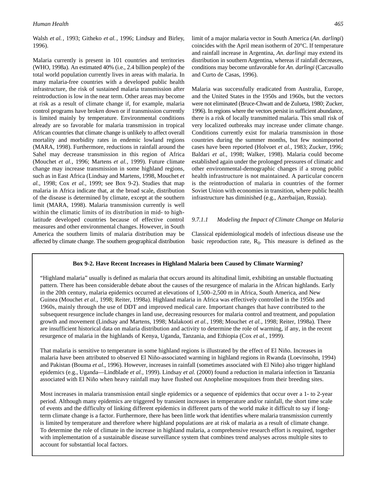Walsh *et al.*, 1993; Githeko *et al.*, 1996; Lindsay and Birley, 1996).

Malaria currently is present in 101 countries and territories (WHO, 1998a). An estimated 40% (i.e., 2.4 billion people) of the total world population currently lives in areas with malaria. In many malaria-free countries with a developed public health infrastructure, the risk of sustained malaria transmission after reintroduction is low in the near term. Other areas may become at risk as a result of climate change if, for example, malaria control programs have broken down or if transmission currently is limited mainly by temperature. Environmental conditions already are so favorable for malaria transmission in tropical African countries that climate change is unlikely to affect overall mortality and morbidity rates in endemic lowland regions (MARA, 1998). Furthermore, reductions in rainfall around the Sahel may decrease transmission in this region of Africa (Mouchet *et al.*, 1996; Martens *et al.*, 1999). Future climate change may increase transmission in some highland regions, such as in East Africa (Lindsay and Martens, 1998, Mouchet *et al.*, 1998; Cox *et al.*, 1999; see Box 9-2). Studies that map malaria in Africa indicate that, at the broad scale, distribution of the disease is determined by climate, except at the southern limit (MARA, 1998). Malaria transmission currently is well within the climatic limits of its distribution in mid- to highlatitude developed countries because of effective control measures and other environmental changes. However, in South America the southern limits of malaria distribution may be a ffected by climate change. The southern geographical distribution limit of a major malaria vector in South America (*An. darlingi*) coincides with the April mean isotherm of 20°C. If temperature and rainfall increase in Argentina, *An. darlingi* may extend its distribution in southern Argentina, whereas if rainfall decreases, conditions may become unfavorable for *An. darlingi* (Carcavallo and Curto de Casas, 1996).

Malaria was successfully eradicated from Australia, Europe, and the United States in the 1950s and 1960s, but the vectors were not eliminated (Bruce-Chwatt and de Zulueta, 1980; Zucker, 1996). In regions where the vectors persist in sufficient abundance, there is a risk of locally transmitted malaria. This small risk of very localized outbreaks may increase under climate change. Conditions currently exist for malaria transmission in those countries during the summer months, but few nonimported cases have been reported (Holvoet *et al.,* 1983; Zucker, 1996; Baldari *et al.,* 1998; Walker, 1998). Malaria could become established again under the prolonged pressures of climatic and other environmental-demographic changes if a strong public health infrastructure is not maintained. A particular concern is the reintroduction of malaria in countries of the former Soviet Union with economies in transition, where public health infrastructure has diminished (e.g., Azerbaijan, Russia).

#### *9 . 7 . 1 . 1 Modeling the Impact of Climate Change on Malaria*

Classical epidemiological models of infectious disease use the basic reproduction rate,  $R_0$ . This measure is defined as the

#### **Box 9-2. Have Recent Increases in Highland Malaria been Caused by Climate Warming?**

"Highland malaria" usually is defined as malaria that occurs around its altitudinal limit, exhibiting an unstable fluctuating pattern. There has been considerable debate about the causes of the resurgence of malaria in the African highlands. Early in the 20th century, malaria epidemics occurred at elevations of 1,500–2,500 m in Africa, South America, and New Guinea (Mouchet *et al.,* 1998; Reiter, 1998a). Highland malaria in Africa was effectively controlled in the 1950s and 1960s, mainly through the use of DDT and improved medical care. Important changes that have contributed to the subsequent resurgence include changes in land use, decreasing resources for malaria control and treatment, and population growth and movement (Lindsay and Martens, 1998; Malakooti *et al.*, 1998; Mouchet *et al.*, 1998; Reiter, 1998a). There are insufficient historical data on malaria distribution and activity to determine the role of warming, if any, in the recent resurgence of malaria in the highlands of Kenya, Uganda, Tanzania, and Ethiopia (Cox *et al.*, 1999).

That malaria is sensitive to temperature in some highland regions is illustrated by the effect of El Niño. Increases in malaria have been attributed to observed El Niño-associated warming in highland regions in Rwanda (Loevinsohn, 1994) and Pakistan (Bouma *et al.*, 1996). However, increases in rainfall (sometimes associated with El Niño) also trigger highland epidemics (e.g., Uganda—Lindblade *et al.*, 1999). Lindsay *et al.* (2000) found a reduction in malaria infection in Tanzania associated with El Niño when heavy rainfall may have flushed out Anopheline mosquitoes from their breeding sites.

Most increases in malaria transmission entail single epidemics or a sequence of epidemics that occur over a 1- to 2-year period. Although many epidemics are triggered by transient increases in temperature and/or rainfall, the short time scale of events and the difficulty of linking different epidemics in different parts of the world make it difficult to say if longterm climate change is a factor. Furthermore, there has been little work that identifies where malaria transmission currently is limited by temperature and therefore where highland populations are at risk of malaria as a result of climate change. To determine the role of climate in the increase in highland malaria, a comprehensive research effort is required, together with implementation of a sustainable disease surveillance system that combines trend analyses across multiple sites to account for substantial local factors.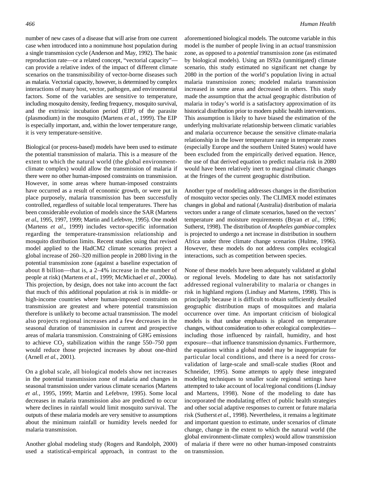number of new cases of a disease that will arise from one current case when introduced into a nonimmune host population during a single transmission cycle (Anderson and May, 1992). The basic reproduction rate—or a related concept, "vectorial capacity" can provide a relative index of the impact of different climate scenarios on the transmissibility of vector-borne diseases such as malaria. Vectorial capacity, however, is determined by complex interactions of many host, vector, pathogen, and environmental factors. Some of the variables are sensitive to temperature, including mosquito density, feeding frequency, mosquito survival, and the extrinsic incubation period (EIP) of the parasite (plasmodium) in the mosquito (Martens *et al.*, 1999). The EIP is especially important, and, within the lower temperature range, it is very temperature-sensitive.

Biological (or process-based) models have been used to estimate the potential transmission of malaria. This is a measure of the extent to which the natural world (the global environmentclimate complex) would allow the transmission of malaria if there were no other human-imposed constraints on transmission. However, in some areas where human-imposed constraints have occurred as a result of economic growth, or were put in place purposely, malaria transmission has been successfully controlled, regardless of suitable local temperatures. There has been considerable evolution of models since the SAR (Martens *et al*., 1995, 1997, 1999; Martin and Lefebvre, 1995). One model (Martens *et al*., 1999) includes vector-specific information regarding the temperature-transmission relationship and mosquito distribution limits. Recent studies using that revised model applied to the HadCM2 climate scenarios project a global increase of 260–320 million people in 2080 living in the potential transmission zone (against a baseline expectation of about 8 billion—that is, a 2–4% increase in the number of p e ople at risk) (Martens *et al.*, 1999; McMichael *et al.*, 2000a). This projection, by design, does not take into account the fact that much of this additional population at risk is in middle- or high-income countries where human-imposed constraints on transmission are greatest and where potential transmission therefore is unlikely to become actual transmission. The model also projects regional increases and a few decreases in the seasonal duration of transmission in current and prospective areas of malaria transmission. Constraining of GHG emissions to achieve  $CO_2$  stabilization within the range 550–750 ppm would reduce those projected increases by about one-third (Arnell *et al.*, 2001).

On a global scale, all biological models show net increases in the potential transmission zone of malaria and changes in seasonal transmission under various climate scenarios (Martens *et al.*, 1995, 1999; Martin and Lefebvre, 1995). Some local decreases in malaria transmission also are predicted to occur where declines in rainfall would limit mosquito survival. The outputs of these malaria models are very sensitive to assumptions about the minimum rainfall or humidity levels needed for malaria transmission.

Another global modeling study (Rogers and Randolph, 2000) used a statistical-empirical approach, in contrast to the aforementioned biological models. The outcome variable in this model is the number of people living in an *actual* transmission zone, as opposed to a *potential* transmission zone (as estimated by biological models). Using an IS92a (unmitigated) climate scenario, this study estimated no significant net change by 2080 in the portion of the world's population living in actual malaria transmission zones; modeled malaria transmission increased in some areas and decreased in others. This study made the assumption that the actual geographic distribution of malaria in today's world is a satisfactory approximation of its historical distribution prior to modern public health interventions. This assumption is likely to have biased the estimation of the underlying multivariate relationship between climatic variables and malaria occurrence because the sensitive climate-malaria relationship in the lower temperature range in temperate zones (especially Europe and the southern United States) would have been excluded from the empirically derived equation. Hence, the use of that derived equation to predict malaria risk in 2080 would have been relatively inert to marginal climatic changes at the fringes of the current geographic distribution.

Another type of modeling addresses changes in the distribution of mosquito vector species only. The CLIMEX model estimates changes in global and national (Australia) distribution of malaria vectors under a range of climate scenarios, based on the vectors' temperature and moisture requirements (Bryan *et al.*, 1996; Sutherst, 1998). The distribution of *Anopheles gambiae* complex is projected to undergo a net increase in distribution in southern Africa under three climate change scenarios (Hulme, 1996). However, these models do not address complex ecological interactions, such as competition between species.

None of these models have been adequately validated at global or regional levels. Modeling to date has not satisfactorily addressed regional vulnerability to malaria or changes in risk in highland regions (Lindsay and Martens, 1998). This is principally because it is difficult to obtain sufficiently detailed geographic distribution maps of mosquitoes and malaria occurrence over time. An important criticism of biological models is that undue emphasis is placed on temperature changes, without consideration to other ecological complexities including those influenced by rainfall, humidity, and host exposure—that influence transmission dynamics. Furthermore, the equations within a global model may be inappropriate for particular local conditions, and there is a need for crossvalidation of large-scale and small-scale studies (Root and Schneider, 1995). Some attempts to apply these integrated modeling techniques to smaller scale regional settings have attempted to take account of local/regional conditions (Lindsay and Martens, 1998). None of the modeling to date has incorporated the modulating effect of public health strategies and other social adaptive responses to current or future malaria risk (Sutherst *et al*., 1998). Nevertheless, it remains a legitimate and important question to estimate, under scenarios of climate change, change in the extent to which the natural world (the global environment-climate complex) would allow transmission of malaria if there were no other human-imposed constraints on transmission.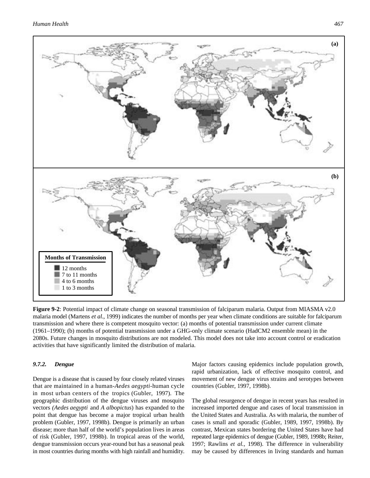

**Figure 9-2**: Potential impact of climate change on seasonal transmission of falciparum malaria. Output from MIASMA v2.0 malaria model (Martens *et al*., 1999) indicates the number of months per year when climate conditions are suitable for falciparum transmission and where there is competent mosquito vector: (a) months of potential transmission under current climate (1961–1990); (b) months of potential transmission under a GHG-only climate scenario (HadCM2 ensemble mean) in the 2080s. Future changes in mosquito distributions are not modeled. This model does not take into account control or eradication activities that have significantly limited the distribution of malaria.

#### *9.7.2. Dengue*

Dengue is a disease that is caused by four closely related viruses that are maintained in a human-*Aedes aegypti*-human cycle in most urban centers of the tropics (Gubler, 1997). The geographic distribution of the dengue viruses and mosquito vectors *(Aedes aegypti* and *A albopictus*) has expanded to the point that dengue has become a major tropical urban health problem (Gubler, 1997, 1998b). Dengue is primarily an urban disease; more than half of the world's population lives in areas of risk (Gubler, 1997, 1998b). In tropical areas of the world, dengue transmission occurs year-round but has a seasonal peak in most countries during months with high rainfall and humidity.

Major factors causing epidemics include population growth, rapid urbanization, lack of effective mosquito control, and movement of new dengue virus strains and serotypes between countries (Gubler, 1997, 1998b).

The global resurgence of dengue in recent years has resulted in increased imported dengue and cases of local transmission in the United States and Australia. As with malaria, the number of cases is small and sporadic (Gubler, 1989, 1997, 1998b). By contrast, Mexican states bordering the United States have had repeated large epidemics of dengue (Gubler, 1989, 1998b; Reiter, 1997; Rawlins *et al.,* 1998). The difference in vulnerability may be caused by differences in living standards and human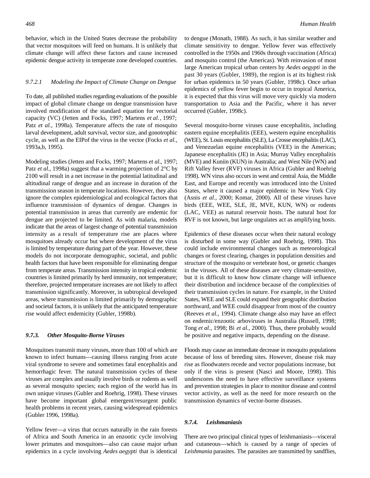behavior, which in the United States decrease the probability that vector mosquitoes will feed on humans. It is unlikely that climate change will affect these factors and cause increased epidemic dengue activity in temperate zone developed countries.

#### *9 . 7 . 2 . 1 Modeling the Impact of Climate Change on Dengue*

To date, all published studies regarding evaluations of the possible impact of global climate change on dengue transmission have involved modification of the standard equation for vectorial capacity (VC) (Jetten and Focks, 1997; Martens *et al.*, 1997; Patz *et al.*, 1998a). Temperature affects the rate of mosquito larval development, adult survival, vector size, and gonotrophic cycle, as well as the EIPof the virus in the vector (Focks *et al.,* 1993a,b, 1995).

Modeling studies (Jetten and Focks, 1997; Martens *et al.*, 1997; Patz *et al.*, 1998a) suggest that a warming projection of 2<sup>o</sup>C by 2100 will result in a net increase in the potential latitudinal and altitudinal range of dengue and an increase in duration of the transmission season in temperate locations. However, they also ignore the complex epidemiological and ecological factors that influence transmission of dynamics of dengue. Changes in potential transmission in areas that currently are endemic for dengue are projected to be limited. As with malaria, models indicate that the areas of largest change of potential transmission intensity as a result of temperature rise are places where mosquitoes already occur but where development of the virus is limited by temperature during part of the year. However, these models do not incorporate demographic, societal, and public health factors that have been responsible for eliminating dengue from temperate areas. Transmission intensity in tropical endemic countries is limited primarily by herd immunity, not temperature; therefore, projected temperature increases are not likely to affect transmission significantly. Moreover, in subtropical developed areas, where transmission is limited primarily by demographic and societal factors, it is unlikely that the anticipated temperature rise would affect endemicity (Gubler, 1998b).

#### *9.7.3. Other Mosquito-Borne Viruses*

Mosquitoes transmit many viruses, more than 100 of which are known to infect humans—causing illness ranging from acute viral syndrome to severe and sometimes fatal encephalitis and hemorrhagic fever. The natural transmission cycles of these viruses are complex and usually involve birds or rodents as well as several mosquito species; each region of the world has its own unique viruses (Gubler and Roehrig, 1998). These viruses have become important global emergent/resurgent public health problems in recent years, causing widespread epidemics (Gubler 1996, 1998a).

Yellow fever—a virus that occurs naturally in the rain forests of Africa and South America in an enzootic cycle involving lower primates and mosquitoes—also can cause major urban epidemics in a cycle involving *Aedes aegypti* that is identical to dengue (Monath, 1988). As such, it has similar weather and climate sensitivity to dengue. Yellow fever was effectively controlled in the 1950s and 1960s through vaccination (Africa) and mosquito control (the Americas). With reinvasion of most large American tropical urban centers by *Aedes aegypti* in the past 30 years (Gubler, 1989), the region is at its highest risk for urban epidemics in 50 years (Gubler, 1998c). Once urban epidemics of yellow fever begin to occur in tropical America, it is expected that this virus will move very quickly via modern transportation to Asia and the Pacific, where it has never occurred (Gubler, 1998c).

Several mosquito-borne viruses cause encephalitis, including eastern equine encephalitis (EEE), western equine encephalitis (WEE), St. Louis encephalitis (SLE), La Crosse encephalitis (LAC), and Venezuelan equine encephalitis (VEE) in the Americas; Japanese encephalitis (JE) in Asia; Murray Valley encephalitis (MVE) and Kuniin (KUN) in Australia; and West Nile (WN) and Rift Valley fever (RVF) viruses in Africa (Gubler and Roehrig 1998). WN virus also occurs in west and central Asia, the Middle East, and Europe and recently was introduced into the United States, where it caused a major epidemic in New York City (Asnis *et al.*, 2000; Komar, 2000). All of these viruses have birds (EEE, WEE, SLE, JE, MVE, KUN, WN) or rodents (LAC, VEE) as natural reservoir hosts. The natural host for RVF is not known, but large ungulates act as amplifying hosts.

Epidemics of these diseases occur when their natural ecology is disturbed in some way (Gubler and Roehrig, 1998). This could include environmental changes such as meteorological changes or forest clearing, changes in population densities and structure of the mosquito or vertebrate host, or genetic changes in the viruses. All of these diseases are very climate-sensitive, but it is difficult to know how climate change will influence their distribution and incidence because of the complexities of their transmission cycles in nature. For example, in the United States, WEE and SLE could expand their geographic distribution northward, and WEE could disappear from most of the country (Reeves *et al.,* 1994). Climate change also may have an effect on endemic/enzootic arboviruses in Australia (Russell, 1998; Tong *et al.*, 1998; Bi *et al.*, 2000). Thus, there probably would be positive and negative impacts, depending on the disease.

Floods may cause an immediate decrease in mosquito populations because of loss of breeding sites. However, disease risk may rise as floodwaters recede and vector populations increase, but only if the virus is present (Nasci and Moore, 1998). This underscores the need to have effective surveillance systems and prevention strategies in place to monitor disease and control vector activity, as well as the need for more research on the transmission dynamics of vector-borne diseases.

#### *9.7.4. Leishmaniasis*

There are two principal clinical types of leishmaniasis—visceral and cutaneous—which is caused by a range of species of *Leishmania* parasites. The parasites are transmitted by sandflies,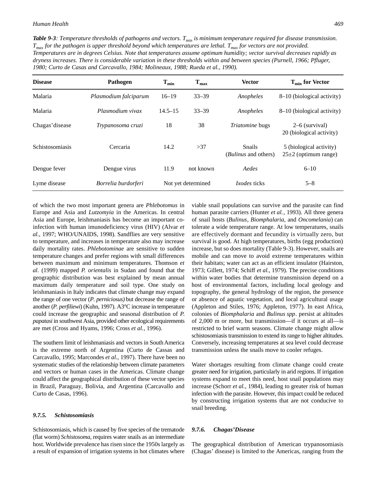*Table 9-3: Temperature thresholds of pathogens and vectors. Tmin is minimum temperature required for disease transmission. T*<sub>*max</sub> for the pathogen is upper threshold beyond which temperatures are lethal. T<sub><i>max</sub>* for vectors are not provided.</sub></sub> *Temperatures are in degrees Celsius. Note that temperatures assume optimum humidity; vector survival decreases rapidly as dryness increases. There is considerable variation in these thresholds within and between species (Purnell, 1966; Pfluger, 1980; Curto de Casas and Carcavallo, 1984; Molineaux, 1988; Rueda et al., 1990).*

| <b>Disease</b>         | Pathogen              | $T_{min}$   | $T_{max}$          | <b>Vector</b>                                 | $T_{\min}$ for Vector                               |
|------------------------|-----------------------|-------------|--------------------|-----------------------------------------------|-----------------------------------------------------|
| Malaria                | Plasmodium falciparum | $16 - 19$   | $33 - 39$          | Anopheles                                     | 8–10 (biological activity)                          |
| Malaria                | Plasmodium vivax      | $14.5 - 15$ | $33 - 39$          | Anopheles                                     | 8–10 (biological activity)                          |
| Chagas' disease        | Trypanosoma cruzi     | 18          | 38                 | <i>Triatomine</i> bugs                        | $2-6$ (survival)<br>20 (biological activity)        |
| <b>Schistosomiasis</b> | Cercaria              | 14.2        | >37                | <b>Snails</b><br>( <i>Bulinus</i> and others) | 5 (biological activity)<br>$25\pm2$ (optimum range) |
| Dengue fever           | Dengue virus          | 11.9        | not known          | Aedes                                         | $6 - 10$                                            |
| Lyme disease           | Borrelia burdorferi   |             | Not yet determined | <i>Ixodes</i> ticks                           | $5 - 8$                                             |

of which the two most important genera are *Phlebotomus* in Europe and Asia and *Lutzomyia* in the Americas. In central Asia and Europe, leishmaniasis has become an important coinfection with human imunodeficiency virus (HIV) (Alvar *et al.*, 1997; WHO/UNAIDS, 1998). Sandflies are very sensitive to temperature, and increases in temperature also may increase daily mortality rates. *Phlebotominae* are sensitive to sudden temperature changes and prefer regions with small differences between maximum and minimum temperatures. Thomson *et al.* (1999) mapped *P. orientalis* in Sudan and found that the geographic distribution was best explained by mean annual maximum daily temperature and soil type. One study on leishmaniasis in Italy indicates that climate change may expand the range of one vector (*P. perniciosus)* but decrease the range of another (*P. perfiliewi*) (Kuhn, 1997). A3°C increase in temperature could increase the geographic and seasonal distribution of *P. papatasi* in southwest Asia, provided other ecological requirements are met (Cross and Hyams, 1996; Cross *et al.*, 1996).

The southern limit of leishmaniasis and vectors in South America is the extreme north of Argentina (Curto de Cassas and Carcavallo, 1995; Marcondes *et al.*, 1997). There have been no systematic studies of the relationship between climate parameters and vectors or human cases in the Americas. Climate change could affect the geographical distribution of these vector species in Brazil, Paraguay, Bolivia, and Argentina (Carcavallo and Curto de Casas, 1996).

#### *9.7.5. Schistosomiasis*

Schistosomiasis, which is caused by five species of the trematode (flat worm) *Schistosoma*, requires water snails as an intermediate host. Worldwide prevalence has risen since the 1950s largely as a result of expansion of irrigation systems in hot climates where

viable snail populations can survive and the parasite can find human parasite carriers (Hunter *et al.*, 1993). All three genera of snail hosts (*Bulinus*, *Biomphalaria,* and *Oncomelania*) can tolerate a wide temperature range. At low temperatures, snails are effectively dormant and fecundity is virtually zero, but survival is good. At high temperatures, births (egg production) increase, but so does mortality (Table 9-3). However, snails are mobile and can move to avoid extreme temperatures within their habitats; water can act as an efficient insulator (Hairston, 1973; Gillett, 1974; Schiff *et al.*, 1979). The precise conditions within water bodies that determine transmission depend on a host of environmental factors, including local geology and topography, the general hydrology of the region, the presence or absence of aquatic vegetation, and local agricultural usage (Appleton and Stiles, 1976; Appleton, 1977). In east Africa, colonies of *Biomphalaria* and *Bulinus spp*. persist at altitudes of 2,000 m or more, but transmission—if it occurs at all—is restricted to brief warm seasons. Climate change might allow schistosomiasis transmission to extend its range to higher altitudes. Conversely, increasing temperatures at sea level could decrease transmission unless the snails move to cooler refuges.

Water shortages resulting from climate change could create greater need for irrigation, particularly in arid regions. If irrigation systems expand to meet this need, host snail populations may increase (Schorr *et al.*, 1984), leading to greater risk of human infection with the parasite. However, this impact could be reduced by constructing irrigation systems that are not conducive to snail breeding.

#### *9.7.6. Chagas'Disease*

The geographical distribution of American trypanosomiasis (Chagas' disease) is limited to the Americas, ranging from the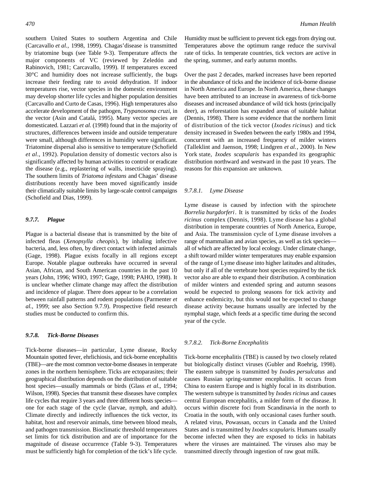southern United States to southern Argentina and Chile (Carcavallo *et al.,* 1998, 1999). Chagas'disease is transmitted by triatomine bugs (see Table 9-3). Temperature affects the major components of VC (reviewed by Zeledón and Rabinovich, 1981; Carcavallo, 1999). If temperatures exceed 30°C and humidity does not increase sufficiently, the bugs increase their feeding rate to avoid dehydration. If indoor temperatures rise, vector species in the domestic environment may develop shorter life cycles and higher population densities (Carcavallo and Curto de Casas, 1996). High temperatures also accelerate development of the pathogen, *Trypanosoma cruzi*, in the vector (Asin and Catalá, 1995). Many vector species are domesticated. Lazzari *et al.* (1998) found that in the majority of structures, differences between inside and outside temperature were small, although differences in humidity were significant. Triatomine dispersal also is sensitive to temperature (Schofield *et al*., 1992). Population density of domestic vectors also is significantly affected by human activities to control or eradicate the disease (e.g., replastering of walls, insecticide spraying). The southern limits of *Triatoma infestans* and Chagas' disease distributions recently have been moved significantly inside their climatically suitable limits by large-scale control campaigns (Schofield and Dias, 1999).

#### *9.7.7. Plague*

Plague is a bacterial disease that is transmitted by the bite of infected fleas (*Xenopsylla cheopis*), by inhaling infective bacteria, and, less often, by direct contact with infected animals (Gage, 1998). Plague exists focally in all regions except Europe. Notable plague outbreaks have occurred in several Asian, African, and South American countries in the past 10 years (John, 1996; WHO, 1997; Gage, 1998; PAHO, 1998). It is unclear whether climate change may affect the distribution and incidence of plague. There does appear to be a correlation between rainfall patterns and rodent populations (Parmenter *et al.*, 1999; see also Section 9.7.9). Prospective field research studies must be conducted to confirm this.

#### *9.7.8. Tick-Borne Diseases*

Tick-borne diseases—in particular, Lyme disease, Rocky Mountain spotted fever, ehrlichiosis, and tick-borne encephalitis (TBE)—are the most common vector-borne diseases in temperate zones in the northern hemisphere. Ticks are ectoparasites; their geographical distribution depends on the distribution of suitable host species—usually mammals or birds (Glass *et al.*, 1994; Wilson, 1998). Species that transmit these diseases have complex life cycles that require 3 years and three different hosts species one for each stage of the cycle (larvae, nymph, and adult). Climate directly and indirectly influences the tick vector, its habitat, host and reservoir animals, time between blood meals, and pathogen transmission. Bioclimatic threshold temperatures set limits for tick distribution and are of importance for the magnitude of disease occurrence (Table 9-3). Temperatures must be sufficiently high for completion of the tick's life cycle.

Humidity must be sufficient to prevent tick eggs from drying out. Temperatures above the optimum range reduce the survival rate of ticks. In temperate countries, tick vectors are active in the spring, summer, and early autumn months.

Over the past 2 decades, marked increases have been reported in the abundance of ticks and the incidence of tick-borne disease in North America and Europe. In North America, these changes have been attributed to an increase in awareness of tick-borne diseases and increased abundance of wild tick hosts (principally deer), as reforestation has expanded areas of suitable habitat (Dennis, 1998). There is some evidence that the northern limit of distribution of the tick vector (*Ixodes ricinus*) and tick density increased in Sweden between the early 1980s and 1994, concurrent with an increased frequency of milder winters (Talleklint and Jaenson, 1998; Lindgren *et al.*, 2000). In New York state, *Ixodes scapularis* has expanded its geographic distribution northward and westward in the past 10 years. The reasons for this expansion are unknown.

#### *9.7.8.1. Lyme Disease*

Lyme disease is caused by infection with the spirochete *Borrelia burgdorferi*. It is transmitted by ticks of the *Ixodes ricinus* complex (Dennis, 1998). Lyme disease has a global distribution in temperate countries of North America, Europe, and Asia. The transmission cycle of Lyme disease involves a range of mammalian and avian species, as well as tick species all of which are affected by local ecology. Under climate change, a shift toward milder winter temperatures may enable expansion of the range of Lyme disease into higher latitudes and altitudes, but only if all of the vertebrate host species required by the tick vector also are able to expand their distribution. A combination of milder winters and extended spring and autumn seasons would be expected to prolong seasons for tick activity and enhance endemicity, but this would not be expected to change disease activity because humans usually are infected by the nymphal stage, which feeds at a specific time during the second year of the cycle.

#### *9.7.8.2. Tick-Borne Encephalitis*

Tick-borne encephalitis (TBE) is caused by two closely related but biologically distinct viruses (Gubler and Roehrig, 1998). The eastern subtype is transmitted by *Ixodes persulcatus* and causes Russian spring-summer encephalitis. It occurs from China to eastern Europe and is highly focal in its distribution. The western subtype is transmitted by *Ixodes ricinus* and causes central European encephalitis, a milder form of the disease. It occurs within discrete foci from Scandinavia in the north to Croatia in the south, with only occasional cases further south. A related virus, Powassan, occurs in Canada and the United States and is transmitted by *Ixodes scapularis*. Humans usually become infected when they are exposed to ticks in habitats where the viruses are maintained. The viruses also may be transmitted directly through ingestion of raw goat milk.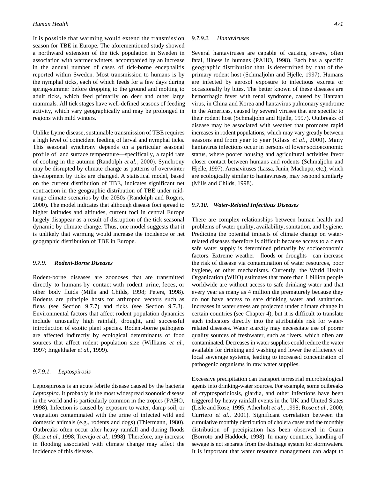It is possible that warming would extend the transmission season for TBE in Europe. The aforementioned study showed a northward extension of the tick population in Sweden in association with warmer winters, accompanied by an increase in the annual number of cases of tick-borne encephalitis reported within Sweden. Most transmission to humans is by the nymphal ticks, each of which feeds for a few days during spring-summer before dropping to the ground and molting to adult ticks, which feed primarily on deer and other large mammals. All tick stages have well-defined seasons of feeding activity, which vary geographically and may be prolonged in regions with mild winters.

Unlike Lyme disease, sustainable transmission of TBE requires a high level of coincident feeding of larval and nymphal ticks. This seasonal synchrony depends on a particular seasonal profile of land surface temperature—specifically, a rapid rate of cooling in the autumn (Randolph *et al.*, 2000). Synchrony may be disrupted by climate change as patterns of overwinter development by ticks are changed. A statistical model, based on the current distribution of TBE, indicates significant net contraction in the geographic distribution of TBE under midrange climate scenarios by the 2050s (Randolph and Rogers, 2000). The model indicates that although disease foci spread to higher latitudes and altitudes, current foci in central Europe largely disappear as a result of disruption of the tick seasonal dynamic by climate change. Thus, one model suggests that it is unlikely that warming would increase the incidence or net geographic distribution of TBE in Europe.

#### *9.7.9. Rodent-Borne Diseases*

Rodent-borne diseases are zoonoses that are transmitted directly to humans by contact with rodent urine, feces, or other body fluids (Mills and Childs, 1998; Peters, 1998). Rodents are principle hosts for arthropod vectors such as fleas (see Section 9.7.7) and ticks (see Section 9.7.8). Environmental factors that affect rodent population dynamics include unusually high rainfall, drought, and successful introduction of exotic plant species. Rodent-borne pathogens are affected indirectly by ecological determinants of food sources that affect rodent population size (Williams *et al.*, 1997; Engelthaler *et al.*, 1999).

#### *9.7.9.1. Leptospirosis*

Leptospirosis is an acute febrile disease caused by the bacteria *Leptospira*. It probably is the most widespread zoonotic disease in the world and is particularly common in the tropics (PAHO, 1998). Infection is caused by exposure to water, damp soil, or vegetation contaminated with the urine of infected wild and domestic animals (e.g., rodents and dogs) (Thiermann, 1980). Outbreaks often occur after heavy rainfall and during floods (Kriz *et al.*, 1998; Trevejo *et al.*, 1998). Therefore, any increase in flooding associated with climate change may affect the incidence of this disease.

#### *9.7.9.2. Hantaviruses*

Several hantaviruses are capable of causing severe, often fatal, illness in humans (PAHO, 1998). Each has a specific geographic distribution that is determined by that of the primary rodent host (Schmaljohn and Hjelle, 1997). Humans are infected by aerosol exposure to infectious excreta or occasionally by bites. The better known of these diseases are hemorrhagic fever with renal syndrome, caused by Hantaan virus, in China and Korea and hantavirus pulmonary syndrome in the Americas, caused by several viruses that are specific to their rodent host (Schmaljohn and Hjelle, 1997). Outbreaks of disease may be associated with weather that promotes rapid increases in rodent populations, which may vary greatly between seasons and from year to year (Glass *et al.*, 2000). Many hantavirus infections occur in persons of lower socioeconomic status, where poorer housing and agricultural activities favor closer contact between humans and rodents (Schmaljohn and Hjelle, 1997). Arenaviruses (Lassa, Junin, Machupo, etc.), which are ecologically similar to hantaviruses, may respond similarly (Mills and Childs, 1998).

#### *9.7.10. Water-Related Infectious Diseases*

There are complex relationships between human health and problems of water quality, availability, sanitation, and hygiene. Predicting the potential impacts of climate change on waterrelated diseases therefore is difficult because access to a clean safe water supply is determined primarily by socioeconomic factors. Extreme weather—floods or droughts—can increase the risk of disease via contamination of water resources, poor hygiene, or other mechanisms. Currently, the World Health Organization (WHO) estimates that more than 1 billion people worldwide are without access to safe drinking water and that every year as many as 4 million die prematurely because they do not have access to safe drinking water and sanitation. Increases in water stress are projected under climate change in certain countries (see Chapter 4), but it is difficult to translate such indicators directly into the attributable risk for waterrelated diseases. Water scarcity may necessitate use of poorer quality sources of freshwater, such as rivers, which often are contaminated. Decreases in water supplies could reduce the water available for drinking and washing and lower the efficiency of local sewerage systems, leading to increased concentration of pathogenic organisms in raw water supplies.

Excessive precipitation can transport terrestrial microbiological agents into drinking-water sources. For example, some outbreaks of cryptosporidiosis, giardia, and other infections have been triggered by heavy rainfall events in the UK and United States (Lisle and Rose, 1995; Atherholt *et al.*, 1998; Rose *et al.*, 2000; Curriero *et al*., 2001). Significant correlation between the cumulative monthly distribution of cholera cases and the monthly distribution of precipitation has been observed in Guam (Borroto and Haddock, 1998). In many countries, handling of sewage is not separate from the drainage system for stormwaters. It is important that water resource management can adapt to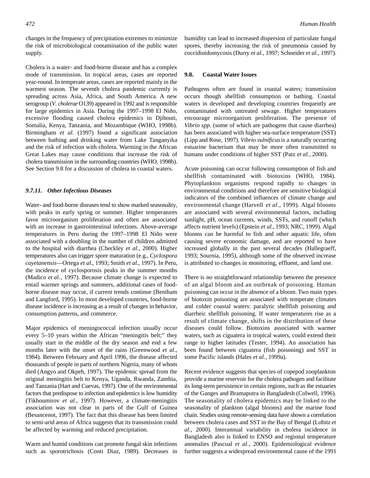changes in the frequency of precipitation extremes to minimize the risk of microbiological contamination of the public water supply.

Cholera is a water- and food-borne disease and has a complex mode of transmission. In tropical areas, cases are reported year-round. In temperate areas, cases are reported mainly in the warmest season. The seventh cholera pandemic currently is spreading across Asia, Africa, and South America. A new serogroup (*V. cholerae* O139) appeared in 1992 and is responsible for large epidemics in Asia. During the 1997–1998 El Niño, excessive flooding caused cholera epidemics in Djibouti, Somalia, Kenya, Tanzania, and Mozambique (WHO, 1998b). Birmingham *et al.* (1997) found a significant association between bathing and drinking water from Lake Tanganyika and the risk of infection with cholera. Warming in the African Great Lakes may cause conditions that increase the risk of cholera transmission in the surrounding countries (WHO, 1998b). See Section 9.8 for a discussion of cholera in coastal waters.

#### *9.7.11. Other Infectious Diseases*

Water- and food-borne diseases tend to show marked seasonality, with peaks in early spring or summer. Higher temperatures favor microorganism proliferation and often are associated with an increase in gastrointestinal infections. Above-average temperatures in Peru during the 1997–1998 El Niño were associated with a doubling in the number of children admitted to the hospital with diarrhea (Checkley *et al.*, 2000). Higher temperatures also can trigger spore maturation (e.g., *Cyclospora cayetanensis*—Ortega *et al.*, 1993; Smith *et al.*, 1997). In Peru, the incidence of cyclosporosis peaks in the summer months (Madico *et al.*, 1997). Because climate change is expected to entail warmer springs and summers, additional cases of foodborne disease may occur, if current trends continue (Bentham and Langford, 1995). In most developed countries, food-borne disease incidence is increasing as a result of changes in behavior, consumption patterns, and commerce.

Major epidemics of meningococcal infection usually occur every 5–10 years within the African "meningitis belt;" they usually start in the middle of the dry season and end a few months later with the onset of the rains (Greenwood *et al*., 1984). Between February and April 1996, the disease affected thousands of people in parts of northern Nigeria, many of whom died (Angyo and Okpeh, 1997). The epidemic spread from the original meningitis belt to Kenya, Uganda, Rwanda, Zambia, and Tanzania (Hart and Cuevas, 1997). One of the environmental factors that predispose to infection and epidemics is low humidity (Tikhoumirov *et al.*, 1997). However, a climate-meningitis association was not clear in parts of the Gulf of Guinea (Besancenot, 1997). The fact that this disease has been limited to semi-arid areas of Africa suggests that its transmission could be affected by warming and reduced precipitation.

Warm and humid conditions can promote fungal skin infections such as sporotrichosis (Conti Diaz, 1989). Decreases in humidity can lead to increased dispersion of particulate fungal spores, thereby increasing the risk of pneumonia caused by coccidioidomycosis (Durry *et al.*, 1997; Schneider *et al.*, 1997).

#### **9.8. Coastal Water Issues**

Pathogens often are found in coastal waters; transmission occurs though shellfish consumption or bathing. Coastal waters in developed and developing countries frequently are contaminated with untreated sewage. Higher temperatures encourage microorganism proliferation. The presence of *Vibrio spp.* (some of which are pathogens that cause diarrhea) has been associated with higher sea-surface temperature (SST) (Lipp and Rose, 1997). *Vibrio vulnificus*is a naturally occurring estuarine bacterium that may be more often transmitted to humans under conditions of higher SST (Patz *et al.*, 2000).

Acute poisoning can occur following consumption of fish and shellfish contaminated with biotoxins (WHO, 1984). Phytoplankton organisms respond rapidly to changes in environmental conditions and therefore are sensitive biological indicators of the combined influences of climate change and environmental change (Harvell *et al.*, 1999). Algal blooms are associated with several environmental factors, including sunlight, pH, ocean currents, winds, SSTs, and runoff (which affects nutrient levels) (Epstein *et al*., 1993; NRC, 1999). Algal blooms can be harmful to fish and other aquatic life, often causing severe economic damage, and are reported to have increased globally in the past several decades (Hallegraeff, 1993; Sournia, 1995), although some of the observed increase is attributed to changes in monitoring, effluent, and land use.

There is no straightforward relationship between the presence of an algal bloom and an outbreak of poisoning. Human poisoning can occur in the absence of a bloom. Two main types of biotoxin poisoning are associated with temperate climates and colder coastal waters: paralytic shellfish poisoning and diarrheic shellfish poisoning. If water temperatures rise as a result of climate change, shifts in the distribution of these diseases could follow. Biotoxins associated with warmer waters, such as ciguatera in tropical waters, could extend their range to higher latitudes (Tester, 1994). An association has been found between ciguatera (fish poisoning) and SST in some Pacific islands (Hales *et al.*, 1999a).

Recent evidence suggests that species of copepod zooplankton provide a marine reservoir for the cholera pathogen and facilitate its long-term persistence in certain regions, such as the estuaries of the Ganges and Bramaputra in Bangladesh (Colwell, 1996). The seasonality of cholera epidemics may be linked to the seasonality of plankton (algal blooms) and the marine food chain. Studies using remote-sensing data have shown a correlation between cholera cases and SST in the Bay of Bengal (Lobitz *et al.*, 2000). Interannual variability in cholera incidence in Bangladesh also is linked to ENSO and regional temperature anomalies (Pascual *et al.,* 2000). Epidemiological evidence further suggests a widespread environmental cause of the 1991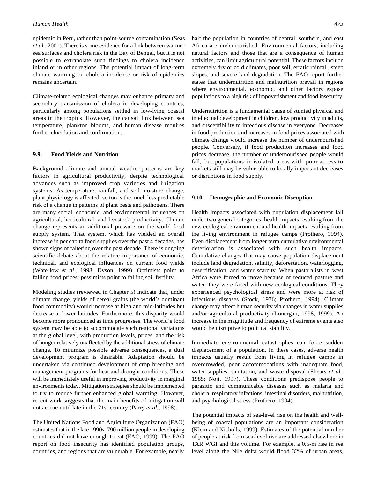epidemic in Peru**,** rather than point-source contamination (Seas *et al.,* 2001). There is some evidence for a link between warmer sea surfaces and cholera risk in the Bay of Bengal, but it is not possible to extrapolate such findings to cholera incidence inland or in other regions. The potential impact of long-term climate warming on cholera incidence or risk of epidemics remains uncertain.

Climate-related ecological changes may enhance primary and secondary transmission of cholera in developing countries, particularly among populations settled in low-lying coastal areas in the tropics. However, the causal link between sea temperature, plankton blooms, and human disease requires further elucidation and confirmation.

#### **9.9. Food Yields and Nutrition**

Background climate and annual weather patterns are key factors in agricultural productivity, despite technological advances such as improved crop varieties and irrigation systems. As temperature, rainfall, and soil moisture change, plant physiology is affected; so too is the much less predictable risk of a change in patterns of plant pests and pathogens. There are many social, economic, and environmental influences on agricultural, horticultural, and livestock productivity. Climate change represents an additional pressure on the world food supply system. That system, which has yielded an overall increase in per capita food supplies over the past 4 decades, has shown signs of faltering over the past decade. There is ongoing scientific debate about the relative importance of economic, technical, and ecological influences on current food yields (Waterlow *et al.*, 1998; Dyson, 1999). Optimists point to falling food prices; pessimists point to falling soil fertility.

Modeling studies (reviewed in Chapter 5) indicate that, under climate change, yields of cereal grains (the world's dominant food commodity) would increase at high and mid-latitudes but decrease at lower latitudes. Furthermore, this disparity would become more pronounced as time progresses. The world's food system may be able to accommodate such regional variations at the global level, with production levels, prices, and the risk of hunger relatively unaffected by the additional stress of climate change. To minimize possible adverse consequences, a dual development program is desirable. Adaptation should be undertaken via continued development of crop breeding and management programs for heat and drought conditions. These will be immediately useful in improving productivity in marginal environments today. Mitigation strategies should be implemented to try to reduce further enhanced global warming. However, recent work suggests that the main benefits of mitigation will not accrue until late in the 21st century (Parry *et al.*, 1998).

The United Nations Food and Agriculture Organization (FAO) estimates that in the late 1990s, 790 million people in developing countries did not have enough to eat (FAO, 1999). The FAO report on food insecurity has identified population groups, countries, and regions that are vulnerable. For example, nearly

half the population in countries of central, southern, and east Africa are undernourished. Environmental factors, including natural factors and those that are a consequence of human activities, can limit agricultural potential. These factors include extremely dry or cold climates, poor soil, erratic rainfall, steep slopes, and severe land degradation. The FAO report further states that undernutrition and malnutrition prevail in regions where environmental, economic, and other factors expose populations to a high risk of impoverishment and food insecurity.

Undernutrition is a fundamental cause of stunted physical and intellectual development in children, low productivity in adults, and susceptibility to infectious disease in everyone. Decreases in food production and increases in food prices associated with climate change would increase the number of undernourished people. Conversely, if food production increases and food prices decrease, the number of undernourished people would fall, but populations in isolated areas with poor access to markets still may be vulnerable to locally important decreases or disruptions in food supply.

#### **9.10. Demographic and Economic Disruption**

Health impacts associated with population displacement fall under two general categories: health impacts resulting from the new ecological environment and health impacts resulting from the living environment in refugee camps (Prothero, 1994). Even displacement from longer term cumulative environmental deterioration is associated with such health impacts. Cumulative changes that may cause population displacement include land degradation, salinity, deforestation, waterlogging, desertification, and water scarcity. When pastoralists in west Africa were forced to move because of reduced pasture and water, they were faced with new ecological conditions. They experienced psychological stress and were more at risk of infectious diseases (Stock, 1976; Prothero, 1994). Climate change may affect human security via changes in water supplies and/or agricultural productivity (Lonergan, 1998, 1999). An increase in the magnitude and frequency of extreme events also would be disruptive to political stability.

Immediate environmental catastrophes can force sudden displacement of a population. In these cases, adverse health impacts usually result from living in refugee camps in overcrowded, poor accommodations with inadequate food, water supplies, sanitation, and waste disposal (Shears *et al*., 1985; Noji, 1997). These conditions predispose people to parasitic and communicable diseases such as malaria and cholera, respiratory infections, intestinal disorders, malnutrition, and psychological stress (Prothero, 1994).

The potential impacts of sea-level rise on the health and wellbeing of coastal populations are an important consideration (Klein and Nicholls, 1999). Estimates of the potential number of people at risk from sea-level rise are addressed elsewhere in TAR WGI and this volume. For example, a 0.5-m rise in sea level along the Nile delta would flood 32% of urban areas,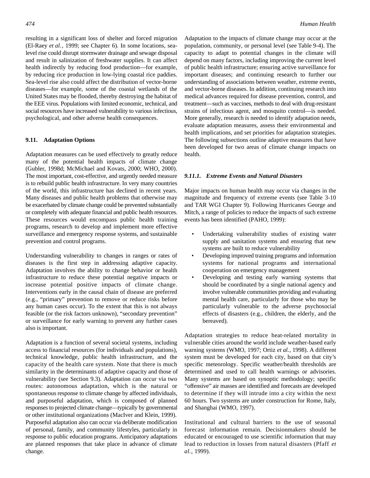resulting in a significant loss of shelter and forced migration (El-Raey *et al.*, 1999; see Chapter 6). In some locations, sealevel rise could disrupt stormwater drainage and sewage disposal and result in salinization of freshwater supplies. It can affect health indirectly by reducing food production—for example, by reducing rice production in low-lying coastal rice paddies. Sea-level rise also could affect the distribution of vector-borne diseases—for example, some of the coastal wetlands of the United States may be flooded, thereby destroying the habitat of the EEE virus. Populations with limited economic, technical, and social resources have increased vulnerability to various infectious, psychological, and other adverse health consequences.

#### **9.11. Adaptation Options**

Adaptation measures can be used effectively to greatly reduce many of the potential health impacts of climate change (Gubler, 1998d; McMichael and Kovats, 2000; WHO, 2000). The most important, cost-effective, and urgently needed measure is to rebuild public health infrastructure. In very many countries of the world, this infrastructure has declined in recent years. Many diseases and public health problems that otherwise may be exacerbated by climate change could be prevented substantially or completely with adequate financial and public health resources. These resources would encompass public health training programs, research to develop and implement more effective surveillance and emergency response systems, and sustainable prevention and control programs.

Understanding vulnerability to changes in ranges or rates of diseases is the first step in addressing adaptive capacity. Adaptation involves the ability to change behavior or health infrastructure to reduce these potential negative impacts or increase potential positive impacts of climate change. Interventions early in the causal chain of disease are preferred (e.g., "primary" prevention to remove or reduce risks before any human cases occur). To the extent that this is not always feasible (or the risk factors unknown), "secondary prevention" or surveillance for early warning to prevent any further cases also is important.

Adaptation is a function of several societal systems, including access to financial resources (for individuals and populations), technical knowledge, public health infrastructure, and the capacity of the health care system. Note that there is much similarity in the determinants of adaptive capacity and those of vulnerability (see Section 9.3). Adaptation can occur via two routes: autonomous adaptation, which is the natural or spontaneous response to climate change by affected individuals, and purposeful adaptation, which is composed of planned responses to projected climate change—typically by governmental or other institutional organizations (MacIver and Klein, 1999). Purposeful adaptation also can occur via deliberate modification of personal, family, and community lifestyles, particularly in response to public education programs. Anticipatory adaptations are planned responses that take place in advance of climate change.

Adaptation to the impacts of climate change may occur at the population, community, or personal level (see Table 9-4). The capacity to adapt to potential changes in the climate will depend on many factors, including improving the current level of public health infrastructure; ensuring active surveillance for important diseases; and continuing research to further our understanding of associations between weather, extreme events, and vector-borne diseases. In addition, continuing research into medical advances required for disease prevention, control, and treatment—such as vaccines, methods to deal with drug-resistant strains of infectious agent, and mosquito control—is needed. More generally, research is needed to identify adaptation needs, evaluate adaptation measures, assess their environmental and health implications, and set priorities for adaptation strategies. The following subsections outline adaptive measures that have been developed for two areas of climate change impacts on health.

#### *9.11.1. Extreme Events and Natural Disasters*

Major impacts on human health may occur via changes in the magnitude and frequency of extreme events (see Table 3-10 and TAR WGI Chapter 9). Following Hurricanes George and Mitch, a range of policies to reduce the impacts of such extreme events has been identified (PAHO, 1999):

- Undertaking vulnerability studies of existing water supply and sanitation systems and ensuring that new systems are built to reduce vulnerability
- Developing improved training programs and information systems for national programs and international cooperation on emergency management
- Developing and testing early warning systems that should be coordinated by a single national agency and involve vulnerable communities providing and evaluating mental health care, particularly for those who may be particularly vulnerable to the adverse psychosocial effects of disasters (e.g., children, the elderly, and the bereaved).

Adaptation strategies to reduce heat-related mortality in vulnerable cities around the world include weather-based early warning systems (WMO, 1997; Ortiz *et al.*, 1998). A different system must be developed for each city, based on that city's specific meteorology. Specific weather/health thresholds are determined and used to call health warnings or advisories. Many systems are based on synoptic methodology; specific " offensive" air masses are identified and forecasts are developed to determine if they will intrude into a city within the next 60 hours. Two systems are under construction for Rome, Italy, and Shanghai (WMO, 1997).

Institutional and cultural barriers to the use of seasonal forecast information remain. Decisionmakers should be educated or encouraged to use scientific information that may lead to reduction in losses from natural disasters (Pfaff *et al.*, 1999).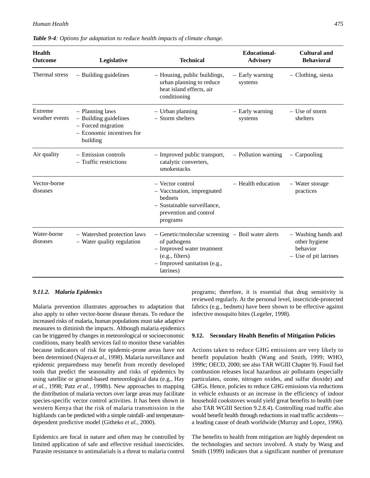| <b>Health</b><br><b>Outcome</b> | Legislative                                                                                             | <b>Technical</b>                                                                                                                                                | <b>Educational-</b><br><b>Advisory</b> | <b>Cultural and</b><br><b>Behavioral</b>                                  |
|---------------------------------|---------------------------------------------------------------------------------------------------------|-----------------------------------------------------------------------------------------------------------------------------------------------------------------|----------------------------------------|---------------------------------------------------------------------------|
| Thermal stress                  | - Building guidelines                                                                                   | - Housing, public buildings,<br>urban planning to reduce<br>heat island effects, air<br>conditioning                                                            | - Early warning<br>systems             | - Clothing, siesta                                                        |
| Extreme<br>weather events       | - Planning laws<br>- Building guidelines<br>- Forced migration<br>- Economic incentives for<br>building | - Urban planning<br>- Storm shelters                                                                                                                            | - Early warning<br>systems             | - Use of storm<br>shelters                                                |
| Air quality                     | - Emission controls<br>- Traffic restrictions                                                           | - Improved public transport,<br>catalytic converters,<br>smokestacks                                                                                            | - Pollution warning                    | - Carpooling                                                              |
| Vector-borne<br>diseases        |                                                                                                         | - Vector control<br>- Vaccination, impregnated<br>bednets<br>- Sustainable surveillance,<br>prevention and control<br>programs                                  | - Health education                     | - Water storage<br>practices                                              |
| Water-borne<br>diseases         | - Watershed protection laws<br>- Water quality regulation                                               | - Genetic/molecular screening - Boil water alerts<br>of pathogens<br>- Improved water treatment<br>(e.g., filters)<br>- Improved sanitation (e.g.,<br>latrines) |                                        | - Washing hands and<br>other hygiene<br>behavior<br>- Use of pit latrines |

*Table 9-4: Options for adaptation to reduce health impacts of climate change.*

#### *9.11.2. Malaria Epidemics*

Malaria prevention illustrates approaches to adaptation that also apply to other vector-borne disease threats. To reduce the increased risks of malaria, human populations must take adaptive measures to diminish the impacts. Although malaria epidemics can be triggered by changes in meteorological or socioeconomic conditions, many health services fail to monitor these variables because indicators of risk for epidemic-prone areas have not been determined (Najera *et al.*, 1998). Malaria surveillance and epidemic preparedness may benefit from recently developed tools that predict the seasonality and risks of epidemics by using satellite or ground-based meteorological data (e.g., Hay *et al.*, 1998; Patz *et al.*, 1998b). New approaches to mapping the distribution of malaria vectors over large areas may facilitate species-specific vector control activities. It has been shown in western Kenya that the risk of malaria transmission in the highlands can be predicted with a simple rainfall- and temperaturedependent predictive model (Githeko *et al.*, 2000).

Epidemics are focal in nature and often may be controlled by limited application of safe and effective residual insecticides. Parasite resistance to antimalarials is a threat to malaria control

programs; therefore, it is essential that drug sensitivity is reviewed regularly. At the personal level, insecticide-protected fabrics (e.g., bednets) have been shown to be effective against infective mosquito bites (Legeler, 1998).

#### **9.12. Secondary Health Benefits of Mitigation Policies**

Actions taken to reduce GHG emissions are very likely to benefit population health (Wang and Smith, 1999; WHO, 1999c; OECD, 2000; see also TAR WGIII Chapter 9). Fossil fuel combustion releases local hazardous air pollutants (especially particulates, ozone, nitrogen oxides, and sulfur dioxide) and GHGs. Hence, policies to reduce GHG emissions via reductions in vehicle exhausts or an increase in the efficiency of indoor household cookstoves would yield great benefits to health (see also TAR WGIII Section 9.2.8.4). Controlling road traffic also would benefit health through reductions in road traffic accidents a leading cause of death worldwide (Murray and Lopez, 1996).

The benefits to health from mitigation are highly dependent on the technologies and sectors involved. A study by Wang and Smith (1999) indicates that a significant number of premature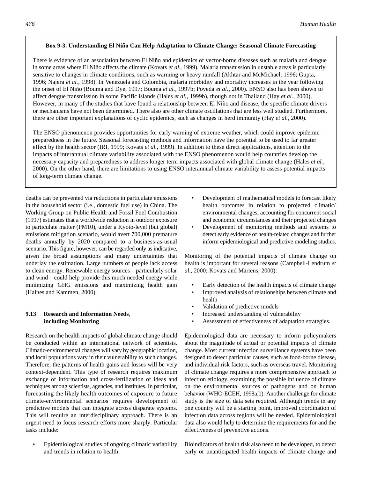#### **Box 9-3. Understanding El Niño Can Help Adaptation to Climate Change: Seasonal Climate Forecasting**

There is evidence of an association between El Niño and epidemics of vector-borne diseases such as malaria and dengue in some areas where El Niño affects the climate (Kovats *et al.*, 1999). Malaria transmission in unstable areas is particularly sensitive to changes in climate conditions, such as warming or heavy rainfall (Akhtar and McMichael, 1996; Gupta, 1996; Najera *et al.*, 1998). In Venezuela and Colombia, malaria morbidity and mortality increases in the year following the onset of El Niño (Bouma and Dye, 1997; Bouma *et al.*, 1997b; Poveda *et al.*, 2000). ENSO also has been shown to affect dengue transmission in some Pacific islands (Hales *et al.*, 1999b), though not in Thailand (Hay *et al.*, 2000). However, in many of the studies that have found a relationship between El Niño and disease, the specific climate drivers or mechanisms have not been determined. There also are other climate oscillations that are less well studied. Furthermore, there are other important explanations of cyclic epidemics, such as changes in herd immunity (Hay *et al.*, 2000).

The ENSO phenomenon provides opportunities for early warning of extreme weather, which could improve epidemic preparedness in the future. Seasonal forecasting methods and information have the potential to be used to far greater effect by the health sector (IRI, 1999; Kovats *et al.,* 1999). In addition to these direct applications, attention to the impacts of interannual climate variability associated with the ENSO phenomenon would help countries develop the necessary capacity and preparedness to address longer term impacts associated with global climate change (Hales *et al.*, 2000). On the other hand, there are limitations to using ENSO interannual climate variability to assess potential impacts of long-term climate change.

deaths can be prevented via reductions in particulate emissions in the household sector (i.e., domestic fuel use) in China. The Working Group on Public Health and Fossil Fuel Combustion (1997) estimates that a worldwide reduction in outdoor exposure to particulate matter (PM10), under a Kyoto-level (but global) emissions mitigation scenario, would avert 700,000 premature deaths annually by 2020 compared to a business-as-usual scenario. This figure, however, can be regarded only as indicative, given the broad assumptions and many uncertainties that underlay the estimation. Large numbers of people lack access to clean energy. Renewable energy sources—particularly solar and wind—could help provide this much needed energy while minimizing GHG emissions and maximizing health gain (Haines and Kammen, 2000).

#### **9.13 Research and Information Needs**, **including Monitoring**

Research on the health impacts of global climate change should be conducted within an international network of scientists. Climatic-environmental changes will vary by geographic location, and local populations vary in their vulnerability to such changes. Therefore, the patterns of health gains and losses will be very context-dependent. This type of research requires maximum exchange of information and cross-fertilization of ideas and techniques among scientists, agencies, and institutes. In particular, forecasting the likely health outcomes of exposure to future climate-environmental scenarios requires development of predictive models that can integrate across disparate systems. This will require an interdisciplinary approach. There is an urgent need to focus research efforts more sharply. Particular tasks include:

• Epidemiological studies of ongoing climatic variability and trends in relation to health

- Development of mathematical models to forecast likely health outcomes in relation to projected climatic/ environmental changes, accounting for concurrent social and economic circumstances and their projected changes
- Development of monitoring methods and systems to detect early evidence of health-related changes and further inform epidemiological and predictive modeling studies.

Monitoring of the potential impacts of climate change on health is important for several reasons (Campbell-Lendrum *et al.*, 2000; Kovats and Martens, 2000):

- Early detection of the health impacts of climate change
- Improved analysis of relationships between climate and health
- Validation of predictive models
- Increased understanding of vulnerability
- Assessment of effectiveness of adaptation strategies.

Epidemiological data are necessary to inform policymakers about the magnitude of actual or potential impacts of climate change. Most current infection surveillance systems have been designed to detect particular causes, such as food-borne disease, and individual risk factors, such as overseas travel. Monitoring of climate change requires a more comprehensive approach to infection etiology, examining the possible influence of climate on the environmental sources of pathogens and on human behavior (WHO-ECEH, 1998a,b). Another challenge for climate study is the size of data sets required. Although trends in any one country will be a starting point, improved coordination of infection data across regions will be needed. Epidemiological data also would help to determine the requirements for and the effectiveness of preventive actions.

Bioindicators of health risk also need to be developed, to detect early or unanticipated health impacts of climate change and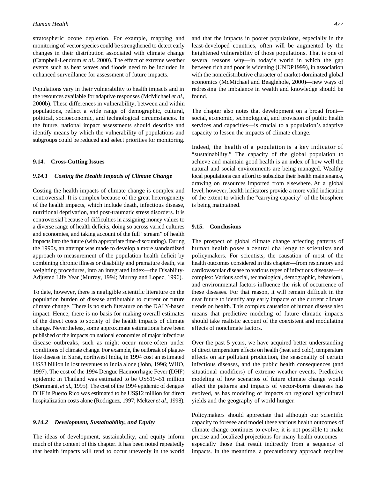stratospheric ozone depletion. For example, mapping and monitoring of vector species could be strengthened to detect early changes in their distribution associated with climate change (Campbell-Lendrum *et al.*, 2000). The effect of extreme weather events such as heat waves and floods need to be included in enhanced surveillance for assessment of future impacts.

Populations vary in their vulnerability to health impacts and in the resources available for adaptive responses (McMichael *et al*. , 2000b). These differences in vulnerability, between and within populations, reflect a wide range of demographic, cultural, political, socioeconomic, and technological circumstances. In the future, national impact assessments should describe and identify means by which the vulnerability of populations and subgroups could be reduced and select priorities for monitoring.

#### **9.14. Cross-Cutting Issues**

#### *9.14.1 Costing the Health Impacts of Climate Change*

Costing the health impacts of climate change is complex and controversial. It is complex because of the great heterogeneity of the health impacts, which include death, infectious disease, nutritional deprivation, and post-traumatic stress disorders. It is controversial because of difficulties in assigning money values to a diverse range of health deficits, doing so across varied cultures and economies, and taking account of the full "stream" of health impacts into the future (with appropriate time-discounting). During the 1990s, an attempt was made to develop a more standardized approach to measurement of the population health deficit by combining chronic illness or disability and premature death, via weighting procedures, into an integrated index—the Disability-Adjusted Life Year (Murray, 1994; Murray and Lopez, 1996).

To date, however, there is negligible scientific literature on the population burden of disease attributable to current or future climate change. There is no such literature on the DALY-based impact. Hence, there is no basis for making overall estimates of the direct costs to society of the health impacts of climate change. Nevertheless, some approximate estimations have been published of the impacts on national economies of major infectious disease outbreaks, such as might occur more often under conditions of climate change. For example, the outbreak of plaguelike disease in Surat, northwest India, in 1994 cost an estimated US\$3 billion in lost revenues to India alone (John, 1996; WHO, 1997). The cost of the 1994 Dengue Haemorrhagic Fever (DHF) epidemic in Thailand was estimated to be US\$19–51 million (Sornmani, *et al.*, 1995). The cost of the 1994 epidemic of dengue/ DHF in Puerto Rico was estimated to be US\$12 million for direct hospitalization costs alone (Rodriguez, 1997; Meltzer *et al.*, 1998).

#### *9.14.2 Development, Sustainability, and Equity*

The ideas of development, sustainability, and equity inform much of the content of this chapter. It has been noted repeatedly that health impacts will tend to occur unevenly in the world

and that the impacts in poorer populations, especially in the least-developed countries, often will be augmented by the heightened vulnerability of those populations. That is one of several reasons why—in today's world in which the gap between rich and poor is widening (UNDP1999), in association with the nonredistributive character of market-dominated global economics (McMichael and Beaglehole, 2000)—new ways of redressing the imbalance in wealth and knowledge should be found.

The chapter also notes that development on a broad front social, economic, technological, and provision of public health services and capacities—is crucial to a population's adaptive capacity to lessen the impacts of climate change.

Indeed, the health of a population is a key indicator of " sustainability." The capacity of the global population to achieve and maintain good health is an index of how well the natural and social environments are being managed. Wealthy local populations can afford to subsidize their health maintenance, drawing on resources imported from elsewhere. At a global level, however, health indicators provide a more valid indication of the extent to which the "carrying capacity" of the biosphere is being maintained.

#### **9.15. Conclusions**

The prospect of global climate change affecting patterns of human health poses a central challenge to scientists and policymakers. For scientists, the causation of most of the health outcomes considered in this chapter—from respiratory and cardiovascular disease to various types of infectious diseases—is complex: Various social, technological, demographic, behavioral, and environmental factors influence the risk of occurrence of these diseases. For that reason, it will remain difficult in the near future to identify any early impacts of the current climate trends on health. This complex causation of human disease also means that predictive modeling of future climatic impacts should take realistic account of the coexistent and modulating effects of nonclimate factors.

Over the past 5 years, we have acquired better understanding of direct temperature effects on health (heat and cold), temperature effects on air pollutant production, the seasonality of certain infectious diseases, and the public health consequences (and situational modifiers) of extreme weather events. Predictive modeling of how scenarios of future climate change would affect the patterns and impacts of vector-borne diseases has evolved, as has modeling of impacts on regional agricultural yields and the geography of world hunger.

Policymakers should appreciate that although our scientific capacity to foresee and model these various health outcomes of climate change continues to evolve, it is not possible to make precise and localized projections for many health outcomes especially those that result indirectly from a sequence of impacts. In the meantime, a precautionary approach requires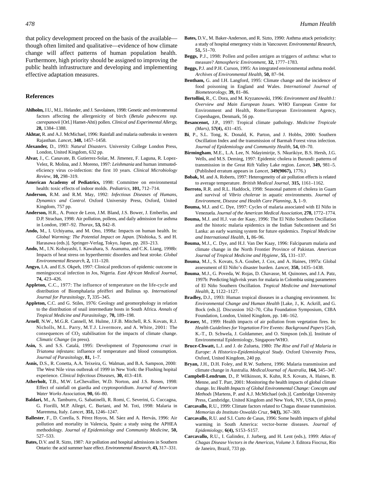that policy development proceed on the basis of the available though often limited and qualitative—evidence of how climate change will affect patterns of human population health. Furthermore, high priority should be assigned to improving the public health infrastructure and developing and implementing effective adaptation measures.

#### **References**

- Ahlholm, J.U., M.L. Helander, and J. Savolainen, 1998: Genetic and environmental factors affecting the allergenicity of birch (*Betula pubescens ssp. czerepanovii* [Orl.] Hamet-Ahti) pollen. *Clinical and Experimental Allergy*, **28,** 1384–1388.
- Akhtar, R. and A.J. McMichael, 1996: Rainfall and malaria outbreaks in western Rajasthan. *Lancet*, **348,** 1457–1458.
- **Alexander,** D., 1993: *Natural Disasters*. University College London Press, London, United Kingdom, 632 pp.
- **Alvar,** J., C. Canavate, B. Gutierrez-Solar, M. Jimenez, F. Laguna, R. Lopez-Velez, R. Molina, and J. Moreno, 1997: *Leishmania* and human immunodeficiency virus co-infection: the first 10 years. *Clinical Microbiology Review*, **10,** 298–319.
- **American Academy of Pediatrics,** 1998: Committee on environmental health: toxic effects of indoor molds. *Pediatrics,* **101,** 712–714.
- **Anderson,** R.M. and R.M. May, 1992: *Infectious Diseases of Humans, Dynamics and Control.* Oxford University Press, Oxford, United Kingdom, 757 pp.
- **Anderson,** H.R., A. Ponce de Leon, J.M. Bland, J.S. Bower, J. Emberlin, and D.P. Strachan, 1998: Air pollution, pollens, and daily admission for asthma in London, 1987–92. *Thorax,* **53,** 842–8.
- **Ando,** M., I. Uchiyama, and M. Ono, 1998a: Impacts on human health. In: *Global Warming: The Potential Impact on Japan.* [Nishioka, S. and H. Harasawa (eds.)]. Springer-Verlag, Tokyo, Japan, pp. 203–213.
- **Ando,** M., I.N. Kobayashi, I. Kawahara, S. Asanuma, and C.K. Liang, 1998b: Impacts of heat stress on hyperthermic disorders and heat stroke. *Global Environmental Research*, **2,** 111–120.
- **Angyo,** I.A. and E.S. Okpeh, 1997: Clinical predictors of epidemic outcome in meningococcal infection in Jos, Nigeria. *East African Medical Journal*, **74,** 423–426.
- Appleton, C.C., 1977: The influence of temperature on the life-cycle and distribution of Biomphalaria pfeifferi and Bulinus sp. International *Journal for Parasitology*, **7,** 335–345.
- **Appleton,** C.C. and G. Stiles, 1976: Geology and geomorphology in relation to the distribution of snail intermediate hosts in South Africa. *Annals of Tropical Medicine and Parasitology*, **70,** 189–198.
- **Arnell**, N.W., M.G.R. Cannell, M. Hulme, J.F.B. Mitchell, R.S. Kovats, R.J. Nicholls, M.L. Parry, M.T.J. Livermore, and A. White, 2001: The consequences of  $CO<sub>2</sub>$  stabilisation for the impacts of climate change. *Climatic Change* (in press).
- **Asin,** S. and S.S. Catalá, 1995: Development of *Trypanosoma cruzi* in *Triatoma infestans*: influence of temperature and blood consumption. *Journal of Parasitology,* **81,** 1–7.
- **Asnis,** D.S., R. Conetta, A.A. Teixeira, G. Walman, and B.A. Sampson, 2000: The West Nile virus outbreak of 1999 in New York: the Flushing hopital experience. *Clinical Infectious Diseases,* **30,** 413–418.
- **Atherholt,** T.B., M.W. LeChevallier, W.D. Norton, and J.S. Rosen, 1998: Effect of rainfall on giardia and cryptosporidium. *Journal of American Water Works Association*, **90,** 66–80.
- **Baldari,** M., A. Tamburro, G. Sabatinelli, R. Romi, C. Severini, G. Cuccagna, G. Fiorilli, M.P. Allegri, C. Buriani, and M. Toti, 1998: Malaria in Maremma, Italy. *Lancet,* **351,** 1246–1247.
- **Ballester**, F., D. Corella, S. Pérez Hoyos, M. Sáez and A. Hervás, 1996: Air pollution and mortality in Valencia, Spain: a study using the APHEA methodology. *Journal of Epidemiology and Community Medicine,* **50,** 527–533.
- Bates, D.V. and R. Sizto, 1987: Air pollution and hospital admissions in Southern Ontario: the acid summer haze effect. *Environmental Research*, **43**, 317–331.
- Bates, D.V., M. Baker-Anderson, and R. Sizto, 1990: Asthma attack periodicity: a study of hospital emergency visits in Vancouver. *Environmental Research*, **51,** 51–70.
- Beggs, P.J., 1998: Pollen and pollen antigen as triggers of asthma: what to measure? *Atmospheric Environment*, 32, 1777-1783.
- **Beggs,** P.J. and P.H. Curson, 1995: An integrated environmental asthma model. *Archives of Environmental Health*, **50,** 87–94.
- **Bentham,** G. and I.H. Langford, 1995: Climate change and the incidence of food poisoning in England and Wales. *International Journal of Biometeorology*, **39,** 81–86.
- Bertollini, R., C. Dora, and M. Kryzanowski, 1996: *Environment and Health 1: Overview and Main European Issues*. WHO European Centre for Environment and Health, Rome/European Environment Agency, Copenhagen, Denmark, 56 pp.
- Besancenot, J.P., 1997: Tropical climate pathology. *Medicine Tropicale (Mars)*, **57(4**)**,** 431–435.
- **Bi**, P., S.L. Tong, K. Donald, K. Parton, and J. Hobbs, 2000: Southern Oscillation Index and the transmission of Barmah Forest virus infection. *Journal of Epidemiology and Community Health*, **54,** 69–70.
- **Birmingham**, M.E., L.A. Lee, N. Ndayimirije, S. Nkurikiye, B.S. Hersh, J.G. Wells, and M.S. Deming, 1997: Epidemic cholera in Burundi: patterns of transmission in the Great Rift Valley Lake region. *Lancet*, **349,** 981–5. (Published erratum appears in *Lancet*, **349(9067),** 1776.)
- Bobak, M. and A. Roberts, 1997: Heterogeneity of air pollution effects is related to average temperature. *British Medical Journal,* **315,** 1161–1162.
- **Borroto,** R.R. and R.L. Haddock, 1998: Seasonal pattern of cholera in Guam and survival of *Vibrio cholerae* in aquatic environments. *Journal of Environment, Disease and Health Care Planning*, **3,** 1–9.
- **Bouma,** M.J. and C. Dye, 1997: Cycles of malaria associated with El Niño in Venezuela. *Journal of the American Medical Association*, 278, 1772-1774.
- **Bouma,** M.J. and H.J. van der Kaay, 1996: The El Niño Southern Oscillation and the historic malaria epidemics in the Indian Subcontinent and Sri Lanka: an early warning system for future epidemics. *Tropical Medicine and International Health*, **1,** 86–96.
- **Bouma,** M.J., C. Dye, and H.J. Van Der Kaay, 1996: Falciparum malaria and climate change in the North Frontier Province of Pakistan. *American Journal of Tropical Medicine and Hygiene*, **55,** 131–137.
- **Bouma**, M.J., S. Kovats, S.A. Goubet, J. Cox, and A. Haines, 1997a: Global assessment of El Niño's disaster burden. *Lancet,* **350,** 1435–1438.
- **Bouma**, M.J., G. Poveda, W. Rojas, D. Chavasse, M. Quinones, and J.A. Patz, 1997b: Predicting high-risk years for malaria in Colombia using parameters of El Niño Southern Oscillation. *Tropical Medicine and International Health,* **2,** 1122–1127.
- **Bradley,** D.J., 1993: Human tropical diseases in a changing environment. In: *Environmental Change and Human Health* [Lake, J., K. Ackrill, and G. Bock (eds.)]. Discussion 162–70, Ciba Foundation Symposium, CIBA Foundation, London, United Kingdom, pp. 146–162.
- **Brauer,** M., 1999: Health impacts of air pollution from vegetation fires. In: *Health Guidelines for Vegetation Fire Events: Background Papers* [Goh, K.-T., D. Schwela, J. Goldammer, and O. Simpson (eds.)]. Institute of Environmental Epidemiology, Singapore/WHO.
- **Bruce-Chwatt,** L.J. and J. de Zulueta, 1980: *The Rise and Fall of Malaria in Europe: A Historico-Epidemiological Study*. Oxford University Press, Oxford, United Kingdom, 240 pp.
- **Bryan,** J.H., D.H. Foley, and R.W. Sutherst, 1996: Malaria transmission and climate change in Australia. *MedicalJournal of Australia*, **164,** 345–347.
- **Campbell-Lendrum**, D., P. Wilkinson, K. Kuhn, R.S. Kovats, A. Haines, B. Menne, and T. Parr, 2001: Monitoring the health impacts of global climate change. In: *Health Impacts of Global Environmental Change: Concepts and Methods* [Martens, P. and A.J. McMichael (eds.)]. Cambridge University Press, Cambridge, United Kingdom and New York, NY, USA, (in press).
- **Carcavallo, R.U., 1999: Climate factors related to Chagas disease transmission.** *Memorias do Instituto Oswaldo Cruz*, **94(I),** 367–369.
- **Carcavallo, R.U.** and S.I. Curto de Casas, 1996: Some health impacts of global warming in South America: vector-borne diseases. *Journal of Epidemiology*, **6(4),** S153–S157.
- **Carcavallo,** R.U., I. Galindez, J. Jurberg, and H. Lent (eds.), 1999: *Atlas of Chagas Disease Vectors in the Americas, Volume 3*. Editora Fiocruz, Rio de Janeiro, Brazil, 733 pp.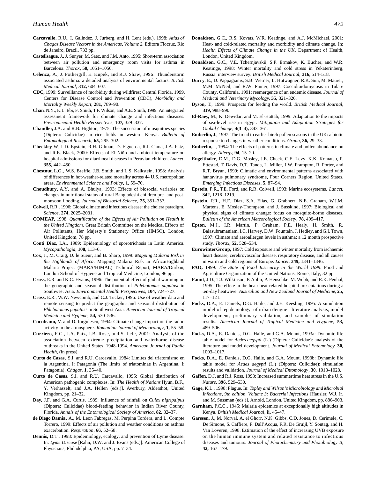- **Carcavallo,** R.U., I. Galindez, J. Jurberg, and H. Lent (eds.), 1998: *Atlas of Chagas Disease Vectors in the Americas, Volume 2*. Editora Fiocruz, Rio de Janeiro, Brazil, 733 pp.
- Castellsague, J., J. Sunyer, M. Saez, and J.M. Anto, 1995: Short-term association between air pollution and emergency room visits for asthma in Barcelona. *Thorax*, **50,** 1051–1056.
- **Celenza, A., J. Fothergill, E. Kupek, and R.J. Shaw, 1996: Thunderstorm** associated asthma: a detailed analysis of environmental factors. *British Medical Journal*, **312,** 604–607.
- **CDC,** 1999: Surveillance of morbidity during wildfires: Central Florida, 1999. Centers for Disease Control and Prevention (CDC), *Morbidity and Mortality Weekly Report*, **281,** 789–90.
- **Chan**, N.Y., K.L. Ebi, F. Smith, T.F. Wilson, and A.E. Smith, 1999: An integrated assessment framework for climate change and infectious diseases. *Environmental Health Perspectives*, **107,** 329–337.
- **Chandler,** J.A. and R.B. Highton, 1975: The succession of mosquitoes species (Diptera: Culicidae) in rice fields in western Kenya. *Bulletin of Entomological Research*, **65,** 295–302.
- **Checkley** W, L.D. Epstein, R.H. Gilman, D. Figueroa, R.I. Cama, J.A. Patz, and R.E. Black, 2000: Effects of El Niño and ambient temperature on hospital admissions for diarrhoeal diseases in Peruvian children. *Lancet*, **355,** 442–450.
- **Chestnut**, L.G., W.S. Breffle, J.B. Smith, and L.S. Kalkstein, 1998: Analysis of differences in hot-weather-related mortality across 44 U.S. metropolitan areas. *Environmental Science and Policy*, **1,** 59–70.
- **Choudhury,** A.Y. and A. Bhuiya, 1993: Effects of biosocial variables on changes in nutritional status of rural Bangladeshi children pre- and postmonsoon flooding. *Journal of Biosocial Science,* **25,** 351–357.
- **Colwell, R.R., 1996: Global climate and infectious disease: the cholera paradigm.** *Science,* **274,** 2025–2031.
- **COMEAP,** 1998: *Quantification of the Effects of Air Pollution on Health in the United Kingdom*. Great Britain Committee on the Medical Effects of Air Pollutants, Her Majesty's Stationery Office (HMSO), London, United Kingdom, 78 pp.
- **Conti Diaz,** I.A., 1989: Epidemiology of sporotrichosis in Latin America. *Mycopathologia,* **108,** 113–6.
- **Cox**, J., M. Craig, D. le Sueur, and B. Sharp, 1999: *Mapping Malaria Risk in the Highlands of Africa*. Mapping Malaria Risk in Africa/Highland Malaria Project (MARA/HIMAL) Technical Report, MARA/Durban, London School of Hygiene and Tropical Medicine, London, 96 pp.
- **Cross,** E.R. and K.C. Hyams, 1996: The potential effect of global warming on the geographic and seasonal distribution of *Phlebotomus papatasi* in Southwest Asia. *Environmental Health Perspectives,* **104,** 724–727.
- **Cross,** E.R., W.W. Newcomb, and C.J. Tucker, 1996: Use of weather data and remote sensing to predict the geographic and seasonal distribution of *Phlebotomus papatasi* in Southwest Asia. *American Journal of Tropical Medicine and Hygiene,* **54,** 530–536.
- **Cuculeanu,** V. and D. Iorgulescu, 1994: Climate change impact on the radon activity in the atmosphere. *Romanian Journal of Meteorology*, **1,** 55–58.
- Curriero, F.C., J.A. Patz, J.B. Rose, and S. Lele, 2001: Analysis of the association between extreme precipitation and waterborne disease outbreaks in the United States, 1948-1994. American Journal of Public *Health*, (in press).
- **Curto de Casas,** S.I. and R.U. Carcavallo, 1984: Limites del triatomismo en la Argentina. I: Patagonia (The limits of triatominae in Argentina. I: Patagonia). *Chagas*, **1,** 35–40.
- **Curto de Casas,** S.I. and R.U. Carcavallo, 1995: Global distribution of American pathogenic complexes. In: *The Health of Nations* [Iyun, B.F., Y. Verhasselt, and J.A. Hellen (eds.)]. Averbury, Aldershot, United Kingdom, pp. 21–32.
- **Day,** J.F. and G.A. Curtis, 1989: Influence of rainfall on *Culex nigripalpus* (Diptera: Culicidae) blood-feeding behavior in Indian River County, Florida. *Annals of the Entomological Society of America,* **82,** 32–37.
- **de Diego Damia**, A., M. Leon Fabregas, M. Perpina Tordera, and L. Compte Torrero, 1999: Effects of air pollution and weather conditions on asthma exacerbation. *Respiration*, **66,** 52–58.
- **Dennis,** D.T., 1998: Epidemiology, ecology, and prevention of Lyme disease. In: *Lyme Disease* [Rahn, D.W. and J. Evans (eds.)]. American College of Physicians, Philadelphia, PA, USA, pp. 7–34.
- **Donaldson**, G.C., R.S. Kovats, W.R. Keatinge, and A.J. McMichael, 2001: Heat- and cold-related mortality and morbidity and climate change. In: *Health Effects of Climate Change in the UK*. Department of Health, London, United Kingdom.
- **Donaldson**, G.C., V.E. Tchernjavskii, S.P. Ermakov, K. Bucher, and W.R. Keatinge, 1998: Winter mortality and cold stress in Yekaterinberg, Russia: interview survey. *British Medical Journal,* **316,** 514–518.
- **Durry**, E., D. Pappagianis, S.B. Werner, L. Hutwagner, R.K. Sun, M. Maurer, M.M. McNeil, and R.W. Pinner, 1997: Coccidioidomycosis in Tulare County, California, 1991: reemergence of an endemic disease. *Journal of Medical and Veterinary Mycology*, **35,** 321–326.
- **Dyson,** T., 1999: Prospects for feeding the world. *British Medical Journal*, **319,** 988–990.
- **El-Raey,** M., K. Dewidar, and M. El-Hattab, 1999: Adaptation to the impacts of sea-level rise in Egypt. *Mitigation and Adaptation Strategies for Global Change*, **4(3–4),** 343–361.
- **Emberlin,** J., 1997: The trend to earlier birch pollen seasons in the UK: a biotic response to changes in weather conditions. *Grana,* **36,** 29–33.
- **Emberlin,** J, 1994: The effects of patterns in climate and pollen abundance on allergy. *Allergy,* **94,** 15–20.
- **Engelthaler**, D.M., D.G. Mosley, J.E. Cheek, C.E. Levy, K.K. Komatsu, P. Ettestad, T. Davis, D.T. Tanda, L. Miller, J.W. Frampton, R. Porter, and R.T. Bryan, 1999: Climatic and environmental patterns associated with hantavirus pulmonary syndrome, Four Corners Region, United States. *Emerging Infectious Diseases*, **5,** 87–94.
- **Epstein**, P.R., T.E. Ford, and R.R. Colwell, 1993: Marine ecosystems. *Lancet*, **342,** 1216–1219.
- **Epstein,** P.R., H.F. Diaz, S.A. Elias, G. Grabherr, N.E. Graham, W.J.M. Martens, E. Mosley-Thompson, and J. Susskind, 1997: Biological and physical signs of climate change: focus on mosquito-borne diseases. *Bulletin of the American Meteorological Society,* **78,** 409–417.
- Epton, M.J., I.R. Martin, P. Graham, P.E. Healy, H. Smith, R. Balasubramaniam, I.C. Harvey, D.W. Fountain, J. Hedley, and G.I. Town, 1997: Climate and aeroallergen levels in asthma: a 12 month prospective study. *Thorax,* **52,** 528–534.
- **EurowinterGroup,** 1997: Cold exposure and winter mortality from ischaemic heart disease, cerebrovascular disease, respiratory disease, and all causes in warm and cold regions of Europe. *Lancet,* **349,** 1341–1346.
- **FAO,** 1999: *The State of Food Insecurity in the World 1999*. Food and Agriculture Organization of the United Nations, Rome, Italy, 32 pp.
- **Faunt**, J.D., T.J. Wilkinson, P. Aplin, P. Henschke. M. Webb, and R.K. Penhal, 1995: The effete in the heat: heat-related hospital presentations during a ten-day heatwave. *Australian and New Zealand Journal of Medicine*, **25,** 117–121.
- **Focks,** D.A., E. Daniels, D.G. Haile, and J.E. Keesling, 1995: A simulation model of epidemiology of urban dengue: literature analysis, model development, preliminary validation, and samples of simulation results. *American Journal of Tropical Medicine and Hygiene,* **53,** 489–506.
- **Focks,** D.A., E. Daniels, D.G. Haile, and G.A. Mount, 1993a: Dynamic life table model for *Aedes aegypti* (L.) (Diptera: Culicidae): analysis of the literature and model development. *Journal of Medical Entomology,* **30***,* 1003–1017.
- **Focks,** D.A., E. Daniels, D.G. Haile, and G.A. Mount, 1993b: Dynamic life table model for *Aedes aegypti* (L.) (Diptera: Culicidae): simulation results and validation. *Journal of Medical Entomology,* **30***,* 1018–1028.
- **Gaffen,** D.J. and R.J. Ross, 1998: Increased summertime heat stress in the U.S. *Nature*, **396,** 529–530.
- **Gage,** K.L., 1998: Plague. In: *Topley and Wilson's Microbiology and Microbial Infections, 9th edition, Volume 3: Bacterial Infections* [Hausler, W.J. Jr. and M. Sussman (eds.)]. Arnold, London, United Kingdom, pp. 886–903.
- **Garnham,** P.C.C., 1945: Malaria epidemics at exceptionally high altitudes in Kenya. *British Medical Journal*, **ii,** 45–47.
- **Garssen**, J., M. Norval, A. el Ghorr, N.K. Gibbs, C.D. Jones, D. Cerimele, C. De Simone, S. Caffiere, F. Dall'Acqua, F.R. De Gruijl, Y. Sontag, and H. Van Loveren, 1998. Estimation of the effect of increasing UVB exposure on the human immune system and related resistance to infectious diseases and tumours. *Journal of Photochemistry and Photobiology B*, **42,** 167–179.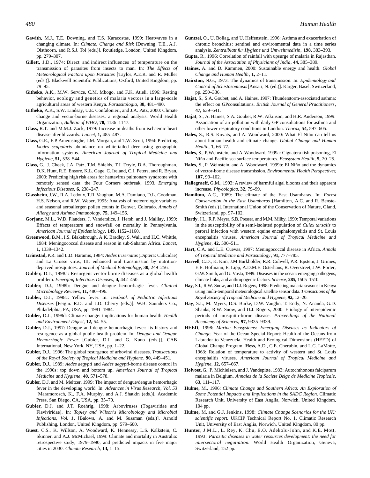- **Gawith,** M.J., T.E. Downing, and T.S. Karacostas, 1999: Heatwaves in a changing climate. In: *Climate, Change and Risk* [Downing, T.E., A.J. Olsthoorn, and R.S.J. Tol (eds.)]. Routledge, London, United Kingdom, pp. 279–307.
- **Gillett, J.D., 1974: Direct and indirect influences of temperature on the** transmission of parasites from insects to man. In: *The Effects of Meteorological Factors upon Parasites* [Taylor, A.E.R. and R. Muller (eds.)]. Blackwell Scientific Publications, Oxford, United Kingdom, pp. 79–95.
- **Githeko**, A.K., M.W. Service, C.M. Mbogo, and F.K. Atieli, 1996: Resting behavior, ecology and genetics of malaria vectors in a large-scale agricultural areas of western Kenya. *Parassitologia*, 38, 481-490.
- **Githeko,** A.K., S.W. Lindsay, U.E. Confalonieri, and J.A. Patz, 2000: Climate change and vector-borne diseases: a regional analysis. World Health Organization, *Bulletin of WHO*, **78,** 1136–1147.
- **Glass,** R.T. and M.M.J. Zack, 1979: Increase in deaths from ischaemic heart disease after blizzards. *Lancet*, **1,** 485–487.
- **Glass,** G.E., F.P. Amerasinghe, J.M. Morgan, and T.W. Scott, 1994: Predicting *Ixodes scapularis* abundance on white-tailed deer using geographic information systems. *American Journal of Tropical Medicine and Hygiene,* **51,** 538–544.
- **Glass,** G., J. Cheek, J.A. Patz, T.M. Shields, T.J. Doyle, D.A. Thoroughman, D.K. Hunt, R.E. Ensore, K.L. Gage, C. Ireland, C.J. Peters, and R. Bryan, 2000: Predicting high risk areas for hantavirus pulmonary syndrome with remotely sensed data: the Four Corners outbreak, 1993. *Emerging Infectious Diseases,* **6,** 238–247.
- **Glassheim**, J.W., R.A. Ledoux, T.R. Vaughan, M.A. Damiano, D.L. Goodman, H.S. Nelson, and R.W. Weber, 1995: Analysis of meteorologic variables and seasonal aeroallergen pollen counts in Denver, Colorado. *Annals of Allergy and Asthma Immunology,* **75,** 149–156.
- **Gorjanc**, M.L., W.D. Flanders, J. Vanderslice, J. Hersh, and J. Malilay, 1999: Effects of temperature and snowfall on mortality in Pennsylvania. *American Journal of Epidemiology*, **149,** 1152–1160.
- **Greenwood,** B.M., I.S. Blakebrough, A.K. Bradley, S. Wali, and H.C. Whittle, 1984: Meningococcal disease and season in sub-Saharan Africa. *Lancet,* **1,** 1339–1342.
- **Grimstad,** P.R. and L.D. Haramis, 1984: *Aedes triseriatus*(Diptera: Culicidae) and La Crosse virus, III: enhanced oral transmission by nutritiondeprived mosquitoes. *Journal of Medical Entomology,* **30,** 249–256.
- Gubler, D.J., 1998a: Resurgent vector borne diseases as a global health problem. *Emerging Infectious Diseases*, 4, 442-450.
- Gubler, D.J., 1998b: Dengue and dengue hemorrhagic fever. *Clinical Microbiology Reviews*, **11,** 480–496.
- **Gubler,** D.J., 1998c: Yellow fever. In: *Textbook of Pediatric Infectious Diseases* [Feigin. R.D. and J.D. Cherry (eds.)]. W.B. Saunders Co., Philadelphia, PA, USA, pp. 1981–1984.
- **Gubler,** D.J., 1998d: Climate change: implications for human health. *Health and Environment Digest,* **12,** 54–55.
- **Gubler,** D.J., 1997: Dengue and dengue hemorrhagic fever: its history and resurgence as a global public health problem. In: *Dengue and Dengue Hemorrhagic Fever* [ Gubler, D.J. and G. Kuno (eds.)]. CAB International, New York, NY, USA, pp. 1–22.
- **Gubler,** D.J., 1996: The global resurgence of arboviral diseases. *Transactions of the Royal Society of Tropical Medicine and Hygiene*, **90,** 449–451.
- **Gubler,** D.J., 1989: *Aedes aegypti* and *Aedes aegypti*-borne disease control in the 1990s: top down and bottom up. *American Journal of Tropical Medicine and Hygiene*, **40,** 571–578.
- Gubler, D.J. and M. Meltzer, 1999: The impact of dengue/dengue hemorrhagic fever in the developing world. In: *Advances in Virus Research, Vol. 53* [Maramorosch, K., F.A. Murphy, and A.J. Shatkin (eds.)]. Academic Press, San Diego, CA, USA, pp. 35–70.
- Gubler, D.J. and J.T. Roehrig, 1998: Arboviruses (Togaviridae and Flaviviridae). In: *Topley and Wilson's Microbiology and Microbial Infections, Vol. 1*. [Balows, A. and M. Sussman (eds.)]. Arnold Publishing, London, United Kingdom, pp. 579–600.
- **Guest**, C.S., K. Willson, A. Woodward, K. Hennessy, L.S. Kalkstein, C. Skinner, and A.J. McMichael, 1999: Climate and mortality in Australia: retrospective study, 1979–1990, and predicted impacts in five major cities in 2030. *Climate Research*, **13,** 1–15.
- **Guntzel,** O., U. Bollag, and U. Helfenstein, 1996: Asthma and exacerbation of chronic bronchitis: sentinel and environmental data in a time series analysis. *Zentralblatt fur Hygiene und Umweltmedizin,* **198,** 383–393.
- **Gupta,** R., 1996: Correlation of rainfall with upsurge of malaria in Rajasthan. *Journal of the Association of Physicians of India*, **44,** 385–389.
- **Haines,** A. and D. Kammen, 2000: Sustainable energy and health. *Global Change and Human Health*, **1,** 2–11.
- **Hairston,** N.G., 1973: The dynamics of transmission. In: *Epidemiology and Control of Schistosomiasis*[Ansari, N. (ed.)]. Karger, Basel, Switzerland, pp. 250–336.
- Hajat, S., S.A. Goubet, and A. Haines, 1997: Thunderstorm-associated asthma: the effect on GPconsultations. *British Journal of General Practitioners*, **47,** 639–641.
- **Hajat**, S., A. Haines, S.A. Goubet, R.W. Atkinson, and H.R. Anderson, 1999: Association of air pollution with daily GP consultations for asthma and other lower respiratory conditions in London. *Thorax*, **54,** 597–605.
- **Hales,** S., R.S. Kovats, and A. Woodward, 2000: What El Niño can tell us about human health and climate change. *Global Change and Human Health*, **1,** 66–77.
- **Hales,** S., P.Weinstein, and A. Woodward, 1999a: Ciguatera fish poisoning, El Niño and Pacific sea surface temperatures. *Ecosystem Health*, **5,** 20–25.
- **Hales,** S., P. Weinstein, and A. Woodward, 1999b: El Niño and the dynamics of vector-borne disease transmission. *Environmental Health Perspectives*, **107,** 99–102.
- **Hallegraeff,** G.M., 1993: A review of harmful algal blooms and their apparent increase. *Phycologica*, **32,** 79–99.
- **Hamilton,** A.C., 1989: The climate of the East Usambaras. In: *Forest Conservation in the East Usambaras* [Hamilton, A.C. and R. Benste-Smith (eds.)]. International Union of the Conservation of Nature, Gland, Switzerland, pp. 97–102.
- Hardy, J.L., R.P. Meyer, S.B. Presser, and M.M. Milby, 1990: Temporal variations in the susceptibility of a semi-isolated population of *Culex tarsalis* to peroral infection with western equine encephalomyelitis and St. Louis encephalitis viruses. *American Journal of Tropical Medicine and Hygiene,* **42,** 500–511.
- **Hart,** C.A. and L.E. Cuevas, 1997: Meningococcal disease in Africa. *Annals of Tropical Medicine and Parasitology*, **91,** 777–785.
- Harvell, C.D., K. Kim, J.M Burkholder, R.R. Colwell, P.R. Epstein, J. Grimes, E.E. Hofmann, E. Lipp, A.D.M.E. Osterhaus, R. Overstreet, J.W. Porter, G.W. Smith, and G. Vasta, 1999: Diseases in the ocean: emerging pathogens, climate links, and anthropogenic factors. *Science*, **285**, 1505–1510.
- Hay, S.I., R.W. Snow, and D.J. Rogers, 1998: Predicting malaria seasons in Kenya using multi-temporal meteorological satellite sensor data. *Transactions of the Royal Society of Tropical Medicine and Hygiene*, 92, 12-20.
- **Hay**, S.I., M. Myers, D.S. Burke, D.W. Vaughn, T. Endy, N. Ananda, G.D. Shanks, R.W. Snow, and D.J. Rogers, 2000: Etiology of interepidemic periods of mosquito-borne disease. *Proceedings of the National Accademy of Sciences,* **97,** 9335–9339.
- **HEED**, 1998: *Marine Ecosystems: Emerging Diseases as Indicators of Change.* Year of the Ocean Special Report: Health of the Oceans from Labrador to Venezuela. Health and Ecological Dimensions (HEED) of Global Change Program. **Hess,** A.D., C.E. Cherubin, and L.C. LaMotte, 1963: Relation of temperature to activity of western and St. Louis encephalitis viruses. *American Journal of Tropical Medicine and Hygiene,* **12,** 657–667.
- **Holvoet,** G., P. Michielsen, and J. Vandepitte, 1983: Autochthonous falciparum malaria in Belgium. *Annales de la Societe Belge de Medicine Tropicale*, **63,** 111–117.
- **Hulme,** M., 1996: *Climate Change and Southern Africa: An Exploration of Some Potential Impacts and Implications in the SADC Region.* Climatic Research Unit, University of East Anglia, Norwich, United Kingdom, 104 pp.
- Hulme, M. and G.J. Jenkins, 1998: *Climate Change Scenarios for the UK: s c ientific report.* UKCIP Technical Report No. 1, Climatic Research Unit, University of East Anglia, Norwich, United Kingdom, 80 pp.
- Hunter, J.M.L., L. Rey, K. Chu, E.O. Adekolu-John, and K.E. Mott, 1993: *Parasitic diseases in water resources development: the need for intersectoral negotiation.* World Health Organization, Geneva, Switzerland, 152 pp.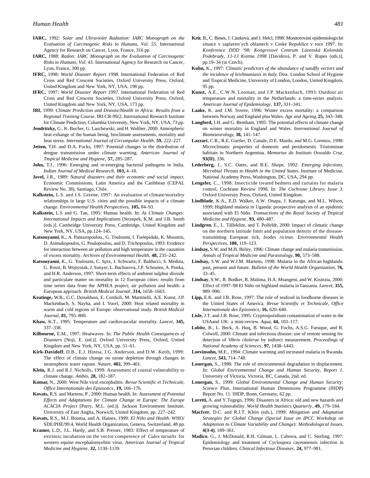- **IARC,** 1992: *Solar and Ultraviolet Radiation: IARC Monograph on the Evaluation of Carcinogenic Risks to Humans, Vol. 55*. International Agency for Research on Cancer, Lyon, France, 316 pp.
- **IARC,** 1988: *Radon: IARC Monograph on the Evaluation of Carcinogenic Risks to Humans, Vol. 43.* International Agency for Research on Cancer, Lyon, France, 300 pp.
- **IFRC,** 1998: *World Disaster Report 1998*. International Federation of Red Cross and Red Crescent Societies, Oxford University Press, Oxford, United Kingdom and New York, NY, USA, 198 pp.
- **IFRC,** 1997: *World Disaster Report 1997*. International Federation of Red Cross and Red Crescent Societies, Oxford University Press, Oxford, United Kingdom and New York, NY, USA, 173 pp.
- **IRI,** 1999: *Climate Prediction and Disease/Health in Africa: Results from a Regional Training Course.* IRI-CR-99/2, International Research Institute for Climate Prediction, Columbia University, New York, NY, USA, 73 pp.
- **Jendritzky,** G., K. Bucher, G. Laschewski, and H. Walther, 2000: Atmospheric heat exhange of the human being, bioclimate assessments, mortality and heat stress. *International Journal of Circumpolar Health*, **59,** 222–227.
- **Jetten,** T.H. and D.A. Focks, 1997: Potential changes in the distribution of dengue transmission under climate warming. *American Journal of Tropical Medicine and Hygiene,* **57,** 285–287.
- **John,** T.J., 1996: Emerging and re-emerging bacterial pathogens in India. *Indian Journal of Medical Research,* **103,** 4–18.
- **Jovel,** J.R., 1989: *Natural disasters and their economic and social impact.* Economic Commissions, Latin America and the Caribbean (CEPAL Review No. 38), Santiago, Chile.
- Kalkstein, L.S. and J.S. Greene, 1997: An evaluation of climate/mortality relationships in large U.S. cities and the possible impacts of a climate change. *Environmental Health Perspectives*, **105,** 84–93.
- **Kalkstein,** L.S and G. Tan, 1995: Human health. In: *As Climate Changes: International Impacts and Implications* [Strzepek, K.M. and J.B. Smith (eds.)]. Cambridge University Press, Cambridge, United Kingdom and New York, NY, USA, pp.124–145.
- Katsouyanni, K., A. Pantazopoulou., G. Touloumi, I. Tselepidaki, K. Moustris, D. Asimakopoulos, G. Poulopoulou, and D. Trichopoulos, 1993: Evidence for interaction between air pollution and high temperature in the causation of excess mortality. *Archives of Environmental Health,* **48,** 235–242.
- **Katsouyanni**, K., G. Touloumi, C. Spix, J. Schwartz, F. Balducci, S. Medina, G. Rossi, B. Wojtyniak, J. Sunyer, L. Bacharova, J.P. Schouten, A. Ponka, and H.R. Anderson, 1997: Short-term effects of ambient sulphur dioxide and particulate matter on mortality in 12 European cities: results from time series data from the APHEA project; air pollution and health: a European approach. *British Medical Journal*, **314,** 1658–1663.
- **Keatinge,** W.R., G.C. Donaldson, E. Cordioli, M. Martinelli, A.E. Kunst, J.P. Mackenbach, S. Nayha, and I. Vuori, 2000: Heat related mortality in warm and cold regions of Europe: observational study. *British Medical Journal,* **81,** 795–800.
- **Khaw,** K.T., 1995: Temperature and cardiovascular mortality. *Lancet*, **345,** 337–338.
- **Kilbourne,** E.M., 1997: Heatwaves. In: *The Public Health Consequences of Disasters* [Noji, E. (ed.)]. Oxford University Press, Oxford, United Kingdom and New York, NY, USA, pp. 51–61.
- Kirk-Davidoff, D.B., E.J. Hintsa, J.G. Anderson, and D.W. Keith, 1999: The effect of climate change on ozone depletion through changes in stratospheric water vapour. *Nature*, **402,** 399–401.
- Klein, R.J. and R.J. Nicholls, 1999: Assessment of coastal vulnerability to climate change. *Ambio*, **28**, 182-187.
- **Komar,** N., 2000: West Nile viral encephalitis. *Revue Scientific et Technicale, Office Internationale des Epizootics*, **19,** 166–176.
- **Kovats,** R.S. and Martens, P., 2000: Human health. In: *Assessment of Potential Effects and Adaptations for Climate Change in Europe: The Europe ACACIA Project* [Parry, M.L. (ed.)]. Jackson Environment Institute, University of East Anglia, Norwich, United Kingdom, pp. 227–242.
- **Kovats,** R.S., M.J. Bouma, and A. Haines, 1999: *El Niño and Health*. WHO/ SDE/PHE/99.4, World Health Organization, Geneva, Switzerland, 48 pp.
- **Kramer,** L.D., J.L. Hardy, and S.B. Presser, 1983: Effect of temperature of extrinsic incubation on the vector competence of *Culex tarsalis* for western equine encephalomyelitis virus. *American Journal of Tropical Medicine and Hygiene,* **32,** 1130–1139.
- Kríz, B., C. Benes, J. Cástková, and J. Helcl, 1998: Monitorování epidemiologické situace v zaplaven´ych oblastech v Ceské Republice v roce 1997. In: *K o n f e rence DDD '98; Kongresové Centrum Lázenská Kolonáda Podebrady, 11-13 Kvetna 1998* [Davidová, P. and V. Rupes (eds.)], pp.19–34 (in Czech).
- **Kuhn,** K., 1997: *Climatic predictors of the abundance of sandfly vectors and the incidence of leishmaniasis in Italy.* Diss. London School of Hygiene and Tropical Medicine, University of London, London, United Kingdom, 95 pp.
- Kunst, A.E., C.W.N. Looman, and J.P. Mackenbach, 1993: Outdoor air temperature and mortality in the Netherlands: a time-series analysis. *American Journal of Epidemiology*, **137,** 331–341.
- **Laake,** K. and J.M. Sverre, 1996: Winter excess mortality: a comparison between Norway and England plus Wales. *Age and Ageing,* **25,** 343–348.
- **Langford,** I.H. and G. Bentham, 1995: The potential effects of climate change on winter mortality in England and Wales. *International Journal of Biometeorology*, **38,** 141–147.
- **Lazzari**, C.R., R.E. Gurtler, D. Canale, D.E. Mardo, and M.G. Lorenzo, 1998: Microclimatic properties of domestic and peridomestic Triatominae habitats in Northern Argentina. *Memorias do Instituto Oswaldo Cruz*, **93(II)**, 336.
- **Lederberg,** J., S.C. Oates, and R.E. Shope, 1992: *Emerging Infections, Microbial Threats to Health in the United States*. Institute of Medicine, National Academy Press, Washington, DC, USA, 294 pp.
- Lengeler, C., 1998: Insecticide treated bednets and curtains for malaria control, Cochrane Review 1998. In: The Cochrane Library, Issue 3. Oxford University Press, Oxford, United Kingdom.
- **Lindblade**, K.A., E.D. Walker, A.W. Onapa, J. Katungu, and M.L. Wilson, 1999: Highland malaria in Uganda: prospective analysis of an epidemic associated with El Niño. *Transactions of the Royal Society of Tropical Medicine and Hygiene*, **93,** 480–487.
- **Lindgren**, E., L. Tälleklint, and T. Polfeldt, 2000: Impact of climatic change on the northern latitude limit and population density of the diseasetransmitting European tick, *Ixodes ricinus. Environmental Health Perspectives*, **108,** 119–123.
- Lindsay, S.W. and M.H. Birley, 1996: Climate change and malaria transmission. *Annals of Tropical Medicine and Parasitology,* **90,** 573–588.
- **Lindsay,** S.W. and W.J.M. Martens, 1998: Malaria in the African highlands: past, present and future. *Bulletin of the World Health Organization*, **76,** 33–45.
- **Lindsay**, S.W., R. Bodker, R. Malima, H.A. Msangeni, and W. Kisinzia, 2000: Effect of 1997–98 El Niño on highland malaria in Tanzania. *Lancet*, **355,** 989–990.
- **Lipp,** E.K. and J.B. Rose, 1997: The role of seafood in foodborne diseases in the United States of America. *Revue Scientific et Technicale, Office Internationale des Epizootics,* **16,** 620–640.
- **Lisle,** J.T. and J.B. Rose, 1995: Cryptosporidium contamination of water in the USAand UK: a mini-review. *Aqua,* **44,** 103–117.
- **Lobitz**, B., L. Beck, A. Huq, B. Wood, G. Fuchs, A.S.G. Faruque, and R. Colwell, 2000: Climate and infectious disease: use of remote sensing for detection of *Vibrio cholerae* by indirect measurement. *Proceedings of National Academy of Sciences*, **97,** 1438–1443.
- **Loevinsohn,** M.E., 1994: Climate warming and increased malaria in Rwanda. *Lancet,* **343,** 714–748.
- **Lonergan,** S., 1998: The role of environmental degradation in displacement. In: *Global Environmental Change and Human Security, Report 1*. University of Victoria, Victoria, BC, Canada, 2nd. ed.
- **Lonergan,** S., 1999: *Global Environmental Change and Human Security: Science Plan*. International Human Dimensions Programme (IHDP) Report No. 11. IHDP, Bonn, Germany, 62 pp.
- **Loretti,** A. and Y.Tegegn, 1996: Disasters in Africa: old and new hazards and growing vulnerability. *World Health Statistics Quarterly*, **49,** 179–184.
- **MacIver**, D.C. and R.J.T. Klein (eds.), 1999: *Mitigation and Adaptation Strategies for Global Change (Special Issue on IPCC Workshop on Adaptation to Climate Variability and Change): Methodological Issues*, **4(3-4)**, 189–361.
- **Madico**, G., J. McDonald, R.H. Gilman, L. Cabrera, and C. Sterling, 1997: Epidemiology and treatment of Cyclospora cayetanensis infection in Peruvian children. *Clinical Infectious Diseases*, **24,** 977–981.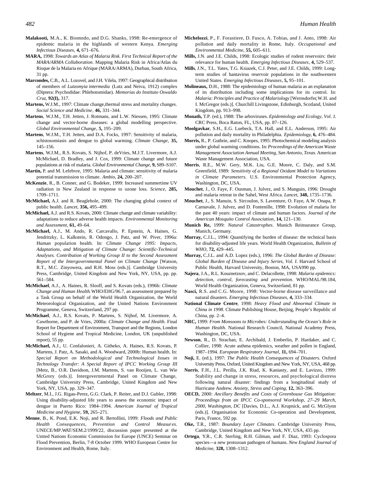- Malakooti, M.A., K. Biomndo, and D.G. Shanks, 1998: Re-emergence of epidemic malaria in the highlands of western Kenya. *Emerging Infectious Diseases*, **4,** 671–676.
- **MARA,** 1998: *Towards an Atlas of Malaria Risk. First Technical Report of the MARA/ARMA Collaboration*. Mapping Malaria Risk in Africa/Atlas du Risque de la Malaria en Afrique (MARA/ARMA), Durban, South Africa, 31 pp.
- Marcondes, C.B., A.L. Lozovel, and J.H. Vilela, 1997: Geographical distribution of members of *Lutzomyia intermedia* (Lutz and Neiva, 1912) complex (Diptera: Psychodidae: Phlebotomidae). *Memorias do Instituto Oswaldo Cruz*, **92(I),** 317.
- **Martens,** W.J.M., 1997: Climate change,thermal stress and mortality changes. *Social Science and Medicine*, **46,** 331–344.
- **Martens**, W.J.M., T.H. Jetten, J. Rotmans, and L.W. Niessen, 1995: Climate change and vector-borne diseases: a global modelling perspective. *Global Environmental Change*, **5,** 195–209.
- **Martens**, W.J.M., T.H. Jetten, and D.A. Focks, 1997: Sensitivity of malaria, schistosomiasis and dengue to global warming. *Climate Change,* **35,** 145–156.
- **Martens**, W.J.M., R.S. Kovats, S. Nijhof, P. deVries, M.J.T. Livermore, A.J. McMichael, D. Bradley, and J. Cox, 1999: Climate change and future populations at risk of malaria. *Global Environmental Change*, 9, S89-S107.
- **Martin,** P. and M. Lefebvre, 1995: Malaria and climate: sensitivity of malaria potential transmission to climate. *Ambio,* **24,** 200–207.
- **McKenzie**, R., B. Conner, and G. Bodeker, 1999: Increased summertime UV radiation in New Zealand in response to ozone loss. *Science*, **285,** 1709–1711.
- **McMichael,** A.J. and R. Beaglehole, 2000: The changing global context of public health. *Lancet*, **356,** 495–499.
- McMichael, A.J. and R.S. Kovats, 2000: Climate change and climate variability: adaptations to reduce adverse health impacts. *Environmental Monitoring and Assessment*, **61,** 49–64.
- McMichael, A.J., M. Ando, R. Carcavallo, P. Epstein, A. Haines, G. Jendritzky, L. Kalkstein, R. Odongo, J. Patz, and W. Piver, 1996a: Human population health. In: *Climate Change 1995: Impacts, Adaptations, and Mitigation of Climate Change: Scientific-Technical Analyses. Contribution of Working Group II to the Second Assessment Report of the Intergovernmental Panel on Climate Change* [Watson, R.T., M.C. Zinyowera, and R.H. Moss (eds.)]. Cambridge University Press, Cambridge, United Kingdom and New York, NY, USA, pp. pp. 561–584.
- **McMichael**, A.J., A. Haines, R. Slooff, and S. Kovats (eds.), 1996b: *Climate Change and Human Health*. WHO/EHG/96.7, an assessment prepared by a Task Group on behalf of the World Health Organization, the World Meteorological Organization, and the United Nations Environment Programme, Geneva, Switzerland, 297 pp.
- **McMichael**, A.J., R.S. Kovats, P. Martens, S. Nijhof, M. Livermore, A. Cawthorne, and P. de Vries, 2000a: *Climate Change and Health.* Final Report for Department of Environment, Transport and the Regions, London School of Hygiene and Tropical Medicine, London, UK (unpublished report), 55 pp.
- **McMichael,** A.J., U. Confalonieri, A. Githeko, A. Haines, R.S. Kovats, P. Martens, J. Patz, A. Sasaki, and A. Woodward, 2000b: Human health. In: *Special Report on Methodological and Technological Issues in Technology Transfer: A Special Report of IPCC Working Group III* [Metz, B., O.R. Davidson, J.M. Martens, S. van Rooijen, L. van Wie McGrory (eds.)]. Intergovernmental Panel on Climate Change, Cambridge University Press, Cambridge, United Kingdom and New York, NY, USA, pp. 329–347.
- **Meltzer**, M.I., J.G. Rigau-Perez, G.G. Clark, P. Reiter, and D.J. Gubler, 1998: Using disability-adjusted life years to assess the economic impact of dengue in Puerto Rico: 1984–1994. *American Journal of Tropical Medicine and Hygiene*, **59,** 265–271.
- **Menne**, B., K. Pond, E.K. Noji, and R. Bertollini, 1999: *Floods and Public* Health Consequences, Prevention and Control Measures. UNECE/MP.WAT/SEM.2/1999/22, discussion paper presented at the United Nations Economic Commission for Europe (UNCE) Seminar on Flood Prevention, Berlin, 7-8 October 1999. WHO European Centre for Environment and Health, Rome, Italy.
- Michelozzi, P., F. Forastiere, D. Fusco, A. Tobias, and J. Anto, 1998: Air pollution and daily mortality in Rome, Italy. Occupational and *Environmental Medicine*, **55,** 605–611.
- **Mills,** J.N. and J.E. Childs, 1998: Ecologic studies of rodent reservoirs: their relevance for human health. *Emerging Infectious Diseases*, **4,** 529–537.
- **Mills**, J.N., T.L. Yates, T.G. Ksiazek, C.J. Peter, and J.E. Childs, 1999: Longterm studies of hantavirus reservoir populations in the southwestern United States. *Emerging Infectious Diseases*, **5,** 95–101.
- **Molineaux, D.H., 1988: The epidemiology of human malaria as an explanation** of its distribution including some implications for its control. In: *Malaria: Principles and Practice of Malariology* [Wernsdorfer,W.H. and I. McGregor (eds.)]. Churchill Livingstone, Edinburgh, Scotland, United Kingdom, pp. 913–998.
- **Monath,** T.P. (ed.), 1988: The arboviruses. *Epidemiology and Ecology, Vol. 1*. CRC Press, Boca Raton, FL, USA, pp. 87–126.
- **Moolgavkar**, S.H., E.G. Luebeck, T.A. Hall, and E.L. Anderson, 1995: Air pollution and daily mortality in Philadelphia. *Epidemiology,* **6,** 476–484.
- Morris, R., P. Guthrie, and C. Knopes, 1995: Photochemical modeling analysis under global warming conditions. In: *Proceedings of the American Waste Management Association Annual Meeting, San Antonio, Texas*. American Waste Management Association, USA.
- **Morris**, R.E., M.W. Gery, M.K. Liu, G.E. Moore, C. Daly, and S.M. Greenfield, 1989: *Sensitivity of a Regional Oxidant Model to Variations in Climate Parameters.* U.S. Environmental Protection Agency, Washington, DC, USA.
- **Mouchet**, J., O. Faye, F. Ousman, J. Julvez, and S. Manguin, 1996: Drought and malaria retreat in the Sahel, West Africa. *Lancet*, **348,** 1735–1736.
- **Mouchet**, J., S. Manuin, S. Sircoulon, S. Laventure, O. Faye, A.W. Onapa, P. Carnavale, J. Julvez, and D. Fontenille, 1998: Evolution of malaria for the past 40 years: impact of climate and human factors. *Journal of the American Mosquito Control Association*, **14,** 121–130.
- Munich Re, 1999: *Natural Catastrophes*. Munich Reinsurance Group, Munich, Germany.
- **Murray,** C.J.L., 1994: Quantifying the burden of disease: the technical basis for disability-adjusted life years. World Health Organization, *Bulletin of WHO*, **72,** 429–445.
- **Murray,** C.J.L. and A.D. Lopez (eds.), 1996: *The Global Burden of Disease: Global Burden of Disease and Injury Series, Vol. I*. Harvard School of Public Health, Harvard University, Boston, MA, USA990 pp.
- Najera, J.A., R.L. Kouznetzsov, and C. Delacollette, 1998: *Malaria epidemics:* detection, control, forecasting and prevention. WHO/MAL/98.184, World Health Organization, Geneva, Switzerland, 81 pp.
- Nasci, R.S. and C.G. Moore, 1998: Vector-borne disease surveillance and natural disasters. *Emerging Infectious Diseases*, 4, 333-334.
- **National Climate Centre**, 1998: *Heavy Flood and Abnormal Climate in China in 1998*. Climate Publishing House, Beijing, People's Republic of China, pp. 2–4.
- **NRC,** 1999: *From Monsoons to Microbes: Understanding the Ocean's Role in Human Health.* National Research Council, National Academy Press, Washington, DC, USA.
- **Newson**, R., D. Strachan, E. Archibald, J. Emberlin, P. Hardaker, and C. Collier, 1998: Acute asthma epidemics, weather and pollen in England, 1987–1994*. European Respiratory Journal*, **11,** 694–701.
- **Noji,** E. (ed.), 1997: *The Public Health Consequences of Disasters*. Oxford University Press, Oxford, United Kingdom and New York, NY, USA, 468 pp.
- **Norris**, F.H., J.L. Perilla, J.K. Riad, K. Kaniasty, and E. Lavizzo, 1999: Stability and change in stress, resources, and psychological distress following natural disaster: findings from a longitudinal study of Hurricane Andrew. *Anxiety, Stress and Coping*, **12,** 363–396.
- **OECD,** 2000: *Ancillary Benefits and Costs of Greenhouse Gas Mitigation: Proceedings from an IPCC Co-sponsored* W*orkshop, 27–29 March, 2000, Washington, DC* [Davies, D.L., A.J. Krupnick, and G. McGlynn (eds.)]*.* Organisation for Economic Co-operation and Development, Paris, France, 592 pp.
- **Oke,** T.R., 1987: *Boundary Layer Climates*. Cambridge University Press, Cambridge, United Kingdom and New York, NY, USA, 435 pp.
- **Ortega**, Y.R., C.R. Sterling, R.H. Gilman, and F. Diaz, 1993: Cyclospora species—a new protozoan pathogen of humans. *New England Journal of Medicine*, **328,** 1308–1312.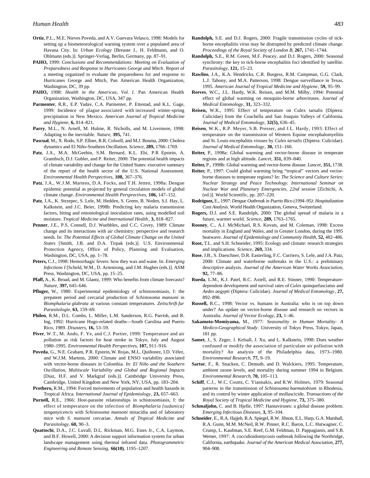- **Ortiz**, P.L., M.E. Nieves Poveda, and A.V. Guevara Velasco, 1998: Models for setting up a biometeorological warning system over a populated area of Havana City. In: *Urban Ecology* [Breuste J., H. Feldmann, and O. Ohlmann (eds.)]. Springer-Verlag, Berlin, Germany, pp. 87–91.
- **PAHO,** 1999: *Conclusions and Recommendations: Meeting on Evaluation of Preparedness and Response to Hurricanes George and Mitch*. Report of a meeting organized to evaluate the preparedness for and response to Hurricanes George and Mitch, Pan American Health Organization, Washington, DC, 39 pp.
- PAHO, 1998: *Health in the Americas, Vol. 1*. Pan American Health Organization, Washington, DC, USA, 347 pp.
- **Parmenter**, R.R., E.P. Yadav, C.A. Parmenter, P. Ettestad, and K.L. Gage, 1999: Incidence of plague associated with increased winter-spring precipitation in New Mexico. American Journal of Tropical Medicine *and Hygiene*, **6,** 814–821.
- **Parry**, M.L., N. Arnell, M. Hulme, R. Nicholls, and M. Livermore, 1998: Adapting to the inevitable. *Nature*, **395,** 741.
- Pascual, M., X. Rodo, S.P. Ellner, R.R. Colwell, and M.J. Bouma, 2000: Cholera dynamics and El Niño-Southern Oscillation. *Science*, 289, 1766-1769.
- Patz, J.A., M.A. McGeehin, S.M. Bernard, K.L. Ebi, P.R Epstein, A. Grambsch, D.J. Gubler, and P. Reiter, 2000: The potential health impacts of climate variability and change for the United States: executive summary of the report of the health sector of the U.S. National Assessment. *Environmental Health Perspectives,* **108,** 367–376.
- Patz, J.A., W.J.M. Martens, D.A. Focks, and T.H. Jetten, 1998a: Dengue epidemic potential as projected by general circulation models of global climate change. *Environmental Health Persprectives,* **106,** 147–152.
- **Patz**, J.A., K. Strzepec, S. Lele, M. Hedden, S. Green, B. Noden, S.I. Hay, L. Kalkstein, and J.C. Beier, 1998b: Predicting key malaria transmission factors, biting and entomological inoculation rates, using modelled soil moisture. *Tropical Medicine and International Health*, **3,** 818–827.
- **Penner**, J.E., P.S. Connell, D.J. Wuebbles, and C.C. Covey, 1989: Climate change and its interactions with air chemistry: perspective and research needs. In: *The Potential Effects of Global Climate Change on the United States* [Smith, J.B. and D.A. Tirpak (eds.)]. U.S. Environmental Protection Agency, Office of Policy, Planning and Evaluation, Washington, DC, USA, pp. 1–78.
- **Peters,** C.J., 1998: Hemorrhagic fevers: how they wax and wane. In: *Emerging Infections I* [Scheld, W.M., D. Armstrong, and J.M. Hughes (eds.)]. ASM Press, Washington, DC, USA, pp. 15–25.
- Pfaff, A., K. Broad, and M. Glantz, 1999: Who benefits from climate forecasts? *Nature*, **397,** 645–646.
- **Pfluger,** W., 1980: Experimental epidemiology of schistosomiasis, I: the prepatent period and cercarial production of *Schistosoma mansoni* in *Biomphalaria glabrata* at various constant temperatures. *Zeitschrift fur Parasitologie,* **63,** 159–69.
- **Philen**, R.M., D.L. Combs, L. Miller, L.M. Sanderson, R.G. Parrish, and R. Ing, 1992: Hurricane Hugo-related deaths—South Carolina and Puerto Rico, 1989. *Disasters*, **16,** 53–59.
- Piver, W.T., M. Ando, F. Ye, and C.J. Portier, 1999: Temperature and air pollution as risk factors for heat stroke in Tokyo, July and August 1980–1995. *Environmental Health Perspectives*, **107,** 911–916.
- **Poveda**, G., N.E. Graham, P.R. Epstein, W. Rojas, M.L. Quiñonez, I.D. Vélez, and W.J.M. Martens, 2000: Climate and ENSO variability associated with vector-borne diseases in Colombia. *In: El Niño and the Southern Oscillation, Multiscale Variability and Global and Regional Impacts* [Diaz, H.F. and V. Markgraf (eds.)]. Cambridge University Press, Cambridge, United Kingdom and New York, NY, USA, pp. 183–204.
- **Prothero,** R.M., 1994: Forced movements of population and health hazards in Tropical Africa. *International Journal of Epidemiology*, **23,** 657–663.
- **Purnell,** R.E., 1966: Host-parasite relationships in schistosomiasis, I: the e ffect of temperature on the infection of *Biomphalaria [sudanica]* tanganyicencis with *Schistosoma mansoni* miracidia and of laboratory mice with *S. mansoni* cercariae. *Annals of Tropical Medicine and Parasitology*, **60,** 90–3.
- **Quattochi**, D.A., J.C. Luvall, D.L. Rickman, M.G. Estes Jr., C.A. Laymon, and B.F. Howell, 2000: A decision support information system for urban landscape management using thermal infrared data. *Photogrammetric Engineering and Remote Sensing,* **66(10)**, 1195–1207.
- **Randolph,** S.E. and D.J. Rogers, 2000: Fragile transmission cycles of tickborne encephalitis virus may be distrupted by predicted climate change. *Proceedings of the Royal Society of London B*, **267,** 1741–1744.
- **Randolph,** S.E., R.M. Green, M.F. Peacey, and D.J. Rogers, 2000: Seasonal synchrony: the key to tick-borne encephalitis foci identified by satellite. *Parasitology*, **121,** 15–23.
- **Rawlins**, J.A., K.A. Hendricks, C.R. Burgess, R.M. Campman, G.G. Clark, L.J. Tabony, and M.A. Patterson, 1998: Dengue surveillance in Texas, 1995. *American Journal of Tropical Medicine and Hygiene*, **59,** 95–99.
- **Reeves**, W.C., J.L. Hardy, W.K. Reisen, and M.M. Milby, 1994: Potential effect of global warming on mosquito-borne arboviruses. *Journal of Medical Entomology*, **31,** 323–332.
- Reisen, W.K., 1995: Effect of temperature on Culex tarsalis (Diptera: Culicidae) from the Coachella and San Joaquin Valleys of California. *Journal of Medical Entomology*, **32(5),** 636–45.
- Reisen, W.K., R.P. Meyer, S.B. Presser, and J.L. Hardy, 1993: Effect of temperature on the transmission of Western Equine encephalomyelitis and St. Louis encephalitis viruses by *Culex tarsalis* (Diptera: Culicidae). *Journal of Medical Entomology*, **30,** 151–160.
- **Reiter,** P., 1998a: Global warming and vector-borne disease in temperate regions and at high altitude. *Lancet,* **351,** 839–840.
- Reiter, P., 1998b: Global warming and vector-borne disease. *Lancet*, 351, 1738.
- **Reiter,** P., 1997: Could global warming bring "tropical" vectors and vectorborne diseases to temperate regions? In: *The Science and Culture Series: Nuclear Strategy and Peace Technology. International Seminar on Nuclear War and Planetary Emergencies, 22nd session* [Zichichi, A. (ed.)]. World Scientific, pp. 207–220.
- **Rodriguez,** E., 1997: *Dengue Outbreak in Puerto Rico* (1994–95): *Hospitalization* Cost Analysis. World Health Organization, Geneva, Switzerland.
- **Rogers,** D.J. and S.E. Randolph, 2000: The global spread of malaria in a future, warmer world. *Science*, **289,** 1763–1765.
- **Rooney**, C., A.J. McMichael, R.S. Kovats, and M. Coleman, 1998: Excess mortality in England and Wales, and in Greater London, during the 1995 heatwave. *Journal of Epidemiology and Community Health*, 52, 482-486.
- **Root,** T.L. and S.H. Schneider, 1995: Ecology and climate: research strategies and implications. *Science*, **269,** 334.
- **Rose**, J.B., S. Daeschner, D.R. Easterling, F.C. Curriero, S. Lele, and J.A. Patz, 2000: Climate and waterborne outbreaks in the U.S.: a preliminary descriptive analysis. *Journal of the American Water Works Association*, **92,** 77–86.
- **Rueda**, L.M., K.J. Patel, R.C. Axtell, and R.E. Stinner, 1990: Temperaturedependent development and survival rates of *Culex* quinquefasciatus and *Aedes aegypti* (Diptera: Culicidae). *Journal of Medical Entomology*, **27,** 892–898.
- **Russell,** R.C., 1998: Vector vs. humans in Australia: who is on top down under? An update on vector-borne disease and research on vectors in Australia. *Journal of Vector Ecology*, **23,** 1–46.
- Sakamoto-Momiyama, M., 1977: Seasonality in Human Mortality: A *Medico-Geographical Study*. University of Tokyo Press, Tokyo, Japan, 181 pp.
- **Samet**, J., S. Zeger, J. Kelsall, J. Xu, and L. Kalkstein, 1998: Does weather confound or modify the association of particulate air pollution with mortality? An analysis of the Philadelphia data, 1973-1980. *Environmental Research*, **77,** 9–19.
- **Sartor**, F., R. Snacken, C. Demuth, and D. Walckiers, 1995: Temperature, ambient ozone levels, and mortality during summer 1994 in Belgium. *Environmental Research*, **70,** 105–113.
- Schiff, C.J., W.C. Coutts, C. Yiannakis, and R.W. Holmes, 1979: Seasonal patterns in the transmission of *Schistosoma haematobium* in Rhodesia, and its control by winter application of molluscicide. *Transactions of the Royal Society of Tropical Medicine and Hygiene*, **73,** 375–380.
- **Schmaljohn,** C. and B. Hjelle, 1997: Hantaviruses: a global disease problem. *Emerging Infectious Diseases*, **3,** 95–104.
- Schneider, E., R.A. Hajjeh, R.A. Spiegel, R.W. Jibson, E.L. Harp, G.A. Marshall, R.A. Gunn, M.M. McNeil, R.W. Pinner, R.C. Baron, L.C. Hutwagner, C. Crump, L. Kaufman, S.E. Reef, G.M. Feldman, D. Pappagianis, and S.B. Werner, 1997: A coccidioidomycosis outbreak following the Northridge, California, earthquake. *Journal of the American Medical Association*, 277, 904-908.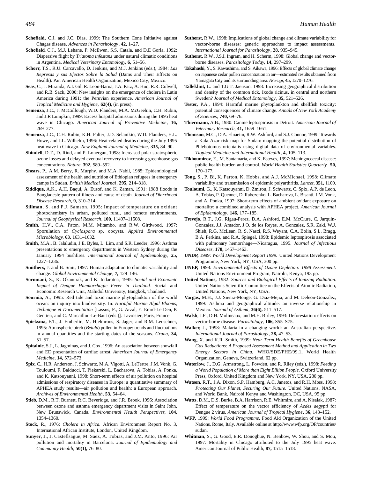- **Schofield,** C.J. and J.C. Dias, 1999: The Southern Cone Initiative against Chagas disease. *Advances in Parasitology*, **42,** 1–27.
- **Schofield**, C.J., M.J. Lehane, P. McEwen, S.S. Catala, and D.E Gorla, 1992: Dispersive flight by *Triatoma infestans* under natural climatic conditions in Argentina. *Medical Veterinary Entomology*, **6,** 51–56.
- **Schorr,** T.S., R.U. Carcavallo, D. Jenkins, and M.J. Jenkins (eds.), 1984: *Las Represas y sus Efectos Sobre la Salud* (Dams and Their Effects on Health). Pan American Health Organization, Mexico City, Mexico.
- **Seas**, C., J. Miranda, A.I. Gil, R. Leon-Barua, J.A. Patz, A. Huq, R.R. Colwell, and R.B. Sack, 2000: New insights on the emergence of cholera in Latin America during 1991: the Peruvian experience. *American Journal of Tropical Medicine and Hygiene,* **62(4)**, (in press).
- **Semenza**, J.C., J. McCullough, W.D. Flanders, M.A. McGeehin, C.H. Rubin, and J.R Lumpkin, 1999: Excess hospital admissions during the 1995 heat wave in Chicago. American Journal of Preventive Medicine, 16, 269–277.
- **Semenza**, J.C., C.H. Rubin, K.H. Falter, J.D. Selanikio, W.D. Flanders, H.L. Howe, and J.L. Wilhelm, 1996: Heat-related deaths during the July 1995 heat wave in Chicago. *New England Journal of Medicine*, **335,** 84–90.
- **Shindell**, D.T., D. Rind, and P. Lonergan, 1998: Increased polar stratospheric ozone losses and delayed eventual recovery to increasing greenhouse gas concentrations. *Nature*, **392,** 589–592.
- **Shears**, P., A.M. Berry, R. Murphy, and M.A. Nabil, 1985: Epidemiological assessment of the health and nutrition of Ethiopian refugees in emergency camps in Sudan*. British Medical Journal*, **295,** 214–318.
- **Siddique,** A.K., A.H. Baqui, A. Eusof, and K. Zaman, 1991: 1988 floods in Bangladesh: pattern of illness and cause of death. *Journal of Diarrhoeal Disease Research*, **9,** 310–314.
- **Sillman, S. and P.J. Samson, 1995: Impact of temperature on oxidant** photochemistry in urban, polluted rural, and remote environments. *Journal of Geophysical Research*, **100**, 11497–11508.
- Smith, H.V., C.A. Paton, M.M. Mitambo, and R.W. Girdwood, 1997: Sporulation of *Cyclospora* sp. oocysts. *Applied Environmental Microbiology*, **63,** 1631–1632.
- **Smith**, M.A., B. Jalaludin, J.E. Byles, L. Lim, and S.R. Leeder, 1996: Asthma presentations to emergency departments in Western Sydney during the January 1994 bushfires. *International Journal of Epidemiology*, **25,** 1227–1236.
- **Smithers,** J. and B. Smit, 1997: Human adaptation to climatic variability and change. *Global Environmental Change*, **7,** 129–146.
- **Sornmani**, S., K. Okanurak, and K. Indaratna, 1995: *Social and Economic Impact of Dengue Haemorrhagic Fever in Thailand*. Social and Economic Research Unit, Mahidol University, Bangkok, Thailand.
- **Sournia,** A., 1995: Red tide and toxic marine phytoplankton of the world ocean: an inquiry into biodiversity. In: *Harmful Marine Algal Blooms, Technique et Documentation* [Lassus, P., G. Arzal, E. Erard-Le Den, P. Gentien, and C. Marcaillou-Le-Baut (eds.)]. Lavoisier, Paris, France.
- **Spieksma,** F.T., J. Emberlin, M. Hjelmroos, S. Jager, and R.M. Leuschner, 1995: Atmospheric birch (*Betula*) pollen in Europe: trends and fluctuations in annual quantities and the starting dates of the seasons. *Grana*, **34,** 51–57.
- Spitalnic, S.J., L. Jagminas, and J. Cox, 1996: An association between snowfall and ED presentation of cardiac arrest. *American Journal of Emergency Medicine*, **14,** 572–573.
- **Spix**, C., H.R. Anderson, J. Schwartz, M.A. Vigotti, A. LeTertre, J.M. Vonk, G. Touloumi, F. Balducci, T. Piekarski, L. Bacharova, A. Tobias, A. Ponka, and K. Katsouyanni, 1998: Short-term effects of air pollution on hospital admissions of respiratory diseases in Europe: a quantitative summary of APHEA study results—air pollution and health: a European approach. *Archives of Environmental Health*, **53,** 54–64.
- **Stieb**, D.M., R.T. Burnett, R.C. Beveridge, and J.R. Brook, 1996: Association between ozone and asthma emergency department visits in Saint John, New Brunswick, Canada. *Environmental Health Perspectives*, **104,** 1354–1360.
- **Stock,** R., 1976: *Cholera in Africa.* African Environment Report No. 3, International African Institute, London, United Kingdom.
- **Sunyer**, J., J. Castellsague, M. Saez, A. Tobias, and J.M. Anto, 1996: Air pollution and mortality in Barcelona. *Journal of Epidemiology and Community Health*, **50(1),** 76–80.
- **Sutherst,** R.W., 1998: Implications of global change and climate variability for vector-borne diseases: generic approaches to impact assessments. *International Journal for Parasitology*, **28,** 935–945.
- Sutherst, R.W., J.S.I. Ingram, and H. Scherm, 1998: Global change and vectorborne diseases. *Parasitology Today*, **14,** 297–299.
- Takahashi, Y., S. Kawashima, and S. Aikawa, 1996: Effects of global climate change on Japanese cedar pollen concentration in air—estimated results obtained from Yamagata City and its surrounding area. *Arerugi*, **45**, 1270-1276.
- **Talleklint,** L. and T.G.T. Jaenson, 1998: Increasing geographical distribution and density of the common tick, Ixode ricinus, in central and northern Sweden? *Journal of Medical Entomology*, **35,** 521–526.
- **Tester,** P.A., 1994: Harmful marine phytoplankton and shellfish toxicity: potential consequences of climate change. *Annals of New York Academy of Sciences*, **740,** 69–76.
- **Thiermann,** A.B., 1980: Canine leptospirosis in Detroit. *American Journal of Veterinary Research*, **41,** 1659–1661.
- Thomson, M.C., D.A. Elnaeim, R.W. Ashford, and S.J. Connor, 1999: Towards a Kala Azar risk map for Sudan: mapping the potential distribution of Phlebotomus orientalis using digital data of environmental variables. *Tropical Medicine and International Health*, **4,** 105–113.
- Tikhoumirov, E., M. Santamaria, and K. Esteves, 1997: Meningococcal disease: public health burden and control. *World Health Statistics Quarterly* , **50,** 170–177.
- Tong, S., P. Bi, K. Parton, K. Hobbs, and A.J. McMichael, 1998: Climate variability and transmission of epidemic polyarthritis. *Lancet*, 351, 1100.
- **Touloumi**, G., K. Katsouyanni, D. Zmirou, J. Schwartz, C. Spix, A.P. de Leon, A. Tobias, P. Quennel, D. Rabczenko, L. Bacharova, L. Bisanti, J.M. Vonk, and A. Ponka, 1997: Short-term effects of ambient oxidant exposure on mortality: a combined analysis with APHEA project. *American Journal of Epidemiology*, **146,** 177–185.
- **Trevejo**, R.T., J.G. Rigau-Perez, D.A. Ashford, E.M. McClure, C. Jarquin-Gonzalez, J.J. Amador, J.O. de los Reyes, A. Gonzalez, S.R. Zaki, W.J. Shieh, R.G. McLean, R. S. Nasci, R.S. Weyant, C.A. Bolin, S.L. Bragg, B.A. Perkins, and R.A. Spiegel, 1998: Epidemic leptospirosis associated with pulmonary hemorrhage—Nicaragua, 1995. *Journal of Infectious Diseases*, **178,** 1457–1463.
- **UNDP,** 1999: *World Development Report 1999.* United Nations Development Programme, New York, NY, USA, 300 pp.
- **UNEP,** 1998: *Environmental Effects of Ozone Depletion: 1998 Assessment*. United Nations Environment Program, Nairobi, Kenya, 193 pp.
- **United Nations,** 1982: *Sources and Biological Effects of Ionizing Radiation*. United Nations Scientific Committee on the Effects of Atomic Radiation, United Nations, New York, NY, USA.
- **Vargas,** M.H., J.J. Sienra-Monge, G. Diaz-Mejia, and M. Deleon-Gonzalez, 1999: Asthma and geographical altitude: an inverse relationship in Mexico. *Journal of Asthma*, **36(6),** 511–517.
- **Walsh**, J.F., D.H. Molineaux, and M.H. Birley, 1993: Deforestation: effects on vector-borne disease. *Parasitology*, **106,** S55–S75.
- **Walker,** J., 1998: Malaria in a changing world: an Australian perspective. *International Journal of Parasitology*, **28,** 47–53.
- **Wang,** X. and K.R. Smith, 1999: *Near-Term Health Benefits of Greenhouse Gas Reductions: A Proposed Assessment Method and Application in Two* Energy Sectors in China. WHO/SDE/PHE/99.1, World Health Organization, Geneva, Switzerland, 62 pp.
- Waterlow, J., D.G. Armstrong, L. Fowden, and R. Riley (eds.), 1998: Feeding *a World Population of More than Eight Billion People*. Oxford University Press, Oxford, United Kingdom and New York, NY, USA, 280 pp.
- **Watson,** R.T., J.A. Dixon, S.P. Hamburg, A.C. Janetos, and R.H. Moss, 1998: *Protecting Our Planet, Securing Our Future*. United Nations, NASA, and World Bank, Nairobi Kenya and Washington, DC, USA, 95 pp.
- **Watts**, D.M., D.S. Burke, B.A. Harrison, R.E. Whitmire, and A. Nisalak, 1987: Effect of temperature on the vector efficiency of *Aedes aegypti* for Dengue 2 virus. *American Journal of Tropical Hygiene*, **36,** 143–152.
- **WFP,** 1999: *World Food Programme*. Food Aid Organization of the United Nations, Rome, Italy. Available online at http://www.wfp.org/OP/countries/ sudan.
- **Whitman**, S., G. Good, E.R. Donoghue, N. Benbow, W. Shou, and S. Mou, 1997: Mortality in Chicago attributed to the July 1995 heat wave. American Journal of Public Health, **87,** 1515–1518.